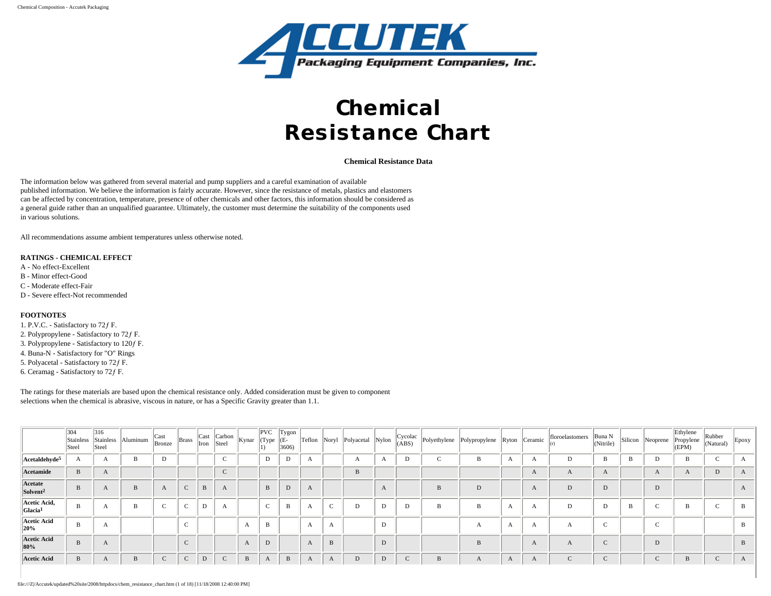

# **Chemical Resistance Chart**

**Chemical Resistance Data**

The information below was gathered from several material and pump suppliers and a careful examination of available published information. We believe the information is fairly accurate. However, since the resistance of metals, plastics and elastomers can be affected by concentration, temperature, presence of other chemicals and other factors, this information should be considered as a general guide rather than an unqualified guarantee. Ultimately, the customer must determine the suitability of the components used in various solutions.

All recommendations assume ambient temperatures unless otherwise noted.

## **RATINGS - CHEMICAL EFFECT**

- A No effect-Excellent
- B Minor effect-Good
- C Moderate effect-Fair
- D Severe effect-Not recommended

### **FOOTNOTES**

1. P.V.C. - Satisfactory to 72ƒ F. 2. Polypropylene - Satisfactory to 72ƒ F. 3. Polypropylene - Satisfactory to 120ƒ F. 4. Buna-N - Satisfactory for "O" Rings 5. Polyacetal - Satisfactory to 72f F. 6. Ceramag - Satisfactory to 72ƒ F.

The ratings for these materials are based upon the chemical resistance only. Added consideration must be given to component selections when the chemical is abrasive, viscous in nature, or has a Specific Gravity greater than 1.1.

|                                                                    | 304<br>Stainless<br>Steel | 316<br>Stainless<br>Steel | Aluminum | $\begin{array}{c}\n\text{Cast} \\ \text{Bronze}\n\end{array}$ | <b>Brass</b> | Cast<br>Iron | Carbon<br>Steel | Kynar      | PVC<br>(Type | $Tygon$<br>$(E-$<br>3606) | Teflon       | Noryl        | Polyacetal | Nylon       |             |   |              |              |              |           | Buna N<br>(Nitrile) |   | Silicon Neoprene | Ethylene<br>Propylene<br>(EPM) | Rubber<br>(Natural) | Epoxy        |
|--------------------------------------------------------------------|---------------------------|---------------------------|----------|---------------------------------------------------------------|--------------|--------------|-----------------|------------|--------------|---------------------------|--------------|--------------|------------|-------------|-------------|---|--------------|--------------|--------------|-----------|---------------------|---|------------------|--------------------------------|---------------------|--------------|
| Acetaldehyde <sup>5</sup>                                          |                           | A                         |          | Ð                                                             |              |              | $\sqrt{2}$      |            | D            | D                         | Ð            |              | A          | $\Lambda$   | D           | c | B            | $\Delta$     | A            | D         | B                   | B |                  | B                              |                     | A            |
| Acetamide                                                          | B                         | A                         |          |                                                               |              |              | $\sim$          |            |              |                           |              |              | B          |             |             |   |              |              | $\mathbf{A}$ | $\Lambda$ | A                   |   | A                | $\Delta$                       |                     | $\mathbf{A}$ |
| Acetate<br>Solvent <sup>2</sup>                                    | B                         | $\bm{A}$                  |          |                                                               |              | B            | A               |            | B            | D                         | A            |              |            | $\Lambda$   |             | B | D            |              | A            | D         | D                   |   | D                |                                |                     | $\mathbf{A}$ |
| $\left\Vert \right\rangle$ Acetic Acid,<br>$ $ Glacia <sup>1</sup> | B                         | Ð                         |          |                                                               |              | D            | $\mathbf A$     |            | $\sim$       | B                         | $\mathbf{A}$ | $\sim$       | D          | D           | D           | B | B            | A            | A            | D         | D                   | B |                  | B                              |                     | В            |
| <b>Acetic Acid</b><br>20%                                          | B                         | A                         |          |                                                               |              |              |                 | $\sqrt{2}$ | $\, {\bf B}$ |                           | А            | A            |            | D           |             |   | $\mathbf{A}$ | A            | A            | A         | $\sim$              |   | $\sim$           |                                |                     | $\mathbf{B}$ |
| Acetic Acid<br>80%                                                 | B                         | $\bm{A}$                  |          |                                                               |              |              |                 | $\Lambda$  | D            |                           | A            | Ð            |            | D           |             |   | B            |              | A            | A         | $\sqrt{ }$<br>╰     |   | D                |                                |                     | B            |
| <b>Acetic Acid</b>                                                 | B                         | A                         |          | $\sqrt{ }$                                                    | $\sim$       | D            | $\sim$          | B          | A            | B                         | A            | $\mathbf{A}$ |            | $\mathbf D$ | $\mathbf C$ | B | $\mathbf{A}$ | $\mathbf{A}$ | A            | $\sim$    | $\sqrt{ }$<br>╰     |   |                  | B                              |                     | A            |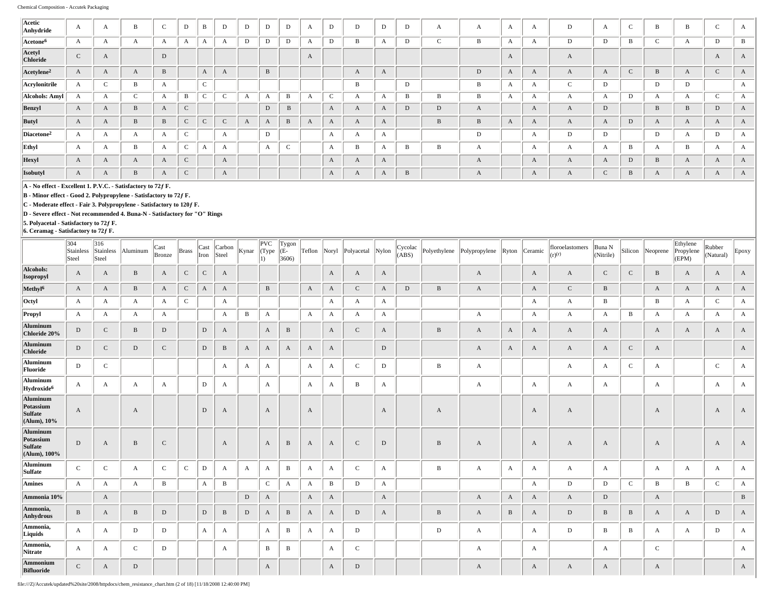| Acetic<br>Anhydride       | A            | A                | B        | $\sim$<br>U  | D          | B               | D                | D            | D            | $\mathbf D$  | A | D            | D            | D            | D            | A            | A            | A            | A | D            | A            | $\sim$<br>╰  | B            | B            | ◡            | A            |
|---------------------------|--------------|------------------|----------|--------------|------------|-----------------|------------------|--------------|--------------|--------------|---|--------------|--------------|--------------|--------------|--------------|--------------|--------------|---|--------------|--------------|--------------|--------------|--------------|--------------|--------------|
| Acetone <sup>6</sup>      | A            | $\mathbf{A}$     |          | Δ            |            |                 |                  | D            | D            | D            |   | D            | в            |              | D            | J            | B            | А            | А | D            | D            | B            |              | А            | D            | В            |
| Acetyl<br><b>Chloride</b> | $\mathsf{C}$ | $\mathbf{A}$     |          | D            |            |                 |                  |              |              |              | A |              |              |              |              |              |              | A            |   | A            |              |              |              |              | A            | $\mathbf{A}$ |
| Acetylene <sup>2</sup>    | A            | $\mathbf{A}$     | $\Delta$ | $\mathbf{B}$ |            | $\mathbf{A}$    | $\mathbf{A}$     |              | B            |              |   |              | $\mathbf{A}$ | $\mathbf{A}$ |              |              | $\mathbf D$  | A            | A | A            | $\mathbf{A}$ | $\sim$<br>€  | B            | $\mathbf{A}$ |              | $\mathbf{A}$ |
| Acrylonitrile             | A            | $\sim$           |          | $\Delta$     |            | $\sqrt{2}$<br>◟ |                  |              |              |              |   |              | B            |              | D            |              | B            | A            | A | $\mathbf{C}$ | D            |              | D            | D            |              | A            |
| Alcohols: Amyl            | A            | $\mathbf{A}$     |          | A            | B          | $\sim$<br>◡     | $\sim$           | $\mathbf{A}$ | $\mathbf{A}$ | B            |   | $\sim$       | A            | $\Lambda$    | B            | B            | B            | $\mathbf{A}$ | A | А            | A            | D            | A            | А            |              | А            |
| Benzyl                    | $\mathbf{A}$ | $\boldsymbol{A}$ | B        | A            | $\sqrt{ }$ |                 |                  |              | $\mathbf D$  | $\, {\bf B}$ |   | A            | A            | A            | D            | $\mathbf D$  | A            |              | A | A            | D            |              | B            |              | D            | A            |
| <b>Butyl</b>              | A            | $\bm{A}$         | B        | $\mathbf{B}$ |            | $\sqrt{ }$<br>J | $\sqrt{2}$       | А            | $\mathbf{A}$ | $\, {\bf B}$ |   | $\mathbf{A}$ | A            | $\mathbf{A}$ |              | $\, {\bf B}$ | B            | A            | A | A            | A            | D            | $\bm{A}$     | $\mathbf{A}$ |              | A            |
| Diacetone <sup>2</sup>    | A            | A                | A        | A            | $\sqrt{2}$ |                 | A                |              | D            |              |   | A            | A            | A            |              |              | D            |              | A | D            | D            |              | D            | A            | D            | $\mathbf{A}$ |
| Ethyl                     | A            | A                | B        | A            | $\sqrt{2}$ | $\mathbf{r}$    | $\boldsymbol{A}$ |              | $\mathbf{A}$ | $\sim$<br>J  |   | A            | B            | $\mathbf{A}$ | B            | B            | A            |              | A | A            | A            | B            | A            | B            |              | A            |
| <b>Hexyl</b>              | A            | A                | A        | A            | $\sqrt{ }$ |                 | A                |              |              |              |   | A            | A            | A            |              |              | A            |              | A | A            | A            | $\mathbf D$  | $\mathbf B$  | A            | A            | A            |
| Isobutyl                  | $\mathbf{A}$ | $\bm{A}$         | B        | $\mathbf{A}$ | $\sqrt{ }$ |                 | A                |              |              |              |   | $\mathbf{A}$ | $\mathbf{A}$ | A            | $\, {\bf B}$ |              | $\mathbf{A}$ |              | A | $\mathbf{A}$ | $\sim$       | $\, {\bf B}$ | $\mathbf{A}$ | $\mathbf{A}$ | $\mathbf{A}$ | $\mathbf{A}$ |

**B - Minor effect - Good 2. Polypropylene - Satisfactory to 72ƒ F.**

**C - Moderate effect - Fair 3. Polypropylene - Satisfactory to 120ƒ F.**

**D - Severe effect - Not recommended 4. Buna-N - Satisfactory for "O" Rings**

**5. Polyacetal - Satisfactory to 72ƒ F.**

**6. Ceramag - Satisfactory to 72ƒ F.**

|                                                              | 304<br>Stainless<br>Steel | 316<br>Stainless<br>Steel | Aluminum     | Cast<br>Bronze | <b>Brass</b> | Iron        | Cast Carbon<br>Steel | Kynar       | PVC <br>(Type<br>1) | Tygon<br>(E-<br>3606 | Teflon Noryl     |              | Polyacetal   | Nylon        | Cycolac<br>(ABS) | Polyethylene | Polypropylene Ryton Ceramic |              |              | floroelastomers<br>(r)(r) | Buna N<br>(Nitrile) | Silicon      | Neoprene     | Ethylene<br>Propylene<br>(EPM) | Rubber<br>(Natural) | Epoxy        |
|--------------------------------------------------------------|---------------------------|---------------------------|--------------|----------------|--------------|-------------|----------------------|-------------|---------------------|----------------------|------------------|--------------|--------------|--------------|------------------|--------------|-----------------------------|--------------|--------------|---------------------------|---------------------|--------------|--------------|--------------------------------|---------------------|--------------|
| Alcohols:<br>Isopropyl                                       | A                         | $\mathbf{A}$              | B            | $\mathbf{A}$   | $\mathbf C$  | $\mathbf C$ | A                    |             |                     |                      |                  | A            | $\mathbf{A}$ | A            |                  |              | A                           |              | A            | A                         | $\mathbf{C}$        | $\mathsf{C}$ | $\, {\bf B}$ | A                              | A                   | A            |
| Methyl <sup>6</sup>                                          | A                         | $\mathbf{A}$              | B            | $\mathbf{A}$   | C            | A           | A                    |             | B                   |                      | $\boldsymbol{A}$ | A            | $\mathbf{C}$ | A            | D                | B            | $\mathbf{A}$                |              | $\mathbf{A}$ | C                         | B                   |              | A            | A                              | A                   | A            |
| Octyl                                                        | A                         | $\mathbf{A}$              | A            | $\mathbf{A}$   | $\mathsf C$  |             | A                    |             |                     |                      |                  | A            | A            | A            |                  |              |                             |              | $\mathbf{A}$ | A                         | B                   |              | В            | A                              | $\mathsf{C}$        | A            |
| Propyl                                                       | $\mathbf{A}$              | $\mathbf{A}$              | $\mathbf{A}$ | $\mathbf{A}$   |              |             | A                    | B           | $\mathbf{A}$        |                      | $\mathbf{A}$     | A            | A            | A            |                  |              | A                           |              | $\mathbf{A}$ | A                         | $\mathbf{A}$        | B            | $\mathbf{A}$ | A                              | A                   | $\mathbf{A}$ |
| Aluminum<br>Chloride 20%                                     | $\mathbf D$               | $\mathbf{C}$              | B            | D              |              | $\mathbf D$ | A                    |             | $\mathbf{A}$        | $\, {\bf B}$         |                  | A            | $\mathsf{C}$ | A            |                  | $\, {\bf B}$ | A                           | A            | $\mathbf{A}$ | A                         | A                   |              | A            | A                              | A                   | A            |
| Aluminum<br><b>Chloride</b>                                  | $\mathbf D$               | $\mathbf{C}$              | D            | $\mathbf{C}$   |              | D           | $\, {\bf B}$         | A           | $\mathbf{A}$        | A                    | $\boldsymbol{A}$ | $\mathbf{A}$ |              | $\mathbf D$  |                  |              | A                           | $\mathbf{A}$ | $\mathbf{A}$ | A                         | $\mathbf{A}$        | $\mathbf C$  | A            |                                |                     | $\mathbf{A}$ |
| Aluminum<br>Fluoride                                         | D                         | $\mathbf C$               |              |                |              |             | A                    | A           | A                   |                      | A                | A            | $\mathbf C$  | $\mathbf D$  |                  | В            | A                           |              |              | A                         | A                   | $\mathbf C$  | А            |                                | $\mathbf C$         | A            |
| Aluminum<br>Hydroxide <sup>6</sup>                           | A                         | $\mathbf{A}$              | $\mathbf{A}$ | $\mathbf{A}$   |              | D           | A                    |             | $\mathbf{A}$        |                      | A                | A            | В            | A            |                  |              | A                           |              | $\mathbf{A}$ | A                         | $\mathbf{A}$        |              | $\mathbf{A}$ |                                | A                   | A            |
| Aluminum<br>Potassium<br><b>Sulfate</b><br>$(Alum)$ , $10\%$ | $\boldsymbol{A}$          |                           | A            |                |              | D           | A                    |             | A                   |                      | $\boldsymbol{A}$ |              |              | A            |                  | A            |                             |              | $\mathbf{A}$ | A                         |                     |              | A            |                                | A                   | A            |
| Aluminum<br>Potassium<br>Sulfate<br>(Alum), 100%             | D                         | $\mathbf{A}$              | B            | $\mathsf{C}$   |              |             | A                    |             | A                   | $\, {\bf B}$         | A                | A            | $\mathsf{C}$ | D            |                  | B            | A                           |              | A            | A                         | A                   |              | A            |                                | A                   | A            |
| Aluminum<br>Sulfate                                          | $\mathsf C$               | $\mathbf C$               | A            | $\mathbf C$    | $\mathsf C$  | D           | A                    | A           | A                   | B                    | A                | A            | $\mathbf C$  | A            |                  | $\, {\bf B}$ | A                           | A            | $\mathbf{A}$ | A                         | A                   |              | A            | A                              | A                   | A            |
| Amines                                                       | A                         | $\mathbf{A}$              | $\mathbf{A}$ | B              |              | A           | B                    |             | $\mathbf C$         | А                    | $\mathbf{A}$     | B            | D            | A            |                  |              |                             |              | $\mathbf{A}$ | D                         | D                   | $\mathbf C$  | B            | B                              | $\mathbf C$         | A            |
| Ammonia 10%                                                  |                           | $\mathbf{A}$              |              |                |              |             |                      | $\mathbf D$ | A                   |                      | $\boldsymbol{A}$ | A            |              | $\mathbf{A}$ |                  |              | A                           | $\mathbf{A}$ | A            | A                         | D                   |              | A            |                                |                     | $\, {\bf B}$ |
| Ammonia,<br>Anhydrous                                        | B                         | $\mathbf{A}$              | B            | $\,$ D         |              | D           | B                    | D           | A                   | B                    | A                | A            | D            | A            |                  | $\, {\bf B}$ | A                           | B            | A            | D                         | B                   | B            | A            | A                              | D                   | A            |
| Ammonia,<br>Liquids                                          | A                         | $\mathbf{A}$              | D            | D              |              | A           | А                    |             | A                   | B                    | A                | A            | D            |              |                  | $\mathbf{D}$ | A                           |              | $\mathbf{A}$ | D                         | B                   | B            | A            | A                              | D                   | A            |
| Ammonia,<br>Nitrate                                          | A                         | $\mathbf{A}$              | $\mathbf{C}$ | D              |              |             | А                    |             | В                   | B                    |                  | A            | $\mathbf C$  |              |                  |              | A                           |              | $\mathbf{A}$ |                           | $\mathbf{A}$        |              | $\mathbf C$  |                                |                     | A            |
| Ammonium<br><b>Bifluoride</b>                                | $\mathbf C$               | $\mathbf{A}$              | D            |                |              |             |                      |             | $\mathbf{A}$        |                      |                  | $\mathbf{A}$ | D            |              |                  |              | A                           |              | $\mathbf{A}$ | A                         | A                   |              | A            |                                |                     | A            |

file:///Z|/Accutek/updated%20site/2008/httpdocs/chem\_resistance\_chart.htm (2 of 18) [11/18/2008 12:40:00 PM]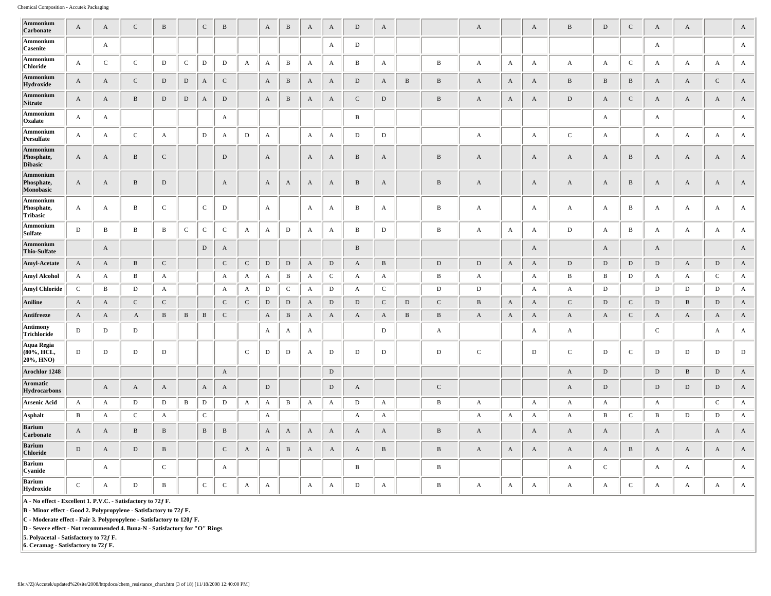| Ammonium<br>Carbonate                                        | A                | $\mathbf{A}$ | $\mathbf C$  | $\bf{B}$     |              | $\,c\,$      | $\, {\bf B}$ |              | $\mathbf{A}$ | $\, {\bf B}$ | $\mathbf{A}$     | $\mathbf{A}$ | $\mathbf D$  | $\mathbf{A}$ |              |              | $\mathbf{A}$ |              | A                     | $\, {\bf B}$ | $\mathbf D$  | $\mathsf{C}$ | $\mathbf{A}$ | $\mathbf{A}$     |              | $\mathbf{A}$ |
|--------------------------------------------------------------|------------------|--------------|--------------|--------------|--------------|--------------|--------------|--------------|--------------|--------------|------------------|--------------|--------------|--------------|--------------|--------------|--------------|--------------|-----------------------|--------------|--------------|--------------|--------------|------------------|--------------|--------------|
| Ammonium<br>Casenite                                         |                  | $\mathbf{A}$ |              |              |              |              |              |              |              |              |                  | A            | $\mathbf D$  |              |              |              |              |              |                       |              |              |              | A            |                  |              | $\mathbf{A}$ |
| Ammonium<br><b>Chloride</b>                                  | $\boldsymbol{A}$ | ${\bf C}$    | $\mathbf C$  | $\mathbf D$  | $\mathbf C$  | $\mathbf{D}$ | $\mathbf D$  | $\mathbf{A}$ | $\mathbf{A}$ | $\mathbf{B}$ | $\mathbf{A}$     | $\mathbf{A}$ | $\, {\bf B}$ | $\mathbf{A}$ |              | $\, {\bf B}$ | $\mathbf{A}$ | $\mathbf{A}$ | A                     | $\mathbf{A}$ | $\mathbf{A}$ | $\mathbf C$  | A            | $\mathbf{A}$     | $\mathbf{A}$ | $\mathbf{A}$ |
| Ammonium<br>Hydroxide                                        | $\boldsymbol{A}$ | $\mathbf{A}$ | ${\bf C}$    | ${\rm D}$    | $\mathbf D$  | $\mathbf A$  | ${\bf C}$    |              | $\mathbf{A}$ | $\, {\bf B}$ | $\mathbf{A}$     | $\mathbf{A}$ | ${\rm D}$    | A            | $\, {\bf B}$ | $\, {\bf B}$ | $\mathbf{A}$ | $\mathbf{A}$ | $\mathbf A$           | $\, {\bf B}$ | $\, {\bf B}$ | $\, {\bf B}$ | $\rm A$      | $\mathbf{A}$     | $\mathbf C$  | $\mathbf{A}$ |
| Ammonium                                                     | $\mathbf{A}$     | $\mathbf{A}$ | $\, {\bf B}$ | ${\rm D}$    | $\mathbf D$  | $\mathbf{A}$ | $\mathbf D$  |              | $\mathbf{A}$ | $\, {\bf B}$ | $\boldsymbol{A}$ | $\mathbf{A}$ | $\mathbf C$  | $\mathbf D$  |              | $\, {\bf B}$ | $\mathbf{A}$ | $\mathbf{A}$ | $\boldsymbol{\rm{A}}$ | $\mathbf D$  | $\mathbf{A}$ | $\mathbf C$  | $\rm A$      | $\boldsymbol{A}$ | A            | $\mathbf{A}$ |
| Nitrate<br>Ammonium                                          | A                | A            |              |              |              |              | A            |              |              |              |                  |              | B            |              |              |              |              |              |                       |              | $\mathbf{A}$ |              | A            |                  |              | A            |
| Oxalate<br>Ammonium                                          | $\mathbf A$      | $\mathbf{A}$ | $\mathsf C$  | A            |              | $\mathbf D$  | $\mathbf A$  | ${\rm D}$    | $\mathbf{A}$ |              | $\mathbf A$      | $\mathbf{A}$ | $\mathbf D$  | $\mathbf D$  |              |              | $\mathbf{A}$ |              | A                     | $\mathbf C$  | $\mathbf{A}$ |              | A            | $\mathbf{A}$     | $\mathbf{A}$ | $\mathbf{A}$ |
| Persulfate<br>Ammonium                                       |                  |              |              |              |              |              |              |              |              |              |                  |              |              |              |              |              |              |              |                       |              |              |              |              |                  |              |              |
| Phosphate,<br><b>Dibasic</b>                                 | A                | $\mathbf{A}$ | $\mathbf{B}$ | $\mathbf C$  |              |              | $\mathbf D$  |              | $\mathbf{A}$ |              | $\mathbf{A}$     | A            | $\, {\bf B}$ | A            |              | $\, {\bf B}$ | $\mathbf{A}$ |              | A                     | $\mathbf{A}$ | $\mathbf{A}$ | B            | A            | A                | A            | $\mathbf{A}$ |
| Ammonium<br>Phosphate,<br>Monobasic                          | A                | $\mathbf{A}$ | $\, {\bf B}$ | ${\rm D}$    |              |              | $\mathbf A$  |              | $\mathbf{A}$ | A            | $\mathbf{A}$     | $\mathbf{A}$ | $\, {\bf B}$ | A            |              | $\, {\bf B}$ | $\mathbf{A}$ |              | $\boldsymbol{\rm{A}}$ | $\mathbf{A}$ | $\mathbf{A}$ | $\, {\bf B}$ | $\rm A$      | $\mathbf{A}$     | A            | $\mathbf{A}$ |
| Ammonium<br>Phosphate,<br>Tribasic                           | A                | A            | $\, {\bf B}$ | $\mathbf C$  |              | $\mathbf C$  | ${\bf D}$    |              | $\mathbf{A}$ |              | $\mathbf{A}$     | A            | В            | A            |              | $\, {\bf B}$ | $\mathbf{A}$ |              | A                     | $\mathbf{A}$ | $\mathbf{A}$ | $\bf{B}$     | A            | A                | A            | A            |
| Ammonium<br><b>Sulfate</b>                                   | $\mathbf D$      | $\, {\bf B}$ | $\mathbf{B}$ | $\, {\bf B}$ | $\mathsf C$  | $\mathbf C$  | $\mathsf C$  | $\mathbf{A}$ | $\mathbf{A}$ | D            | $\mathbf{A}$     | A            | $\, {\bf B}$ | $\mathbf D$  |              | $\, {\bf B}$ | $\mathbf{A}$ | $\mathbf{A}$ | A                     | $\mathbf D$  | $\mathbf A$  | $\, {\bf B}$ | $\mathbf A$  | $\mathbf{A}$     | $\mathbf{A}$ | $\mathbf{A}$ |
| Ammonium<br>Thio-Sulfate                                     |                  | $\mathbf{A}$ |              |              |              | D            | A            |              |              |              |                  |              | $\, {\bf B}$ |              |              |              |              |              | A                     |              | A            |              | $\mathbf{A}$ |                  |              | $\mathbf{A}$ |
| Amyl-Acetate                                                 | $\mathbf{A}$     | $\mathbf A$  | $\, {\bf B}$ | $\mathbf C$  |              |              | $\mathsf C$  | ${\bf C}$    | $\,$ D       | $\,$ D       | $\mathbf A$      | $\mathbf D$  | $\mathbf{A}$ | $\, {\bf B}$ |              | $\mathbf D$  | $\,$ D       | $\mathbf A$  | $\boldsymbol{\rm{A}}$ | $\,$ D       | $\mathbf D$  | $\mathbf D$  | $\mathbf D$  | $\mathbf A$      | $\,$ D       | $\mathbf{A}$ |
| <b>Amyl Alcohol</b>                                          | А                | A            | $\, {\bf B}$ | A            |              |              | A            | A            | A            | $\mathbf{B}$ | $\mathbf A$      | $\mathbf C$  | A            | $\mathbf{A}$ |              | $\, {\bf B}$ | $\mathbf{A}$ |              | A                     | $\, {\bf B}$ | $\, {\bf B}$ | $\mathbf{D}$ | А            | $\mathbf{A}$     | $\,c\,$      | $\mathbf{A}$ |
| <b>Amyl Chloride</b>                                         | $\mathbf C$      | $\, {\bf B}$ | $\mathbf D$  | A            |              |              | $\mathbf{A}$ | A            | D            | $\mathbf C$  | $\mathbf{A}$     | D            | $\mathbf{A}$ | $\mathbf C$  |              | ${\rm D}$    | $\mathbf D$  |              | A                     | A            | D            |              | $\mathbf D$  | D                | $\mathbf D$  | $\mathbf{A}$ |
| Aniline                                                      | $\mathbf{A}$     | $\mathbf{A}$ | ${\bf C}$    | $\mathbf C$  |              |              | ${\bf C}$    | ${\bf C}$    | $\mathbf{D}$ | $\mathbf D$  | $\mathbf{A}$     | D            | $\mathbf{D}$ | $\mathbf C$  | $\mathbf{D}$ | ${\bf C}$    | $\, {\bf B}$ | $\mathbf{A}$ | A                     | $\mathbf C$  | $\mathbf D$  | $\mathbf C$  | $\mathbf D$  | $\mathbf{B}$     | D            | $\mathbf{A}$ |
| Antifreeze                                                   | $\mathbf{A}$     | $\mathbf{A}$ | $\mathbf{A}$ | $\, {\bf B}$ | $\, {\bf B}$ | $\, {\bf B}$ | ${\bf C}$    |              | $\mathbf{A}$ | $\, {\bf B}$ | $\mathbf{A}$     | $\mathbf{A}$ | $\mathbf{A}$ | $\mathbf{A}$ | $\, {\bf B}$ | $\, {\bf B}$ | $\mathbf{A}$ | $\mathbf{A}$ | $\mathbf{A}$          | $\mathbf{A}$ | $\mathbf{A}$ | $\mathbf{C}$ | $\mathbf{A}$ | $\mathbf{A}$     | $\mathbf{A}$ | $\mathbf{A}$ |
| Antimony<br><b>Trichloride</b>                               | $\mathbf D$      | $\mathbf{D}$ | $\mathbf{D}$ |              |              |              |              |              | A            | $\mathbf{A}$ | $\mathbf{A}$     |              |              | D            |              | $\mathbf{A}$ |              |              | А                     | $\mathbf{A}$ |              |              | $\mathsf C$  |                  | $\mathbf{A}$ | $\mathbf{A}$ |
| <b>Aqua Regia</b><br>(80%, HCL,<br>20%, HNO)                 | D                | ${\rm D}$    | $\mathbf D$  | $\mathbf D$  |              |              |              | $\mathbf C$  | D            | D            | $\mathbf{A}$     | D            | ${\rm D}$    | D            |              | $\mathbf D$  | $\mathbf C$  |              | $\mathbf D$           | $\mathbf C$  | $\mathbf D$  | $\mathbf C$  | D            | $\mathbf D$      | D            | $\mathbf D$  |
| Arochlor 1248                                                |                  |              |              |              |              |              | $\mathbf A$  |              |              |              |                  | $\mathbf D$  |              |              |              |              |              |              |                       | $\mathbf{A}$ | $\mathbf D$  |              | $\mathbf D$  | $\, {\bf B}$     | $\mathbf{D}$ | $\mathbf{A}$ |
| Aromatic<br>Hydrocarbons                                     |                  | $\mathbf{A}$ | $\mathbf{A}$ | $\mathbf{A}$ |              | A            | $\mathbf{A}$ |              | $\mathbf D$  |              |                  | $\mathbf D$  | $\mathbf{A}$ |              |              | ${\bf C}$    |              |              |                       | $\mathbf{A}$ | $\mathbf D$  |              | $\mathbf D$  | $\mathbf D$      | D            | $\mathbf{A}$ |
| <b>Arsenic Acid</b>                                          | A                | A            | D            | ${\rm D}$    | B            | $\mathbf D$  | ${\rm D}$    | $\mathbf{A}$ | A            | $\, {\bf B}$ | $\mathbf{A}$     | A            | ${\rm D}$    | $\mathbf{A}$ |              | $\, {\bf B}$ | $\mathbf{A}$ |              | $\mathbf{A}$          | A            | $\mathbf{A}$ |              | A            |                  | $\,c\,$      | A            |
| <b>Asphalt</b>                                               | B                | A            | $\mathbf{C}$ | $\mathbf{A}$ |              | $\mathbf C$  |              |              | A            |              |                  |              | A            | $\mathbf{A}$ |              |              | $\mathbf{A}$ | A            | A                     | A            | B            | $\mathbf{C}$ | $\, {\bf B}$ | $\mathbf D$      | D            | A            |
| Barium<br><b>Carbonate</b>                                   | A                | $\mathbf{A}$ | $\mathbf{B}$ | $\, {\bf B}$ |              | $\mathbf{B}$ | B            |              | $\mathbf{A}$ | A            | $\mathbf{A}$     | $\mathbf{A}$ | $\mathbf{A}$ | $\mathbf{A}$ |              | $\, {\bf B}$ | $\mathbf{A}$ |              | A                     | $\mathbf{A}$ | $\mathbf{A}$ |              | A            |                  | $\mathbf{A}$ | $\mathbf{A}$ |
| Barium<br><b>Chloride</b>                                    | $\mathbf D$      | $\mathbf{A}$ | D            | $\, {\bf B}$ |              |              | $\mathbf C$  | A            | $\mathbf{A}$ | $\, {\bf B}$ | $\mathbf{A}$     | $\mathbf{A}$ | $\mathbf{A}$ | $\, {\bf B}$ |              | $\, {\bf B}$ | $\mathbf{A}$ | $\mathbf{A}$ | A                     | $\mathbf{A}$ | $\mathbf{A}$ | $\, {\bf B}$ | A            | $\mathbf{A}$     | $\mathbf{A}$ | $\mathbf{A}$ |
| Barium<br>Cyanide                                            |                  | $\mathbf{A}$ |              | $\mathsf C$  |              |              | A            |              |              |              |                  |              | B            |              |              | $\, {\bf B}$ |              |              |                       | $\mathbf{A}$ | $\mathbf C$  |              | $\mathbf A$  | $\boldsymbol{A}$ |              | $\mathbf{A}$ |
| <b>Barium</b><br>Hydroxide                                   | C                | $\mathbf{A}$ | D            | B            |              | $\mathbf C$  | ${\bf C}$    | A            | $\mathbf{A}$ |              | $\mathbf{A}$     | $\mathbf{A}$ | D            | $\mathbf{A}$ |              | $\, {\bf B}$ | $\mathbf{A}$ | A            | A                     | A            | A            | ${\bf C}$    | A            | $\mathbf{A}$     | $\mathbf{A}$ | $\mathbf{A}$ |
| A - No effect - Excellent 1. P.V.C. - Satisfactory to 72f F. |                  |              |              |              |              |              |              |              |              |              |                  |              |              |              |              |              |              |              |                       |              |              |              |              |                  |              |              |

**B - Minor effect - Good 2. Polypropylene - Satisfactory to 72ƒ F.**

**C - Moderate effect - Fair 3. Polypropylene - Satisfactory to 120ƒ F.**

**D - Severe effect - Not recommended 4. Buna-N - Satisfactory for "O" Rings**

**5. Polyacetal - Satisfactory to 72ƒ F. 6. Ceramag - Satisfactory to 72ƒ F.**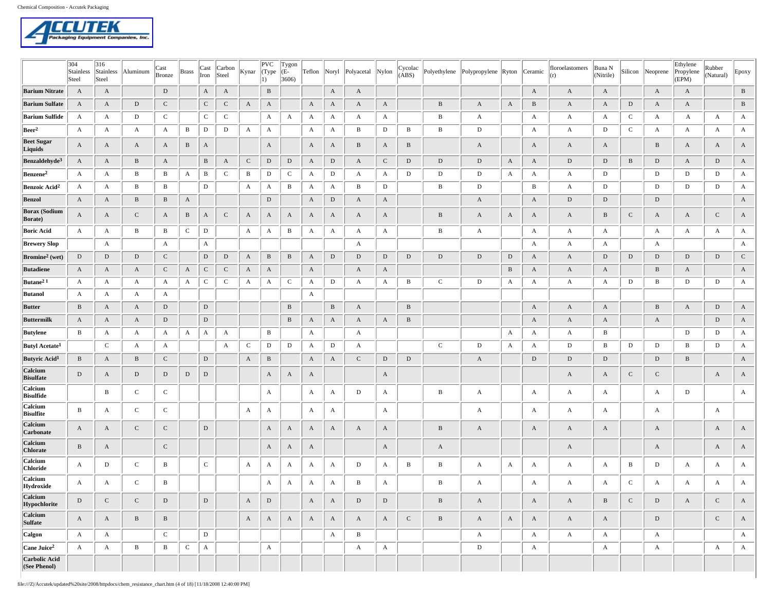

|                                         | 304<br>Stainless<br>Steel | 316<br>Stainless<br>Steel | Aluminum     | Cast<br>Bronze | <b>Brass</b> | Cast<br>Iron | Carbon<br>Steel | Kynar        | PVC<br>(Type<br>1) | Tygon<br>(E-<br>3606 |              |              | Teflon Noryl Polyacetal | Nylon            | Cycolac<br>(ABS) | Polyethylene | Polypropylene Ryton Ceramic |              |              | floroelastomers<br>(r) | Buna N<br>(Nitrile) |              | Silicon Neoprene | Ethylene<br>Propylene<br>(EPM) | Rubber<br>(Natural) | Epoxy            |
|-----------------------------------------|---------------------------|---------------------------|--------------|----------------|--------------|--------------|-----------------|--------------|--------------------|----------------------|--------------|--------------|-------------------------|------------------|------------------|--------------|-----------------------------|--------------|--------------|------------------------|---------------------|--------------|------------------|--------------------------------|---------------------|------------------|
| <b>Barium Nitrate</b>                   | A                         | $\mathbf{A}$              |              | D              |              | A            | A               |              | $\, {\bf B}$       |                      |              | $\mathbf{A}$ | $\mathbf{A}$            |                  |                  |              |                             |              | $\mathbf{A}$ | $\mathbf{A}$           | $\mathbf{A}$        |              | $\mathbf{A}$     | A                              |                     | $\, {\bf B}$     |
| <b>Barium Sulfate</b>                   | A                         | A                         | D            | $\mathbf C$    |              | $\mathbf C$  | $\mathsf{C}$    | $\mathbf{A}$ | $\mathbf{A}$       |                      | A            | A            | A                       | A                |                  | B            | A                           | $\mathbf{A}$ | $\, {\bf B}$ | A                      | A                   | D            | A                | $\mathbf{A}$                   |                     | $\, {\bf B}$     |
| <b>Barium Sulfide</b>                   | A                         | $\mathbf{A}$              | D            | $\mathbf C$    |              | $\mathbf C$  | $\mathbf C$     |              | A                  | A                    | A            | A            | A                       | A                |                  | B            | $\mathbf{A}$                |              | A            | A                      | A                   | $\mathbf{C}$ | A                | A                              | A                   | A                |
| Beer <sup>2</sup>                       | A                         | $\mathbf{A}$              | A            | A              | В            | D            | $\mathbf D$     | $\mathbf{A}$ | $\mathbf{A}$       |                      | A            | A            | В                       | $\mathbf D$      | В                | B            | D                           |              | A            | A                      | ${\bf D}$           | $\mathbf C$  | A                | A                              | A                   | A                |
| <b>Beet Sugar</b><br>Liquids            | A                         | A                         | A            | A              | $\, {\bf B}$ | A            |                 |              | A                  |                      | A            | A            | B                       | A                | B                |              | A                           |              | A            | A                      | A                   |              | B                | A                              | A                   | A                |
| Benzaldehyde <sup>3</sup>               | $\mathbf{A}$              | $\mathbf{A}$              | B            | $\mathbf{A}$   |              | B            | A               | $\mathbf C$  | ${\rm D}$          | ${\rm D}$            | $\mathbf{A}$ | D            | A                       | ${\bf C}$        | $\mathbf{D}$     | D            | D                           | $\mathbf{A}$ | $\mathbf{A}$ | $\mathbf D$            | $\,$ D              | $\, {\bf B}$ | D                | $\mathbf{A}$                   | D                   | $\mathbf{A}$     |
| Benzene <sup>2</sup>                    | A                         | A                         | В            | B              | A            | $\mathbf{B}$ | $\mathbf C$     | $\, {\bf B}$ | D                  | $\mathbf{C}$         | A            | D            | A                       | A                | D                | D            | D                           | A            | A            | A                      | D                   |              | D                | D                              | D                   | A                |
| Benzoic Acid <sup>2</sup>               | A                         | $\mathbf{A}$              | В            | B              |              | D            |                 | $\mathbf{A}$ | $\mathbf{A}$       | В                    | A            | A            | В                       | $\mathbf D$      |                  | В            | D                           |              | В            | A                      | D                   |              | D                | D                              | D                   | $\mathbf{A}$     |
| <b>Benzol</b>                           | A                         | $\mathbf{A}$              | $\, {\bf B}$ | $\mathbf B$    | $\mathbf{A}$ |              |                 |              | ${\rm D}$          |                      | $\mathbf{A}$ | ${\rm D}$    | $\mathbf{A}$            | $\boldsymbol{A}$ |                  |              | $\mathbf{A}$                |              | $\mathbf{A}$ | D                      | ${\rm D}$           |              | $\mathbf D$      |                                |                     | $\mathbf{A}$     |
| <b>Borax</b> (Sodium<br><b>Borate</b> ) | A                         | A                         | C            | A              | $\, {\bf B}$ | A            | $\mathsf{C}$    | A            | A                  | A                    | A            | A            | A                       | A                |                  | B            | A                           | A            | A            | A                      | $\, {\bf B}$        | ${\bf C}$    | A                | A                              | $\mathbf C$         | A                |
| <b>Boric Acid</b>                       | $\mathbf{A}$              | $\mathbf{A}$              | В            | B              | $\mathbf{C}$ | D            |                 | A            | $\mathbf{A}$       | В                    | A            | A            | A                       | A                |                  | B            | $\mathbf{A}$                |              | A            | A                      | A                   |              | A                | A                              | A                   | A                |
| <b>Brewery Slop</b>                     |                           | $\mathbf{A}$              |              | A              |              | A            |                 |              |                    |                      |              |              | A                       |                  |                  |              |                             |              | A            | A                      | A                   |              | A                |                                |                     | A                |
| Bromine <sup>2</sup> (wet)              | $\mathbf D$               | $\mathbf D$               | $\mathbf{D}$ | $\mathbf C$    |              | $\mathbf D$  | $\mathbf D$     | $\mathbf{A}$ | $\, {\bf B}$       | $\, {\bf B}$         | $\mathbf{A}$ | $\mathbf D$  | $\mathbf D$             | $\mathbf D$      | $\mathbf D$      | $\mathbf D$  | $\,$ D                      | $\mathbf D$  | $\mathbf{A}$ | $\mathbf{A}$           | $\mathbf D$         | $\mathbf D$  | $\mathbf D$      | $\mathbf D$                    | D                   | $\mathbf C$      |
| <b>Butadiene</b>                        | A                         | $\mathbf{A}$              | A            | ${\bf C}$      | $\mathbf{A}$ | $\mathbf C$  | $\mathbf C$     | $\mathbf{A}$ | $\mathbf{A}$       |                      | $\mathbf{A}$ |              | A                       | A                |                  |              |                             | B            | $\mathbf{A}$ | A                      | A                   |              | B                | A                              |                     | $\mathbf{A}$     |
| Butane <sup>21</sup>                    | A                         | A                         | A            | A              | A            | C            | C               | A            | A                  | C                    | A            | D            | A                       | A                | В                | $\mathbf C$  | D                           | A            | A            | A                      | A                   | D            | В                | D                              | D                   | A                |
| <b>Butanol</b>                          | A                         | A                         | A            | A              |              |              |                 |              |                    |                      | A            |              |                         |                  |                  |              |                             |              |              |                        |                     |              |                  |                                |                     |                  |
| <b>Butter</b>                           | B                         | $\mathbf{A}$              | A            | D              |              | $\mathbf D$  |                 |              |                    | $\, {\bf B}$         |              | $\, {\bf B}$ | $\mathbf{A}$            |                  | $\, {\bf B}$     |              |                             |              | $\rm A$      | $\mathbf{A}$           | A                   |              | $\, {\bf B}$     | $\mathbf{A}$                   | $\mathbf D$         | $\boldsymbol{A}$ |
| <b>Buttermilk</b>                       | A                         | $\mathbf{A}$              | $\mathbf{A}$ | $\,$ D         |              | ${\rm D}$    |                 |              |                    | $\, {\bf B}$         | A            | A            | A                       | $\boldsymbol{A}$ | B                |              |                             |              | $\mathbf{A}$ | A                      | $\mathbf{A}$        |              | A                |                                | $\mathbf D$         | A                |
| Butylene                                | В                         | $\mathbf{A}$              | $\mathbf{A}$ | A              | A            | A            | A               |              | B                  |                      | A            |              | A                       |                  |                  |              |                             | A            | A            | A                      | B                   |              |                  | D                              | D                   | A                |
| <b>Butyl Acetate<sup>1</sup></b>        |                           | $\mathbf C$               | A            | A              |              |              | A               | $\mathsf{C}$ | D                  | D                    | A            | D            | A                       |                  |                  | $\mathbf C$  | D                           | A            | A            | D                      | B                   | D            | D                | B                              | D                   | A                |
| Butyric Acid <sup>1</sup>               | B                         | $\mathbf{A}$              | B            | $\mathbf C$    |              | $\mathbf D$  |                 | $\mathbf{A}$ | $\, {\bf B}$       |                      | A            | $\mathbf{A}$ | $\mathsf{C}$            | $\mathbf D$      | $\mathbf D$      |              | A                           |              | $\mathbf D$  | D                      | D                   |              | D                | B                              |                     | $\mathbf{A}$     |
| Calcium<br><b>Bisulfate</b>             | $\mathbf D$               | A                         | D            | $\mathbf D$    | D            | $\mathbf D$  |                 |              | A                  | A                    | А            |              |                         | A                |                  |              |                             |              |              | A                      | A                   | $\mathbf C$  | C                |                                | A                   | $\mathbf{A}$     |
| <b>Calcium</b><br>Bisulfide             |                           | B                         | $\mathbf{C}$ | $\mathbf C$    |              |              |                 |              | $\mathbf{A}$       |                      | А            | A            | D                       | A                |                  | B            | A                           |              | A            | A                      | A                   |              | A                | D                              |                     | A                |
| Calcium<br><b>Bisulfite</b>             | В                         | $\mathbf{A}$              | $\mathbf{C}$ | $\mathbf C$    |              |              |                 | A            | $\mathbf{A}$       |                      | A            | $\mathbf{A}$ |                         | A                |                  |              | A                           |              | A            | A                      | A                   |              | A                |                                | $\mathbf{A}$        |                  |
| Calcium<br>Carbonate                    | A                         | A                         | $\mathbf C$  | $\mathbf C$    |              | $\mathbf D$  |                 |              | $\mathbf{A}$       | A                    | A            | A            | A                       | A                |                  | $\, {\bf B}$ | A                           |              | A            | A                      | A                   |              | A                |                                | A                   | A                |
| Calcium<br><b>Chlorate</b>              | $\, {\bf B}$              | A                         |              | $\mathbf C$    |              |              |                 |              | A                  | A                    | A            |              |                         | $\boldsymbol{A}$ |                  | A            |                             |              |              | A                      |                     |              | A                |                                | A                   | $\mathbf{A}$     |
| Calcium<br><b>Chloride</b>              | A                         | D                         | $\mathbf C$  | B              |              | $\mathbf C$  |                 | A            | $\mathbf{A}$       | A                    | А            | A            | D                       | A                | B                | В            | $\mathbf{A}$                | A            | A            | A                      | A                   | B            | D                | A                              | A                   | A                |
| <b>Calcium</b><br>Hydroxide             | A                         | A                         | $\mathbf C$  | B              |              |              |                 |              | $\mathbf{A}$       | A                    | A            | $\mathbf{A}$ | $\, {\bf B}$            | A                |                  | B            | $\mathbf{A}$                |              | A            | A                      | A                   | $\mathbf C$  | A                | A                              | A                   | A                |
| Calcium<br>Hypochlorite                 | $\mathbf D$               | ${\bf C}$                 | $\mathbf C$  | ${\rm D}$      |              | $\mathbf D$  |                 | $\mathbf{A}$ | ${\rm D}$          |                      | $\mathbf{A}$ | $\mathbf{A}$ | $\mathbf{D}$            | $\mathbf D$      |                  | $\, {\bf B}$ | $\mathbf{A}$                |              | $\mathbf{A}$ | $\mathbf{A}$           | $\, {\bf B}$        | ${\bf C}$    | D                | A                              | C                   | $\mathbf{A}$     |
| Calcium<br>Sulfate                      | $\mathbf{A}$              | $\mathbf{A}$              | $\, {\bf B}$ | $\, {\bf B}$   |              |              |                 | $\mathbf{A}$ | $\mathbf{A}$       | $\mathbf{A}$         | A            | $\mathbf{A}$ | A                       | $\mathbf{A}$     | ${\bf C}$        | $\, {\bf B}$ | $\mathbf{A}$                | $\mathbf{A}$ | $\mathbf{A}$ | $\mathbf{A}$           | $\mathbf{A}$        |              | D                |                                | $\mathbf C$         | $\mathbf{A}$     |
| Calgon                                  | A                         | $\mathbf{A}$              |              | ${\bf C}$      |              | $\mathbf{D}$ |                 |              |                    |                      |              | $\mathbf{A}$ | $\mathbf{B}$            |                  |                  |              | $\mathbf{A}$                |              | $\mathbf{A}$ | $\mathbf{A}$           | $\mathbf{A}$        |              | A                |                                |                     | A                |
| Cane Juice <sup>2</sup>                 | A                         | $\mathbf{A}$              | $\, {\bf B}$ | $\, {\bf B}$   | $\mathbf C$  | $\mathbf{A}$ |                 |              | $\mathbf{A}$       |                      |              |              | A                       | A                |                  |              | ${\rm D}$                   |              | $\mathbf{A}$ |                        | $\mathbf{A}$        |              | A                |                                | A                   | A                |
| Carbolic Acid<br>(See Phenol)           |                           |                           |              |                |              |              |                 |              |                    |                      |              |              |                         |                  |                  |              |                             |              |              |                        |                     |              |                  |                                |                     |                  |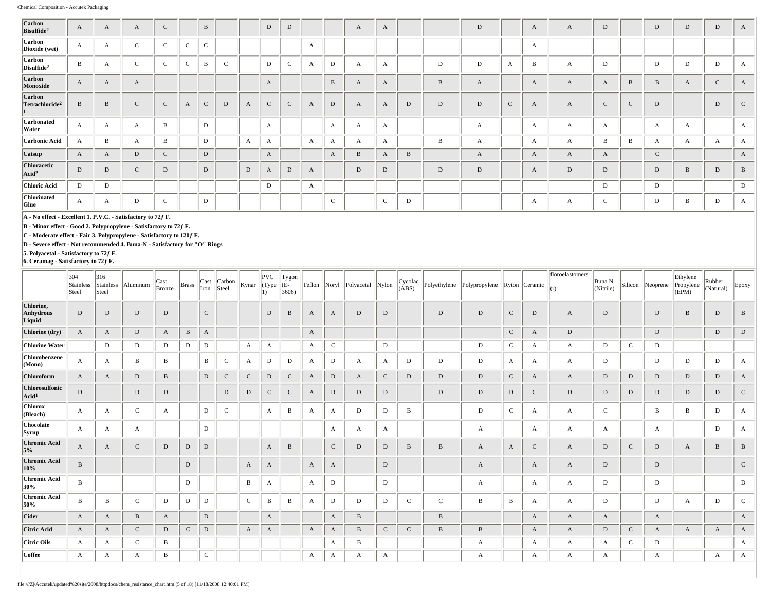| Carbon<br>Bisulfide <sup>2</sup>                   | A            | A | A            | $\mathbf C$  |              | $\, {\bf B}$ |              |              | $\mathbf D$  | D            |              |              | A            | $\mathbf{A}$ |              |              | $\mathbf D$  |              | A            | A | D            |              | D            | $\mathbf D$  | D             | A            |
|----------------------------------------------------|--------------|---|--------------|--------------|--------------|--------------|--------------|--------------|--------------|--------------|--------------|--------------|--------------|--------------|--------------|--------------|--------------|--------------|--------------|---|--------------|--------------|--------------|--------------|---------------|--------------|
| <b>Carbon</b><br>Dioxide (wet)                     | $\mathbf{A}$ | A | $\sim$       | $\sqrt{2}$   | $\sim$<br>◡  | $\mathbf{C}$ |              |              |              |              | A            |              |              |              |              |              |              |              | A            |   |              |              |              |              |               |              |
| <b>Carbon</b><br>$\sqrt{2}$ Disulfide <sup>2</sup> | $\mathbf{B}$ | A | $\mathbf C$  | $\mathsf{C}$ | $\mathbf{C}$ | B            | $\mathbf{C}$ |              | D            | $\mathbf C$  |              | $\mathbf D$  | $\mathbf{A}$ | $\mathbf{A}$ |              | D            | $\mathbf D$  | A            | $\mathbf{B}$ | A | D            |              | D            | D            | D             | A            |
| Carbon<br>Monoxide                                 | $\mathbf{A}$ | A | A            |              |              |              |              |              | A            |              |              | B            | A            | $\mathbf{A}$ |              | $\, {\bf B}$ | A            |              | $\mathbf{A}$ | A | A            | $\, {\bf B}$ | B            | A            | $\mathcal{C}$ | A            |
| <b>Carbon</b><br>Tetrachloride <sup>2</sup>        | $\mathbf{B}$ | B | $\mathsf{C}$ | $\mathbf C$  | $\mathbf{A}$ | $\mathbf{C}$ | D            | $\mathbf{A}$ | $\mathbf{C}$ | $\mathsf{C}$ | $\mathbf{A}$ | D            | A            | $\mathbf{A}$ | D            | D            | D            | $\mathbf{C}$ | $\mathbf{A}$ | A | $\mathsf{C}$ | $\mathsf{C}$ | D            |              | D             | $\mathbf{C}$ |
| <b>Carbonated</b><br>Water                         | $\mathbf{A}$ | A | A            | $\mathbf B$  |              | D            |              |              | A            |              |              | A            | $\mathbf{A}$ | $\mathbf{A}$ |              |              | $\mathbf{A}$ |              | $\mathbf A$  | A | $\mathbf{A}$ |              | A            | $\mathbf{A}$ |               | $\mathbf{A}$ |
| Carbonic Acid                                      | $\mathbf{A}$ | B | A            | B            |              | D            |              | $\mathbf{A}$ | A            |              | A            | A            | A            | $\mathbf{A}$ |              | B            | A            |              | $\mathbf{A}$ | A | $\mathbf{B}$ | $\mathbf{B}$ | A            | A            | A             | A            |
| <b>Catsup</b>                                      | A            | A | $\mathbf D$  | $\mathbf{C}$ |              | D            |              |              | A            |              |              | A            | B            | $\mathbf{A}$ | $\mathbf{B}$ |              | A            |              | A            | A | A            |              | $\mathsf{C}$ |              |               | $\mathbf{A}$ |
| Chloracetic<br>Acid <sup>2</sup>                   | $\mathbf{D}$ | D | $\mathsf{C}$ | $\mathbf D$  |              | D            |              | $\mathbf D$  | A            | $\mathbf D$  | A            |              | D            | $\mathbf D$  |              | $\mathbf D$  | $\mathbf D$  |              | A            | D | D            |              | D            | $\, {\bf B}$ | D             | $\mathbf{B}$ |
| Chloric Acid                                       | D            | D |              |              |              |              |              |              | $\mathbf D$  |              | A            |              |              |              |              |              |              |              |              |   | D            |              | D            |              |               | D            |
| <b>Chlorinated</b><br>Glue                         | $\mathbf{A}$ | A | D            | $\mathbf{C}$ |              | D            |              |              |              |              |              | $\mathbf{C}$ |              | $\mathbf{C}$ | D            |              |              |              | A            | А | $\mathsf C$  |              | D            | B            | D             | A            |

**B - Minor effect - Good 2. Polypropylene - Satisfactory to 72ƒ F.**

**C - Moderate effect - Fair 3. Polypropylene - Satisfactory to 120ƒ F.**

**D - Severe effect - Not recommended 4. Buna-N - Satisfactory for "O" Rings**

**5. Polyacetal - Satisfactory to 72ƒ F. 6. Ceramag - Satisfactory to 72ƒ F.**

|                                     | 304<br>Stainless<br>Steel | 316<br>Stainless<br>Steel | Aluminum     | Cast<br>Bronze | <b>Brass</b> | Cast<br>Iron | Carbon<br>Steel | Kynar        | $ {\rm PVC} $<br>$\ $ (Type $\ $ | Tygon<br>(E-<br>3606 | Teflon Noryl |              | Polyacetal   | Nylon        | Cycolac<br>(ABS) |              | Polyethylene Polypropylene |              | Ryton Ceramic | floroelastomers<br>(r) | Buna N<br>(Nitrile) | Silicon      | Neoprene | Ethylene<br>Propylene<br>(EPM) | Rubber<br>(Natural) | $E_{\text{poxy}}$ |
|-------------------------------------|---------------------------|---------------------------|--------------|----------------|--------------|--------------|-----------------|--------------|----------------------------------|----------------------|--------------|--------------|--------------|--------------|------------------|--------------|----------------------------|--------------|---------------|------------------------|---------------------|--------------|----------|--------------------------------|---------------------|-------------------|
| Chlorine,<br>Anhydrous<br>Liquid    | D                         | D                         | D            | D              |              | $\mathbf{C}$ |                 |              | D                                | B                    | A            | A            | D            | D            |                  | D            | D                          | $\mathbf{C}$ | D             | A                      | D                   |              | D        | B                              | D                   | B                 |
| Chlorine (dry)                      | A                         | A                         | D            | A              | B            | A            |                 |              |                                  |                      | A            |              |              |              |                  |              |                            | $\mathbf C$  | A             | D                      |                     |              | D        |                                | D                   | $\,$ D            |
| <b>Chlorine Water</b>               |                           | D                         | D            | D              | D            | D            |                 | A            | A                                |                      | A            | $\mathsf{C}$ |              | D            |                  |              | D                          | $\mathbf C$  | A             | A                      | D                   | $\mathbf{C}$ | D        |                                |                     |                   |
| Chlorobenzene<br>(Mono)             | A                         | A                         | B            | B              |              | B            | $\mathbf C$     | $\mathbf{A}$ | D                                | D                    | A            | D            | A            | A            | D                | D            | D                          | A            | A             | A                      | D                   |              | D        | D                              | D                   | A                 |
| Chloroform                          | A                         | A                         | ${\rm D}$    | B              |              | $\mathbf D$  | $\mathbf C$     | $\mathbf C$  | $\mathbf{D}$                     | $\mathbf C$          | A            | D            | A            | $\mathsf{C}$ | $\mathbf D$      | $\mathbf D$  | D                          | $\mathbf{C}$ | A             | $\mathbf{A}$           | $\mathbf D$         | $\mathbf D$  | D        | D                              | D                   | A                 |
| Chlorosulfonic<br>Acid <sup>1</sup> | D                         |                           | D            | D              |              |              | D               | D            | $\mathsf{C}$                     | $\mathbf{C}$         | A            | D            | D            | D            |                  | D            | D                          | D            | $\mathsf{C}$  | D                      | D                   | $\mathbf D$  | D        | D                              | D                   | $\mathbf C$       |
| <b>Chlorox</b><br>$ $ (Bleach)      | A                         | А                         | $\mathbf C$  | A              |              | D            | $\mathbf C$     |              | A                                | B                    | A            | A            | D            | D            | B                |              | D                          | $\mathbf C$  | A             | A                      | $\mathsf{C}$        |              | B        | В                              | D                   | $\mathbf{A}$      |
| <b>Chocolate</b><br> Syrup          | $\mathbf{A}$              | A                         | A            |                |              | $\mathbf D$  |                 |              |                                  |                      |              | $\mathbf{A}$ | $\mathbf{A}$ | A            |                  |              | $\mathbf{A}$               |              | A             | A                      | A                   |              | A        |                                | D                   | $\mathbf{A}$      |
| <b>Chromic Acid</b><br>5%           | $\mathbf{A}$              | A                         | $\mathsf{C}$ | D              | D            | $\mathbf D$  |                 |              | A                                | $\, {\bf B}$         |              | $\mathsf{C}$ | D            | $\mathbf D$  | $\, {\bf B}$     | $\, {\bf B}$ | A                          | $\mathbf{A}$ | $\mathsf{C}$  | A                      | D                   | $\mathsf{C}$ | D        | A                              | B                   | $\, {\bf B}$      |
| <b>Chromic Acid</b><br>10%          | B                         |                           |              |                | D            |              |                 | $\mathbf{A}$ | A                                |                      | A            | A            |              | ${\rm D}$    |                  |              | A                          |              | A             | A                      | D                   |              | D        |                                |                     | $\mathsf{C}$      |
| Chromic Acid<br>30%                 | В                         |                           |              |                | D            |              |                 | $\, {\bf B}$ | A                                |                      | A            | D            |              | D            |                  |              | A                          |              | A             | A                      | D                   |              | D        |                                |                     | D                 |
| Chromic Acid<br>50%                 | B                         | B                         | $\mathbf C$  | D              | D            | D            |                 | $\mathsf{C}$ | B                                | B                    | A            | D            | D            | D            | $\mathbf{C}$     | $\mathbf{C}$ | B                          | B            | A             | A                      | D                   |              | D        | A                              | D                   | $\mathbf{C}$      |
| <b>Cider</b>                        | A                         | A                         | B            | A              |              | $\mathbf D$  |                 |              | A                                |                      |              | A            | B            |              |                  | B            |                            |              | A             | A                      | A                   |              | A        |                                |                     | A                 |
| Citric Acid                         | A                         | A                         | $\mathsf{C}$ | D              | $\mathbf{C}$ | D            |                 | A            | A                                |                      | A            | A            | B            | $\mathsf C$  | $\mathbf C$      | B            | B                          |              | A             | A                      | D                   | $\mathbf C$  | A        | A                              | A                   | $\mathbf{A}$      |
| Citric Oils                         | A                         | А                         | $\mathsf{C}$ | B              |              |              |                 |              |                                  |                      |              | А            | B            |              |                  |              | А                          |              | A             | A                      | A                   | $\mathbf{C}$ | D        |                                |                     | $\mathbf{A}$      |
| Coffee                              | A                         | A                         | A            | B              |              | $\mathsf{C}$ |                 |              |                                  |                      | A            | A            | A            | А            |                  |              | А                          |              | A             | A                      | A                   |              | A        |                                | A                   | A                 |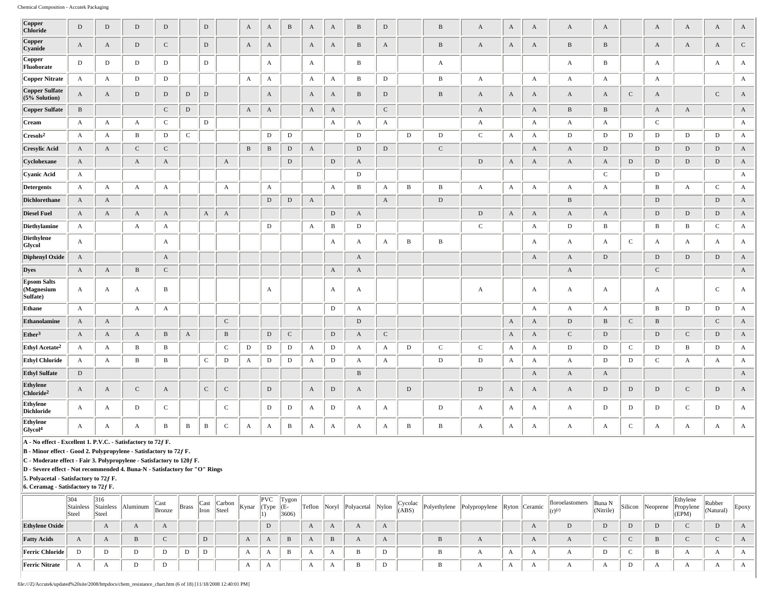| <b>Copper</b>                                                                                                                                                                                                                                                                                                                                                             | $\mathbf D$  | $\mathbf D$           | ${\rm D}$    | $\mathbf D$      |              | $\,$ D       |              | A                     | $\mathbf{A}$          | $\, {\bf B}$ | $\mathbf{A}$ | $\mathbf{A}$     | $\, {\bf B}$ | $\mathbf D$           |              | $\, {\bf B}$ | $\mathbf{A}$          | $\mathbf{A}$          | $\mathbf{A}$          | $\mathbf{A}$     | A                         |              | $\mathbf{A}$     | $\mathbf{A}$     | $\mathbf{A}$ | A            |
|---------------------------------------------------------------------------------------------------------------------------------------------------------------------------------------------------------------------------------------------------------------------------------------------------------------------------------------------------------------------------|--------------|-----------------------|--------------|------------------|--------------|--------------|--------------|-----------------------|-----------------------|--------------|--------------|------------------|--------------|-----------------------|--------------|--------------|-----------------------|-----------------------|-----------------------|------------------|---------------------------|--------------|------------------|------------------|--------------|--------------|
| <b>Chloride</b>                                                                                                                                                                                                                                                                                                                                                           |              |                       |              |                  |              |              |              |                       |                       |              |              |                  |              |                       |              |              |                       |                       |                       |                  |                           |              |                  |                  |              |              |
| Copper<br>Cyanide                                                                                                                                                                                                                                                                                                                                                         | $\mathbf{A}$ | $\mathbf{A}$          | D            | ${\bf C}$        |              | D            |              | $\mathbf A$           | $\mathbf{A}$          |              | $\mathbf{A}$ | $\mathbf A$      | $\, {\bf B}$ | $\mathbf{A}$          |              | $\, {\bf B}$ | $\boldsymbol{A}$      | $\mathbf{A}$          | $\mathbf{A}$          | $\, {\bf B}$     | $\, {\bf B}$              |              | $\mathbf A$      | $\mathbf{A}$     | $\rm A$      | $\mathbf C$  |
| Copper<br>Fluoborate                                                                                                                                                                                                                                                                                                                                                      | $\mathbf D$  | $\,$ D                | D            | $\mathbf D$      |              | D            |              |                       | $\mathbf{A}$          |              | $\mathbf{A}$ |                  | $\, {\bf B}$ |                       |              | $\mathbf A$  |                       |                       |                       | $\mathbf{A}$     | $\, {\bf B}$              |              | $\mathbf{A}$     |                  | $\mathbf{A}$ | $\mathbf{A}$ |
| Copper Nitrate                                                                                                                                                                                                                                                                                                                                                            | A            | $\mathbf{A}$          | ${\rm D}$    | ${\bf D}$        |              |              |              | $\mathbf A$           | $\mathbf{A}$          |              | $\mathbf{A}$ | A                | $\, {\bf B}$ | ${\rm D}$             |              | $\, {\bf B}$ | $\mathbf A$           |                       | $\mathbf A$           | $\mathbf{A}$     | A                         |              | $\mathbf A$      |                  |              | $\mathbf{A}$ |
| Copper Sulfate<br>$(5%$ Solution)                                                                                                                                                                                                                                                                                                                                         | $\mathbf{A}$ | $\mathbf A$           | ${\rm D}$    | $\mathbf D$      | $\mathbf D$  | $\mathbf D$  |              |                       | $\boldsymbol{A}$      |              | $\mathbf{A}$ | $\mathbf{A}$     | $\, {\bf B}$ | $\mathbf D$           |              | $\, {\bf B}$ | $\boldsymbol{\rm{A}}$ | $\boldsymbol{\rm{A}}$ | $\mathbf A$           | $\mathbf{A}$     | $\boldsymbol{\rm{A}}$     | $\mathbf C$  | $\mathbf{A}$     |                  | $\mathbf C$  | $\mathbf A$  |
| Copper Sulfate                                                                                                                                                                                                                                                                                                                                                            | $\, {\bf B}$ |                       |              | $\,$ C           | $\,$ D       |              |              | $\boldsymbol{\rm{A}}$ | $\boldsymbol{\rm{A}}$ |              | $\mathbf A$  | $\boldsymbol{A}$ |              | ${\bf C}$             |              |              | $\boldsymbol{A}$      |                       | $\mathbf{A}$          | $\, {\bf B}$     | $\, {\bf B}$              |              | $\boldsymbol{A}$ | $\boldsymbol{A}$ |              | $\mathbf{A}$ |
| Cream                                                                                                                                                                                                                                                                                                                                                                     | $\mathbf{A}$ | $\mathbf{A}$          | $\mathbf{A}$ | ${\bf C}$        |              | $\mathbf{D}$ |              |                       |                       |              |              | $\mathbf{A}$     | A            | $\mathbf{A}$          |              |              | $\boldsymbol{\rm{A}}$ |                       | $\mathbf{A}$          | $\boldsymbol{A}$ | $\boldsymbol{\mathrm{A}}$ |              | $\mathbf C$      |                  |              | $\mathbf{A}$ |
| $\rm [Cresols^2]$                                                                                                                                                                                                                                                                                                                                                         | $\mathbf{A}$ | $\mathbf{A}$          | B            | D                | $\mathbf C$  |              |              |                       | $\mathbf D$           | $\mathbf D$  |              |                  | $\mathbf D$  |                       | $\mathbf D$  | $\mathbf D$  | $\mathbf C$           | $\boldsymbol{A}$      | $\mathbf{A}$          | D                | D                         | $\mathbf{D}$ | $\mathbf D$      | D                | ${\rm D}$    | $\mathbf{A}$ |
| <b>Cresylic Acid</b>                                                                                                                                                                                                                                                                                                                                                      | $\mathbf{A}$ | $\mathbf{A}$          | $\mathbf C$  | ${\bf C}$        |              |              |              | $\, {\bf B}$          | $\, {\bf B}$          | $\,$ D       | $\mathbf{A}$ |                  | $\,$ D       | $\mathbf D$           |              | ${\bf C}$    |                       |                       | $\mathbf A$           | $\mathbf{A}$     | $\mathbf D$               |              | $\mathbf D$      | $\mathbf D$      | $\,$ D       | $\mathbf{A}$ |
| Cyclohexane                                                                                                                                                                                                                                                                                                                                                               | $\mathbf{A}$ |                       | $\mathbf A$  | $\mathbf A$      |              |              | $\mathbf A$  |                       |                       | $\,$ D       |              | $\mathbf D$      | $\mathbf A$  |                       |              |              | $\mathbf D$           | $\mathbf A$           | $\mathbf A$           | $\mathbf{A}$     | $\boldsymbol{\rm{A}}$     | $\mathbf D$  | $\mathbf D$      | ${\rm D}$        | $\mathbf D$  | $\mathbf A$  |
| Cyanic Acid                                                                                                                                                                                                                                                                                                                                                               | $\mathbf{A}$ |                       |              |                  |              |              |              |                       |                       |              |              |                  | $\,$ D       |                       |              |              |                       |                       |                       |                  | $\mathbf C$               |              | $\mathbf D$      |                  |              | $\mathbf{A}$ |
| <b>Detergents</b>                                                                                                                                                                                                                                                                                                                                                         | $\mathbf{A}$ | $\boldsymbol{\rm{A}}$ | $\mathbf{A}$ | $\mathbf{A}$     |              |              | A            |                       | $\boldsymbol{A}$      |              |              | $\mathbf{A}$     | $\, {\bf B}$ | $\boldsymbol{\rm{A}}$ | $\, {\bf B}$ | $\, {\bf B}$ | $\boldsymbol{\rm{A}}$ | $\mathbf{A}$          | $\mathbf{A}$          | $\mathbf{A}$     | $\boldsymbol{\rm{A}}$     |              | $\, {\bf B}$     | $\boldsymbol{A}$ | $\mathbf C$  | $\mathbf{A}$ |
| Dichlorethane                                                                                                                                                                                                                                                                                                                                                             | $\mathbf{A}$ | $\mathbf{A}$          |              |                  |              |              |              |                       | $\mathbf D$           | $\,$ D       | $\mathbf{A}$ |                  |              | $\mathbf{A}$          |              | $\mathbf D$  |                       |                       |                       | $\, {\bf B}$     |                           |              | $\mathbf D$      |                  | $\,$ D       | $\mathbf{A}$ |
| <b>Diesel Fuel</b>                                                                                                                                                                                                                                                                                                                                                        | $\mathbf{A}$ | $\rm A$               | $\mathbf{A}$ | $\mathbf A$      |              | $\mathbf{A}$ | A            |                       |                       |              |              | $\mathbf D$      | $\mathbf{A}$ |                       |              |              | $\mathbf D$           | $\mathbf{A}$          | $\mathbf A$           | $\mathbf{A}$     | $\mathbf{A}$              |              | $\mathbf D$      | $\,$ D           | $\mathbf D$  | $\mathbf{A}$ |
| Diethylamine                                                                                                                                                                                                                                                                                                                                                              | $\mathbf{A}$ |                       | $\mathbf{A}$ | $\mathbf{A}$     |              |              |              |                       | $\mathbf D$           |              | $\mathbf{A}$ | $\, {\bf B}$     | $\mathbf D$  |                       |              |              | ${\bf C}$             |                       | $\mathbf A$           | $\,$ D           | $\, {\bf B}$              |              | $\, {\bf B}$     | $\, {\bf B}$     | $\mathbf C$  | $\mathbf{A}$ |
| Diethylene<br>$\mathbf{C}$<br>$\, {\bf B}$<br>$\, {\bf B}$<br>$\mathbf{A}$<br>$\mathbf{A}$<br>$\mathbf{A}$<br>A<br>$\mathbf{A}$<br>$\mathbf{A}$<br>$\mathbf{A}$<br>A<br>A<br>$\mathbf{A}$<br>Glycol<br>Diphenyl Oxide<br>$\mathbf D$<br>$\mathbf D$<br>$\mathbf D$<br>$\mathbf{A}$<br>$\boldsymbol{A}$<br>$\boldsymbol{A}$<br>$\mathbf{A}$<br>$\mathbf{A}$                |              |                       |              |                  |              |              |              |                       |                       |              |              |                  |              |                       | $\mathbf A$  | $\mathbf{A}$ |                       |                       |                       |                  |                           |              |                  |                  |              |              |
| Dyes<br>$\mathbf A$<br>$\mathbf{A}$<br>$\, {\bf B}$<br>${\bf C}$<br>$\mathbf A$<br>${\bf C}$<br>$\mathbf{A}$<br>$\mathbf{A}$                                                                                                                                                                                                                                              |              |                       |              |                  |              |              |              |                       |                       |              |              |                  |              |                       | $\,$ D       | $\mathbf A$  |                       |                       |                       |                  |                           |              |                  |                  |              |              |
|                                                                                                                                                                                                                                                                                                                                                                           |              |                       |              |                  |              |              |              |                       |                       |              |              |                  |              |                       |              | $\mathbf{A}$ |                       |                       |                       |                  |                           |              |                  |                  |              |              |
| <b>Epsom Salts</b><br>(Magnesium<br>Sulfate)                                                                                                                                                                                                                                                                                                                              | A            | $\mathbf{A}$          | $\mathbf{A}$ | $\, {\bf B}$     |              |              |              |                       | $\boldsymbol{A}$      |              |              | $\mathbf{A}$     | A            |                       |              |              | $\mathbf{A}$          |                       | $\mathbf{A}$          | $\mathbf{A}$     | A                         |              | $\mathbf{A}$     |                  | $\mathbf C$  | $\mathbf{A}$ |
| Ethane                                                                                                                                                                                                                                                                                                                                                                    | $\mathbf{A}$ |                       | $\mathbf{A}$ | $\mathbf{A}$     |              |              |              |                       |                       |              |              | D                | $\mathbf{A}$ |                       |              |              |                       |                       | $\mathbf{A}$          | $\mathbf{A}$     | $\mathbf{A}$              |              | B                | D                | $\mathbf D$  | $\mathbf{A}$ |
| Ethanolamine                                                                                                                                                                                                                                                                                                                                                              | $\mathbf{A}$ | $\mathbf{A}$          |              |                  |              |              | ${\bf C}$    |                       |                       |              |              |                  | ${\rm D}$    |                       |              |              |                       | $\mathbf{A}$          | $\mathbf{A}$          | D                | $\, {\bf B}$              | $\mathbf C$  | $\, {\bf B}$     |                  | $\,$ C       | $\mathbf{A}$ |
| Ether <sup>3</sup>                                                                                                                                                                                                                                                                                                                                                        | $\mathbf{A}$ | $\mathbf{A}$          | $\mathbf{A}$ | $\, {\bf B}$     | $\mathbf{A}$ |              | $\, {\bf B}$ |                       | $\mathbf D$           | $\mathbf C$  |              | ${\rm D}$        | $\mathbf{A}$ | $\mathbf C$           |              |              |                       | $\mathbf{A}$          | $\mathbf{A}$          | $\mathbf C$      | $\mathbf D$               |              | $\mathbf D$      | ${\bf C}$        | ${\rm D}$    | $\mathbf{A}$ |
| Ethyl Acetate <sup>2</sup>                                                                                                                                                                                                                                                                                                                                                | $\mathbf{A}$ | $\mathbf{A}$          | $\, {\bf B}$ | $\, {\bf B}$     |              |              | $\mathbf C$  | $\mathbf D$           | ${\bf D}$             | $\mathbf D$  | $\mathbf{A}$ | $\mathbf D$      | $\mathbf{A}$ | A                     | $\mathbf D$  | $\mathbf C$  | ${\bf C}$             | $\mathbf{A}$          | $\mathbf{A}$          | $\mathbf D$      | $\mathbf D$               | $\mathbf C$  | $\mathbf D$      | $\, {\bf B}$     | ${\rm D}$    | $\mathbf{A}$ |
| <b>Ethyl Chloride</b>                                                                                                                                                                                                                                                                                                                                                     | $\mathbf{A}$ | $\mathbf{A}$          | B            | B                |              | $\mathbf{C}$ | D            | A                     | $\mathbf{D}$          | $\mathbf D$  | $\mathbf{A}$ | D                | $\mathbf{A}$ | $\mathbf{A}$          |              | $\mathbf D$  | $\mathbf D$           | $\mathbf{A}$          | $\mathbf{A}$          | $\mathbf{A}$     | D                         | D            | $\mathbf C$      | $\mathbf{A}$     | $\mathbf{A}$ | $\mathbf{A}$ |
| <b>Ethyl Sulfate</b>                                                                                                                                                                                                                                                                                                                                                      | $\mathbf D$  |                       |              |                  |              |              |              |                       |                       |              |              |                  | $\, {\bf B}$ |                       |              |              |                       |                       | $\boldsymbol{\rm{A}}$ | $\mathbf{A}$     | $\boldsymbol{\rm{A}}$     |              |                  |                  |              | $\mathbf{A}$ |
| Ethylene<br>Chloride <sup>2</sup>                                                                                                                                                                                                                                                                                                                                         | $\mathbf{A}$ | $\mathbf{A}$          | $\mathbf C$  | $\boldsymbol{A}$ |              | $\mathbf C$  | ${\bf C}$    |                       | $\mathbf D$           |              | $\mathbf{A}$ | $\mathbf D$      | $\mathbf{A}$ |                       | $\mathbf D$  |              | $\mathbf D$           | $\boldsymbol{\rm{A}}$ | $\mathbf{A}$          | $\mathbf{A}$     | $\mathbf D$               | $\mathbf D$  | $\mathbf D$      | $\mathbf C$      | $\mathbf D$  | $\mathbf{A}$ |
| Ethylene<br>Dichloride                                                                                                                                                                                                                                                                                                                                                    | $\mathbf{A}$ | $\mathbf{A}$          | ${\rm D}$    | ${\bf C}$        |              |              | $\mathbf C$  |                       | ${\bf D}$             | $\mathbf D$  | $\mathbf{A}$ | $\mathbf D$      | A            | $\mathbf{A}$          |              | $\mathbf D$  | $\mathbf{A}$          | $\mathbf{A}$          | $\mathbf A$           | $\mathbf{A}$     | $\mathbf D$               | $\mathbf{D}$ | $\mathbf D$      | $\mathbf C$      | ${\rm D}$    | $\mathbf{A}$ |
| <b>Ethylene</b><br>Glycol <sup>4</sup>                                                                                                                                                                                                                                                                                                                                    | $\mathbf{A}$ | $\mathbf A$           | $\mathbf{A}$ | $\, {\bf B}$     | $\, {\bf B}$ | $\, {\bf B}$ | $\mathbf C$  | A                     | $\mathbf{A}$          | $\, {\bf B}$ | $\mathbf{A}$ | A                | A            | A                     | B            | $\, {\bf B}$ | $\mathbf A$           | A                     | $\mathbf A$           | $\mathbf{A}$     | A                         | $\mathbf C$  | $\boldsymbol{A}$ | A                | $\mathbf{A}$ | $\mathbf{A}$ |
| A - No effect - Excellent 1. P.V.C. - Satisfactory to 72f F.<br>B - Minor effect - Good 2. Polypropylene - Satisfactory to 72f F.<br>C - Moderate effect - Fair 3. Polypropylene - Satisfactory to 120f F.<br>D - Severe effect - Not recommended 4. Buna-N - Satisfactory for "O" Rings<br>5. Polyacetal - Satisfactory to 72f F.<br>6. Ceramag - Satisfactory to 72f F. |              |                       |              |                  |              |              |              |                       |                       |              |              |                  |              |                       |              |              |                       |                       |                       |                  |                           |              |                  |                  |              |              |

|                        | 304<br>Steel | 316<br>Stainless Stainless<br>Steel | Aluminum | $ $ Cast<br>Bronze | <b>Brass</b> | Cast<br> Iron | Carbon<br>Steel | Kynar | PVC<br>$(Type   (E-$ | Tygon<br>3606) | Teflon | Noryl Polyacetal Nylon |  |  |  | floroelastomers Buna N<br>$\vert(r)^{(r)}\vert$ | $\sqrt{\text{Nitrile}}$ | Silicon | $\lvert$ Neoprene | Ethylene<br>Propylene<br>(EPM) | Rubber<br>(Natural) | Epoxy |
|------------------------|--------------|-------------------------------------|----------|--------------------|--------------|---------------|-----------------|-------|----------------------|----------------|--------|------------------------|--|--|--|-------------------------------------------------|-------------------------|---------|-------------------|--------------------------------|---------------------|-------|
| <b>Ethylene Oxide</b>  |              |                                     |          |                    |              |               |                 |       |                      |                |        |                        |  |  |  |                                                 |                         |         |                   |                                |                     |       |
| <b>Fatty Acids</b>     |              |                                     |          |                    |              |               |                 |       |                      | B              |        |                        |  |  |  |                                                 |                         |         |                   |                                |                     |       |
| <b>Ferric Chloride</b> | D            |                                     |          | D                  | D            |               |                 |       |                      |                |        |                        |  |  |  |                                                 |                         |         |                   |                                |                     |       |
| <b>Ferric Nitrate</b>  |              |                                     |          |                    |              |               |                 |       |                      |                |        |                        |  |  |  |                                                 |                         |         |                   |                                |                     |       |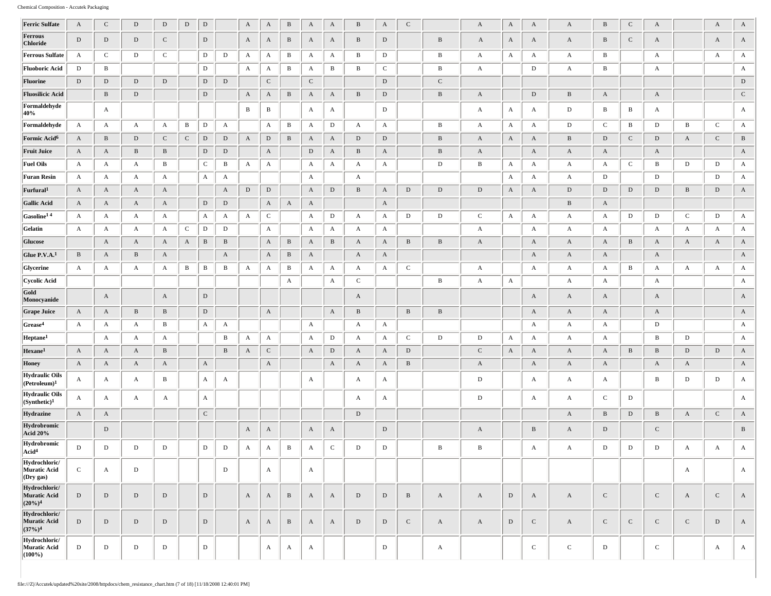| <b>Ferric Sulfate</b>                                           | $\mathbf{A}$ | ${\bf C}$    | $\mathbf D$  | $\,$ D       | $\,$ D       | $\mathbf D$  |              | $\mathbf{A}$ | A            | $\, {\bf B}$ | $\mathbf{A}$ | $\mathbf{A}$ | $\, {\bf B}$ | $\mathbf{A}$ | $\mathsf{C}$ |                 | $\mathbf{A}$ | $\mathbf{A}$ | $\mathbf{A}$ | $\mathbf{A}$ | $\, {\bf B}$ | $\mathbf C$  | $\mathbf{A}$ |              | $\mathbf{A}$ | $\boldsymbol{\rm{A}}$     |
|-----------------------------------------------------------------|--------------|--------------|--------------|--------------|--------------|--------------|--------------|--------------|--------------|--------------|--------------|--------------|--------------|--------------|--------------|-----------------|--------------|--------------|--------------|--------------|--------------|--------------|--------------|--------------|--------------|---------------------------|
| Ferrous<br>Chloride                                             | $\mathbf D$  | ${\rm D}$    | $\mathbf D$  | $\mathbf C$  |              | ${\rm D}$    |              | $\mathbf{A}$ | A            | $\, {\bf B}$ | $\mathbf{A}$ | A            | $\mathbf{B}$ | D            |              | $\, {\bf B} \,$ | $\mathbf{A}$ | A            | A            | A            | B            | $\mathbf{C}$ | A            |              | $\mathbf{A}$ | $\mathbf{A}$              |
| <b>Ferrous Sulfate</b>                                          | A            | ${\rm C}$    | D            | $\mathbf C$  |              | D            | D            | A            | A            | B            | A            | A            | В            | D            |              | B               | A            | A            | A            | A            | B            |              | A            |              | A            | $\mathbf{A}$              |
| <b>Fluoboric Acid</b>                                           | D            | B            |              |              |              | D            |              | A            | A            | B            | A            | B            | $\bf{B}$     | $\mathbf C$  |              | B               | $\mathbf{A}$ |              | D            | A            | B            |              | A            |              |              | $\mathbf{A}$              |
| Fluorine                                                        | D            | $\,$ D       | $\mathbf D$  | D            |              | $\mathbf D$  | $\mathbf D$  |              | $\mathbf C$  |              | $\mathbf{C}$ |              |              | D            |              | $\mathbf C$     |              |              |              |              |              |              |              |              |              | $\mathbf D$               |
| <b>Fluosilicic Acid</b>                                         |              | $\, {\bf B}$ | $\mathbf D$  |              |              | ${\rm D}$    |              | $\mathbf{A}$ | $\mathbf{A}$ | $\, {\bf B}$ | $\mathbf{A}$ | A            | $\mathbf{B}$ | D            |              | $\, {\bf B}$    | $\mathbf{A}$ |              | $\mathbf D$  | B            | A            |              | $\mathbf{A}$ |              |              | ${\bf C}$                 |
| Formaldehyde<br>40%                                             |              | $\mathbf{A}$ |              |              |              |              |              | B            | $\, {\bf B}$ |              | A            | A            |              | D            |              |                 | $\mathbf{A}$ | A            | A            | D            | B            | В            | A            |              |              | $\mathbf{A}$              |
| Formaldehyde                                                    | A            | A            | A            | A            | B            | D            | $\mathbf{A}$ |              | A            | B            | $\mathbf{A}$ | D            | A            | A            |              | B               | $\mathbf{A}$ | A            | $\mathbf{A}$ | D            | $\mathbf C$  | В            | D            | B            | $\mathbf C$  | $\mathbf{A}$              |
| Formic Acid <sup>6</sup>                                        | A            | $\, {\bf B}$ | $\mathbf D$  | $\mathbf C$  | $\mathbf C$  | ${\rm D}$    | D            | $\mathbf{A}$ | $\,$ D       | $\, {\bf B}$ | $\mathbf{A}$ | A            | D            | $\mathbf{D}$ |              | $\, {\bf B}$    | $\mathbf{A}$ | $\mathbf{A}$ | A            | B            | $\mathbf{D}$ | $\mathbf{C}$ | $\,$ D       | $\mathbf{A}$ | $\mathbf C$  | $\, {\bf B}$              |
| <b>Fruit Juice</b>                                              | A            | $\mathbf{A}$ | B            | $\, {\bf B}$ |              | ${\rm D}$    | $\mathbf D$  |              | A            |              | D            | A            | $\mathbf{B}$ | A            |              | $\, {\bf B}$    | $\mathbf{A}$ |              | A            | A            | A            |              | $\mathbf{A}$ |              |              | $\mathbf{A}$              |
| <b>Fuel Oils</b>                                                | A            | $\mathbf{A}$ | A            | $\mathbf{B}$ |              | $\mathbf C$  | B            | $\mathbf{A}$ | A            |              | $\mathbf{A}$ | A            | $\mathbf{A}$ | A            |              | D               | В            | $\mathbf{A}$ | A            | A            | A            | $\mathsf{C}$ | В            | D            | D            | $\mathbf{A}$              |
| <b>Furan Resin</b>                                              | A            | A            | A            | A            |              | A            | A            |              |              |              | $\mathbf{A}$ |              | $\mathbf{A}$ |              |              |                 |              | $\mathbf{A}$ | A            | A            | D            |              | ${\bf D}$    |              | $\,$ D       | $\mathbf{A}$              |
| Furfural <sup>1</sup>                                           | A            | $\mathbf{A}$ | A            | $\mathbf{A}$ |              |              | A            | D            | ${\rm D}$    |              | $\mathbf{A}$ | ${\rm D}$    | $\, {\bf B}$ | $\mathbf{A}$ | $\mathbf D$  | D               | ${\rm D}$    | $\mathbf{A}$ | $\mathbf{A}$ | D            | $\mathbf D$  | D            | $\mathbf D$  | B            | D            | A                         |
| <b>Gallic Acid</b>                                              | A            | $\mathbf{A}$ | $\mathbf{A}$ | $\mathbf{A}$ |              | ${\rm D}$    | $\,$ D       |              | $\mathbf{A}$ | $\mathbf{A}$ | $\mathbf{A}$ |              |              | $\mathbf{A}$ |              |                 |              |              |              | B            | $\mathbf{A}$ |              |              |              |              |                           |
| Gasoline <sup>14</sup>                                          | A            | A            | A            | A            |              | A            | A            | $\mathbf{A}$ | $\mathbf C$  |              | A            | D            | $\mathbf{A}$ | A            | D            | D               | $\mathbf C$  | $\mathbf{A}$ | A            | A            | $\mathbf{A}$ | D            | D            | $\mathbf C$  | ${\rm D}$    | $\mathbf{A}$              |
| Gelatin                                                         | A            | A            | A            | $\mathbf{A}$ | $\mathbf{C}$ | $\mathbb D$  | D            |              | A            |              | A            | A            | A            | A            |              |                 | A            |              | A            | A            | A            |              | A            | A            | A            | A                         |
| Glucose                                                         |              | $\mathbf{A}$ | $\mathbf{A}$ | A            | A            | B            | B            |              | $\mathbf{A}$ | $\, {\bf B}$ | $\mathbf{A}$ | B            | $\mathbf{A}$ | A            | $\, {\bf B}$ | $\, {\bf B}$    | $\mathbf{A}$ |              | A            | A            | A            | B            | $\mathbf{A}$ | A            | $\mathbf{A}$ | $\mathbf{A}$              |
| Glue P.V.A.1                                                    | $\, {\bf B}$ | $\mathbf{A}$ | B            | $\mathbf{A}$ |              |              | $\mathbf{A}$ |              | A            | $\, {\bf B}$ | $\mathbf{A}$ |              | $\mathbf{A}$ | $\mathbf{A}$ |              |                 |              |              | A            | A            | $\mathbf{A}$ |              | $\mathbf{A}$ |              |              | $\boldsymbol{A}$          |
| Glycerine                                                       | A            | A            | $\mathbf{A}$ | A            | B            | $\, {\bf B}$ | B            | $\mathbf{A}$ | A            | B            | $\mathbf{A}$ | A            | $\mathbf{A}$ | A            | ${\bf C}$    |                 | $\mathbf{A}$ |              | A            | A            | $\mathbf{A}$ | B            | A            | A            | $\mathbf{A}$ | $\mathbf{A}$              |
| Cycolic Acid                                                    |              |              |              |              |              |              |              |              |              | $\mathbf{A}$ |              | A            | $\mathbf{C}$ |              |              | B               | $\mathbf{A}$ | $\mathbf{A}$ |              | $\mathbf{A}$ | A            |              | A            |              |              | $\mathbf{A}$              |
| Gold<br>Monocyanide                                             |              | $\mathbf{A}$ |              | $\mathbf{A}$ |              | $\mathbf D$  |              |              |              |              |              |              | $\mathbf{A}$ |              |              |                 |              |              | A            | A            | A            |              | A            |              |              | $\mathbf{A}$              |
| <b>Grape Juice</b>                                              | A            | A            | $\, {\bf B}$ | $\, {\bf B}$ |              | ${\rm D}$    |              |              | $\mathbf{A}$ |              |              | $\mathbf{A}$ | B            |              | $\, {\bf B}$ | $\, {\bf B} \,$ |              |              | A            | A            | A            |              | $\mathbf{A}$ |              |              | A                         |
| Grease <sup>4</sup>                                             | A            | A            | A            | $\mathbf{B}$ |              | A            | A            |              |              |              | A            |              | $\mathbf{A}$ | A            |              |                 |              |              | A            | A            | A            |              | D            |              |              | $\mathbf{A}$              |
| Heptane <sup>1</sup>                                            |              | $\mathbf{A}$ | A            | A            |              |              | B            | A            | A            |              | A            | D            | $\mathbf{A}$ | A            | $\mathbf C$  | D               | D            | A            | A            | A            | A            |              | B            | D            |              | $\mathbf{A}$              |
| Hexane <sup>1</sup>                                             | A            | $\mathbf{A}$ | A            | B            |              |              | B            | A            | $\mathbf C$  |              | $\mathbf{A}$ | $\mathbf D$  | $\mathbf{A}$ | A            | D            |                 | ${\bf C}$    | $\mathbf{A}$ | $\mathbf{A}$ | A            | A            | B            | $\, {\bf B}$ | D            | $\mathbf D$  | $\mathbf{A}$              |
| Honey                                                           | $\mathbf{A}$ | $\mathbf{A}$ | $\mathbf{A}$ | $\mathbf{A}$ |              | $\mathbf{A}$ |              |              | $\mathbf{A}$ |              |              | $\mathbf{A}$ | $\mathbf{A}$ | $\mathbf{A}$ | $\, {\bf B}$ |                 | $\mathbf{A}$ |              | $\mathbf{A}$ | A            | $\mathbf{A}$ |              | $\mathbf{A}$ | $\mathbf{A}$ |              | $\mathbf{A}$              |
| Hydraulic Oils<br>(Petroleum) <sup>1</sup>                      | A            | $\mathbf{A}$ | A            | $\mathbf{B}$ |              | A            | A            |              |              |              | A            |              | $\mathbf{A}$ | A            |              |                 | ${\rm D}$    |              | A            | A            | A            |              | $\, {\bf B}$ | D            | D            | $\mathbf{A}$              |
| <b>Hydraulic Oils</b><br>(Synthetic) <sup>1</sup>               | A            | A            | A            | A            |              | A            |              |              |              |              |              |              | A            | A            |              |                 | $\mathbf D$  |              | A            | A            | $\mathbf C$  | D            |              |              |              | A                         |
| Hydrazine                                                       | A            | $\mathbf{A}$ |              |              |              | ${\bf C}$    |              |              |              |              |              |              | D            |              |              |                 |              |              |              | A            | $\, {\bf B}$ | $\mathbf D$  | $\, {\bf B}$ | $\mathbf{A}$ | $\mathbf C$  | $\boldsymbol{\mathrm{A}}$ |
| Hydrobromic<br>Acid 20%                                         |              | ${\rm D}$    |              |              |              |              |              | A            | A            |              | A            | A            |              | $\mathbf D$  |              |                 | A            |              | $\, {\bf B}$ | A            | $\mathbf D$  |              | ${\bf C}$    |              |              | $\, {\bf B}$              |
| Hydrobromic<br>Acid <sup>4</sup>                                | D            | ${\rm D}$    | D            | D            |              | D            | D            | A            | А            | B            | A            | $\mathbf C$  | ${\rm D}$    | D            |              | B               | B            |              | A            | А            | D            | D            | D            | A            | А            | А                         |
| Hydrochloric/<br><b>Muratic Acid</b><br>$\sqrt{\text{Dry gas}}$ | $\mathbf C$  | $\mathbf{A}$ | $\mathbf D$  |              |              |              | $\mathbf{D}$ |              | $\mathbf{A}$ |              | A            |              |              |              |              |                 |              |              |              |              |              |              |              | A            |              | $\mathbf{A}$              |
| Hydrochloric/<br><b>Muratic Acid</b><br>$(20\%)^4$              | D            | $\mathbf{D}$ | $\mathbf D$  | $\mathbf D$  |              | $\mathbf D$  |              | $\mathbf{A}$ | $\mathbf{A}$ | $\, {\bf B}$ | $\mathbf{A}$ | $\mathbf{A}$ | D            | D            | $\, {\bf B}$ | $\mathbf{A}$    | $\mathbf{A}$ | $\,$ D       | $\mathbf{A}$ | $\mathbf{A}$ | $\mathsf{C}$ |              | ${\bf C}$    | $\mathbf{A}$ | $\mathbf{C}$ | $\mathbf{A}$              |
| Hydrochloric/<br><b>Muratic Acid</b><br>(37%) <sup>4</sup>      | $\mathbf{D}$ | $\mathbf{D}$ | $\,$ D       | $\mathbf D$  |              | $\mathbf D$  |              | $\mathbf{A}$ | $\mathbf{A}$ | $\, {\bf B}$ | $\mathbf{A}$ | $\mathbf{A}$ | $\,$ D       | ${\bf D}$    | $\mathbf C$  | $\mathbf{A}$    | $\mathbf{A}$ | D            | $\mathbf C$  | $\mathbf{A}$ | ${\bf C}$    | $\mathbf C$  | ${\bf C}$    | $\mathbf C$  | $\mathbf D$  | $\mathbf{A}$              |
| Hydrochloric/<br>Muratic Acid<br>$(100\%)$                      | D            | D            | $\mathbf D$  | D            |              | ${\rm D}$    |              |              | A            | $\mathbf{A}$ | A            |              |              | D            |              | A               |              |              | $\mathbf C$  | $\mathbf C$  | $\,$ D       |              | ${\bf C}$    |              | $\mathbf{A}$ | $\mathbf{A}$              |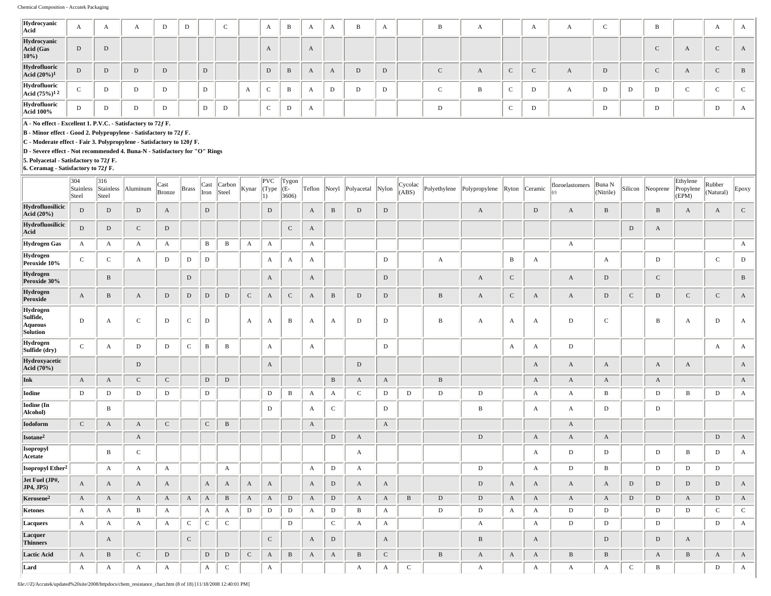| Hydrocyanic<br>Acid                     | $\mathbf{A}$ | А |   |  |   | $\sim$<br>◡ |   | A         | в                 | $\Gamma$     | А | B | $\Gamma$ | в | $\mathbf{A}$ |             | A      |           | $\sim$ | B |          |   | $\Gamma$     |
|-----------------------------------------|--------------|---|---|--|---|-------------|---|-----------|-------------------|--------------|---|---|----------|---|--------------|-------------|--------|-----------|--------|---|----------|---|--------------|
| Hydrocyanic<br>Acid (Gas<br>$ 10\% $    | D            | D |   |  |   |             |   | $\Lambda$ |                   | $\mathbf{r}$ |   |   |          |   |              |             |        |           |        |   | $\Gamma$ |   | $\mathbf{L}$ |
| Hydrofluoric<br>Acid (20%) <sup>1</sup> | D            | D | D |  | D |             |   | D         | B                 | $\mathbf{r}$ | A | D | D        |   | $\mathbf{A}$ | $\sim$<br>◡ | $\sim$ | $\Lambda$ | D      |   | $\Gamma$ |   | B            |
| $\fbox{HydrofluoricAcid (75%)1 2$       | $\sim$       | D | D |  | D |             | A | $\sim$    | $\mathbf{r}$<br>в | $\Gamma$     | D | D | D        |   | B            | $\sim$<br>◡ | D      |           | D      | D |          |   |              |
| Hydrofluoric<br><b>Acid 100%</b>        |              | D | D |  | D | D           |   | $\sim$    | D                 | Ð            |   |   |          | D |              | $\sim$<br>◡ | D      |           | D      | D |          | D | $\sqrt{1}$   |

**B - Minor effect - Good 2. Polypropylene - Satisfactory to 72ƒ F.**

**C - Moderate effect - Fair 3. Polypropylene - Satisfactory to 120ƒ F.**

**D - Severe effect - Not recommended 4. Buna-N - Satisfactory for "O" Rings**

**5. Polyacetal - Satisfactory to 72ƒ F.**

**6. Ceramag - Satisfactory to 72ƒ F.** 304 **Stainless** Steel 316 Stainless Steel Aluminum  $\int_{\mathbb{R}}$  Cast Cast Brass Cast Iron Carbon<br>Steel Kynar PVC (Type 1) Tygon  $|E 3606$ Teflon Noryl Polyacetal Nylon Cycolac  $\left| \text{Polyptopy} \right|$  Polypropylene  $\left| \text{Python} \right|$  Ceramic floroelastomers (r) Buna N<br>(Nitrile) Silicon Neoprene Ethylene Propylene (EPM) Rubber (Natural) Epoxy **Hydrofluosilicic Acid (20%)**<br>**Acid (20%)** D D D A D A D D A D D A D D A D D A B D D A B D A B B A A C **Hydrofluosilicic Acid** D D C D C A D A **Hydrogen Gas** A A A A B B A A A A A **Hydrogen**<br>**Peroxide 10% Peroxide 10%** C C A D D D A A A D A B A A D C D **Hydrogen Peroxide 30%** B D A A D A C A D C B **Hydrogen Peroxide** A B A D D D D C A C A B D D B A C A A D C D C C A **Hydrogen Sulfide, Aqueous Solution** D A C D C D A A B A A D D D B A A A D C B A D A **Hydrogen Sulfide (dry)** C A D D C B B A A D A A D A A **Hydroxyacetic Acid (70%)** D A D A A A A A A **Ink** A A C C D D B A A B A A A A A **Iodine** D D D D D D B A A C D D D D A A B D B D A **Iodine (In Alcohol)** B D A C D B A A D D **Iodoform** C A A C C B A A A **Isotane<sup>2</sup>** A D A D A A A D A **Isopropyl Acetate** B C A A D D D B D A **Isopropyl Ether2** A A A A A D A D A D B D D D **Jet Fuel (JP#, JP4, JP5)** A A A A A A A A A D A A D A A A A D D D D A **Kerosene2** A A A A A A B A A D A D A A B D D A A A A D D A D A **Ketones** | A | A | B | A | | A | A | D | D | A | D | B | A |  $\,$  | D | D | D | A | D | D | D | D | C | C **Lacquers** | A | A | A | A | C | C | C | D | D | D | C | A | A | | \_ | \_ A | \_ | A | \_ D | D | D | \_ | D | A | **Lacquer Thinners** A C C A D A B A D D A **Lactic Acid** A B C D D D C A B A A B C B A A A B B A B A A **Lard** A A A A A C A A A C A A A A C B D A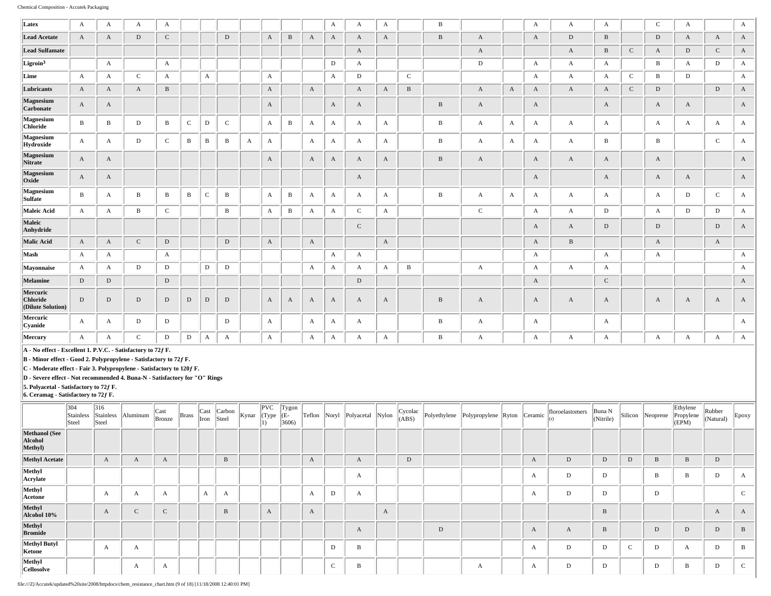| Latex                                                                                                                                                                                                                                                                                    | A            | A            | A            | A            |              |              |              |              |              |              |              | $\mathbf{A}$ | A            | A            |              | B            |                  |              | $\mathbf{A}$ | A            | $\mathbf{A}$ |             | $\mathbf C$  | A            |              | A            |
|------------------------------------------------------------------------------------------------------------------------------------------------------------------------------------------------------------------------------------------------------------------------------------------|--------------|--------------|--------------|--------------|--------------|--------------|--------------|--------------|--------------|--------------|--------------|--------------|--------------|--------------|--------------|--------------|------------------|--------------|--------------|--------------|--------------|-------------|--------------|--------------|--------------|--------------|
| <b>Lead Acetate</b>                                                                                                                                                                                                                                                                      | $\mathbf{A}$ | A            | D            | $\mathbf C$  |              |              | $\mathbf D$  |              | $\mathbf{A}$ | $\, {\bf B}$ | A            | $\mathbf{A}$ | A            | A            |              | $\, {\bf B}$ | $\boldsymbol{A}$ |              | $\mathbf{A}$ | D            | $\, {\bf B}$ |             | $\mathbf{D}$ | A            | A            | $\mathbf{A}$ |
| <b>Lead Sulfamate</b>                                                                                                                                                                                                                                                                    |              |              |              |              |              |              |              |              |              |              |              |              | A            |              |              |              | $\boldsymbol{A}$ |              |              | A            | $\, {\bf B}$ | $\mathbf C$ | $\mathbf{A}$ | ${\rm D}$    | $\mathsf C$  | $\mathbf{A}$ |
| Ligroin <sup>3</sup>                                                                                                                                                                                                                                                                     |              | A            |              | A            |              |              |              |              |              |              |              | $\mathbf D$  | A            |              |              |              | $\mathbf D$      |              | $\mathbf{A}$ | $\mathbf{A}$ | $\mathbf{A}$ |             | B            | $\mathbf{A}$ | D            | $\mathbf{A}$ |
| Lime                                                                                                                                                                                                                                                                                     | A            | A            | $\mathbf{C}$ | $\mathbf{A}$ |              | A            |              |              | $\mathbf{A}$ |              |              | $\mathbf{A}$ | $\mathbf D$  |              | $\mathbf C$  |              |                  |              | $\mathbf{A}$ | $\mathbf{A}$ | $\mathbf{A}$ | $\mathbf C$ | $\mathbf{B}$ | $\mathbf D$  |              | $\mathbf{A}$ |
| Lubricants                                                                                                                                                                                                                                                                               | $\mathbf{A}$ | $\mathbf{A}$ | $\mathbf{A}$ | $\, {\bf B}$ |              |              |              |              | $\mathbf{A}$ |              | $\mathbf{A}$ |              | A            | A            | $\, {\bf B}$ |              | $\boldsymbol{A}$ | $\mathbf{A}$ | $\mathbf{A}$ | $\mathbf{A}$ | $\mathbf{A}$ | $\mathbf C$ | D            |              | ${\rm D}$    | $\mathbf{A}$ |
| Magnesium<br>Carbonate                                                                                                                                                                                                                                                                   | $\mathbf{A}$ | $\mathbf{A}$ |              |              |              |              |              |              | $\mathbf{A}$ |              |              | $\mathbf{A}$ | A            |              |              | $\, {\bf B}$ | $\mathbf{A}$     |              | $\mathbf{A}$ |              | $\mathbf{A}$ |             | $\mathbf{A}$ | A            |              | $\mathbf{A}$ |
| Magnesium<br>Chloride                                                                                                                                                                                                                                                                    | $\, {\bf B}$ | $\mathbf{B}$ | D            | $\, {\bf B}$ | $\mathbf C$  | $\mathbf D$  | $\mathsf C$  |              | $\mathbf{A}$ | $\, {\bf B}$ | $\mathbf{A}$ | A            | A            | $\mathbf{A}$ |              | $\, {\bf B}$ | $\boldsymbol{A}$ | A            | $\mathbf{A}$ | $\mathbf{A}$ | A            |             | $\mathbf{A}$ | $\mathbf{A}$ | $\mathbf{A}$ | $\mathbf{A}$ |
| Magnesium<br>Hydroxide                                                                                                                                                                                                                                                                   | $\mathbf{A}$ | A            | D            | $\mathbf C$  | B            | B            | B            | $\mathbf{A}$ | $\mathbf{A}$ |              | $\mathbf{A}$ | $\mathbf{A}$ | A            | $\mathbf{A}$ |              | $\, {\bf B}$ | $\boldsymbol{A}$ | A            | $\mathbf{A}$ | $\mathbf{A}$ | B            |             | $\mathbf{B}$ |              | $\mathbf{C}$ | $\mathbf{A}$ |
| <b>Magnesium</b><br>Nitrate                                                                                                                                                                                                                                                              | $\mathbf{A}$ | $\mathbf{A}$ |              |              |              |              |              |              | $\mathbf{A}$ |              | A            | $\mathbf{A}$ | A            | A            |              | $\, {\bf B}$ | $\boldsymbol{A}$ |              | $\mathbf{A}$ | $\mathbf{A}$ | $\mathbf{A}$ |             | $\mathbf{A}$ |              |              | $\mathbf{A}$ |
| Magnesium<br>Oxide                                                                                                                                                                                                                                                                       | A            | $\mathbf{A}$ |              |              |              |              |              |              |              |              |              |              | A            |              |              |              |                  |              | $\mathbf{A}$ |              | $\mathbf{A}$ |             | $\mathbf{A}$ | A            |              | $\mathbf{A}$ |
| Magnesium<br>Sulfate                                                                                                                                                                                                                                                                     | $\, {\bf B}$ | A            | B            | B            | $\, {\bf B}$ | $\mathbf C$  | $\, {\bf B}$ |              | $\mathbf{A}$ | $\, {\bf B}$ | $\mathbf{A}$ | A            | A            | A            |              | $\, {\bf B}$ | $\mathbf{A}$     | A            | $\mathbf{A}$ | $\mathbf{A}$ | $\mathbf{A}$ |             | $\mathbf{A}$ | D            | $\mathbf C$  | $\mathbf{A}$ |
| Maleic Acid                                                                                                                                                                                                                                                                              | A            | A            | $\, {\bf B}$ | $\mathbf C$  |              |              | B            |              | $\mathbf{A}$ | $\, {\bf B}$ | A            | $\mathbf{A}$ | $\mathbf C$  | A            |              |              | $\mathbf C$      |              | $\mathbf{A}$ | A            | $\mathbf{D}$ |             | $\mathbf{A}$ | $\mathbf D$  | $\mathbf D$  | A            |
| Maleic<br>Anhydride                                                                                                                                                                                                                                                                      |              |              |              |              |              |              |              |              |              |              |              |              | $\mathbf{C}$ |              |              |              |                  |              | $\mathbf{A}$ | $\mathbf{A}$ | D            |             | D            |              | $\mathbf D$  | $\mathbf{A}$ |
| Malic Acid                                                                                                                                                                                                                                                                               | $\mathbf{A}$ | $\mathbf{A}$ | $\mathbf{C}$ | ${\rm D}$    |              |              | $\mathbf D$  |              | $\mathbf{A}$ |              | $\mathbf{A}$ |              |              | $\mathbf{A}$ |              |              |                  |              | $\mathbf{A}$ | $\, {\bf B}$ |              |             | $\mathbf{A}$ |              | $\mathbf{A}$ |              |
| Mash                                                                                                                                                                                                                                                                                     | A            | A            |              | $\mathbf{A}$ |              |              |              |              |              |              |              | A            | A            |              |              |              |                  |              | $\mathbf{A}$ |              | $\mathbf{A}$ |             | $\mathbf{A}$ |              |              | $\mathbf{A}$ |
| Mayonnaise                                                                                                                                                                                                                                                                               | A            | A            | D            | $\mathbf D$  |              | D            | $\mathbf D$  |              |              |              | A            | $\mathbf{A}$ | A            | $\mathbf{A}$ | $\mathbf{B}$ |              | $\boldsymbol{A}$ |              | $\mathbf{A}$ | $\mathbf{A}$ | $\mathbf{A}$ |             |              |              |              | $\mathbf{A}$ |
| Melamine                                                                                                                                                                                                                                                                                 | $\mathbf D$  | ${\rm D}$    |              | ${\rm D}$    |              |              |              |              |              |              |              |              | $\mathbf D$  |              |              |              |                  |              | $\mathbf{A}$ |              | ${\bf C}$    |             |              |              |              | $\mathbf{A}$ |
| Mercuric<br>Chloride<br>(Dilute Solution)                                                                                                                                                                                                                                                | D            | D            | D            | $\,$ D       | D            | D            | D            |              | $\mathbf{A}$ | A            | A            | $\mathbf{A}$ | A            | A            |              | $\, {\bf B}$ | $\mathbf{A}$     |              | $\mathbf{A}$ | $\mathbf{A}$ | $\mathbf{A}$ |             | $\mathbf{A}$ | A            | $\mathbf{A}$ | $\mathbf{A}$ |
| Mercuric<br>Cyanide                                                                                                                                                                                                                                                                      | $\mathbf{A}$ | A            | D            | D            |              |              | D            |              | $\mathbf{A}$ |              | $\mathbf{A}$ | A            | A            |              |              | $\, {\bf B}$ | $\mathbf{A}$     |              | $\mathbf{A}$ |              | $\mathbf{A}$ |             |              |              |              | $\mathbf{A}$ |
| Mercury                                                                                                                                                                                                                                                                                  | $\mathbf{A}$ | $\mathbf{A}$ | $\mathbf{C}$ | D            | $\mathbf D$  | $\mathbf{A}$ | $\mathbf{A}$ |              | $\mathbf{A}$ |              | $\mathbf{A}$ | A            | A            | A            |              | $\, {\bf B}$ | $\boldsymbol{A}$ |              | A            | $\mathbf{A}$ | A            |             | $\mathbf{A}$ | А            | A            | $\mathbf{A}$ |
| A - No effect - Excellent 1. P.V.C. - Satisfactory to 72f F.<br>B - Minor effect - Good 2. Polypropylene - Satisfactory to 72f F.<br>C - Moderate effect - Fair 3. Polypropylene - Satisfactory to 120f F.<br>D - Severe effect - Not recommended 4. Buna-N - Satisfactory for "O" Rings |              |              |              |              |              |              |              |              |              |              |              |              |              |              |              |              |                  |              |              |              |              |             |              |              |              |              |

**5. Polyacetal - Satisfactory to 72ƒ F.**

|                                            | 304<br>Stainless<br>Steel | 316<br>Stainless<br>Steel | Aluminum    | $\vert$ Cast<br>Bronze | <b>Brass</b> | Iron | $\vert$ Cast $\vert$ Carbon<br>Steel | Kynar | $ {\rm PVC} $<br>(Type | Tygon<br>(E-<br>3606 | Teflon Noryl     |        | Polyacetal | Nylon | Cycolac<br>(ABS) |   | Polyethylene Polypropylene Ryton Ceramic |   | floroelastomers | Buna N<br>(Nitrile) |            | Silicon Neoprene | Ethylene<br>Propylene<br>(EPM) | Rubber<br>(Natural) | $\vert$ Epoxy   |
|--------------------------------------------|---------------------------|---------------------------|-------------|------------------------|--------------|------|--------------------------------------|-------|------------------------|----------------------|------------------|--------|------------|-------|------------------|---|------------------------------------------|---|-----------------|---------------------|------------|------------------|--------------------------------|---------------------|-----------------|
| <b>Methanol</b> (See<br>Alcohol<br>Methyl) |                           |                           |             |                        |              |      |                                      |       |                        |                      |                  |        |            |       |                  |   |                                          |   |                 |                     |            |                  |                                |                     |                 |
| <b>Methyl Acetate</b>                      |                           | A                         | A           |                        |              |      | $\, {\bf B}$                         |       |                        |                      | $\mathbf{A}$     |        | A          |       | $\mathbf D$      |   |                                          | A | $\mathbf D$     | D                   | D          | B                |                                | $\mathbf D$         |                 |
| Methyl<br>Acrylate                         |                           |                           |             |                        |              |      |                                      |       |                        |                      |                  |        | A          |       |                  |   |                                          | А | D               | D                   |            | B                |                                | D                   |                 |
| Methyl<br>Acetone                          |                           | A                         | А           | А                      |              | A    | A                                    |       |                        |                      | $\boldsymbol{A}$ | D      | A          |       |                  |   |                                          | А | D               | D                   |            | $\mathbf D$      |                                |                     | $\sim$          |
| Methyl<br>Alcohol 10%                      |                           | $\mathbf{A}$              | $\sim$<br>◡ | $\sim$<br>╰            |              |      | $\, {\bf B}$                         |       | А                      |                      | A                |        |            | A     |                  |   |                                          |   |                 | B                   |            |                  |                                | A                   | $\overline{A}$  |
| Methyl<br><b>Bromide</b>                   |                           |                           |             |                        |              |      |                                      |       |                        |                      |                  |        | A          |       |                  | D |                                          | A | A               | B                   |            | $\mathbf D$      | D                              | ${\rm D}$           | B               |
| Methyl Butyl<br>Ketone                     |                           | A                         | А           |                        |              |      |                                      |       |                        |                      |                  | D      | B          |       |                  |   |                                          | А | D               | D                   | $\sqrt{2}$ | D                | A                              | D                   | $\overline{B}$  |
| Methyl<br><b>Cellosolve</b>                |                           |                           | A           | А                      |              |      |                                      |       |                        |                      |                  | $\sim$ | B          |       |                  |   | А                                        | А | D               | D                   |            | D                | B                              | D                   | $\sqrt{2}$<br>╰ |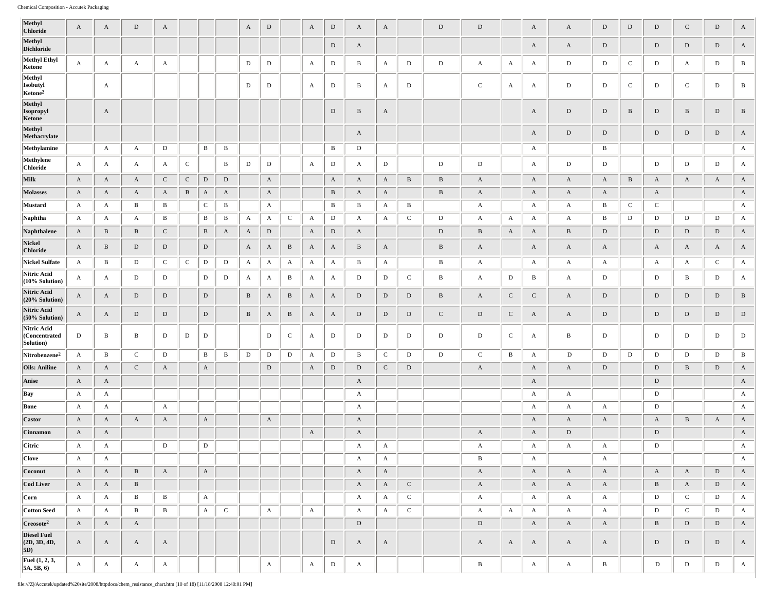| Methyl<br>Chloride                        | A            | A            | D            | A            |              |              |              | A            | ${\rm D}$    |              | $\mathbf{A}$ | ${\rm D}$    | A            | A            |              | D            | D            |              | A            | $\mathbf{A}$ | $\mathbf D$  | $\,$ D       | $\mathbf D$  | $\mathbf C$  | ${\rm D}$    | $\mathbf{A}$ |
|-------------------------------------------|--------------|--------------|--------------|--------------|--------------|--------------|--------------|--------------|--------------|--------------|--------------|--------------|--------------|--------------|--------------|--------------|--------------|--------------|--------------|--------------|--------------|--------------|--------------|--------------|--------------|--------------|
| Methyl<br><b>Dichloride</b>               |              |              |              |              |              |              |              |              |              |              |              | $\mathbf D$  | A            |              |              |              |              |              | A            | A            | $\mathbf D$  |              | $\mathbf D$  | $\mathbf D$  | $\mathbf D$  | $\mathbf{A}$ |
| <b>Methyl Ethyl</b><br>Ketone             | $\mathbf{A}$ | A            | A            | A            |              |              |              | D            | D            |              | A            | D            | B            | A            | D            | D            | A            | $\mathbf{A}$ | $\mathbf{A}$ | D            | D            | $\mathbf C$  | D            | A            | D            | B            |
| Methyl<br>Isobutyl<br>Ketone <sup>2</sup> |              | A            |              |              |              |              |              | D            | D            |              | A            | D            | B            | $\mathbf{A}$ | D            |              | $\mathbf C$  | $\mathbf{A}$ | A            | D            | D            | $\mathbf C$  | D            | $\mathbf C$  | D            | В            |
| Methyl<br>Isopropyl<br>Ketone             |              | $\mathbf{A}$ |              |              |              |              |              |              |              |              |              | $\mathbf D$  | $\, {\bf B}$ | $\mathbf{A}$ |              |              |              |              | A            | D            | $\mathbf D$  | $\, {\bf B}$ | $\mathbf D$  | $\, {\bf B}$ | $\mathbf D$  | $\, {\bf B}$ |
| Methyl<br>Methacrylate                    |              |              |              |              |              |              |              |              |              |              |              |              | A            |              |              |              |              |              | A            | D            | D            |              | $\mathbf D$  | $\mathbf{D}$ | $\mathbf D$  | $\mathbf{A}$ |
| Methylamine                               |              | A            | A            | $\,$ D       |              | В            | B            |              |              |              |              | B            | D            |              |              |              |              |              | A            |              | B            |              |              |              |              | A            |
| Methylene<br><b>Chloride</b>              | A            | A            | A            | $\mathbf{A}$ | $\mathsf{C}$ |              | B            | D            | D            |              | A            | D            | A            | D            |              | $\mathbf D$  | D            |              | A            | D            | D            |              | $\mathbf D$  | D            | D            | A            |
| Milk                                      | $\mathbf{A}$ | $\mathbf{A}$ | $\mathbf{A}$ | $\mathbf{C}$ | $\mathbf C$  | D            | ${\rm D}$    |              | A            |              |              | $\mathbf{A}$ | A            | A            | $\, {\bf B}$ | B            | $\mathbf{A}$ |              | A            | A            | $\mathbf{A}$ | B            | $\mathbf{A}$ | $\mathbf{A}$ | $\mathbf{A}$ | $\mathbf{A}$ |
| <b>Molasses</b>                           | A            | $\mathbf{A}$ | $\mathbf{A}$ | $\mathbf{A}$ | B            | $\mathbf{A}$ | $\mathbf{A}$ |              | $\mathbf{A}$ |              |              | $\mathbf{B}$ | A            | $\mathbf{A}$ |              | B            | $\mathbf{A}$ |              | A            | A            | A            |              | A            |              |              | $\mathbf{A}$ |
| Mustard                                   | A            | A            | $\mathbf B$  | $\bf{B}$     |              | $\mathbf{C}$ | В            |              | $\mathbf{A}$ |              |              | B            | B            | A            | $\bf{B}$     |              | A            |              | A            | $\mathbf{A}$ | $\, {\bf B}$ | $\mathbf C$  | $\mathbf C$  |              |              | A            |
| Naphtha                                   | A            | A            | A            | B            |              | В            | В            | A            | $\mathbf{A}$ | $\mathsf{C}$ | A            | D            | A            | $\mathbf{A}$ | $\mathbf C$  | D            | A            | A            | A            | A            | B            | D            | D            | D            | D            | A            |
| Naphthalene                               | $\mathbf{A}$ | $\, {\bf B}$ | B            | $\mathbf C$  |              | $\mathbf{B}$ | A            | A            | D            |              | A            | $\mathbf D$  | A            |              |              | D            | $\, {\bf B}$ | A            | A            | B            | ${\rm D}$    |              | $\mathbf D$  | D            | D            | $\mathbf{A}$ |
| Nickel<br><b>Chloride</b>                 | $\mathbf{A}$ | $\mathbf{B}$ | $\mathbf D$  | $\mathbf D$  |              | D            |              | A            | A            | B            | $\mathbf{A}$ | A            | $\, {\bf B}$ | A            |              | $\, {\bf B}$ | A            |              | A            | A            | A            |              | A            | A            | $\mathbf{A}$ | $\mathbf{A}$ |
| <b>Nickel Sulfate</b>                     | A            | $\mathbf{B}$ | D            | $\mathbf C$  | $\mathsf{C}$ | $\mathbf D$  | D            | A            | $\mathbf{A}$ | A            | $\mathbf{A}$ | $\mathbf{A}$ | B            | $\mathbf{A}$ |              | $\, {\bf B}$ | A            |              | $\mathbf{A}$ | A            | A            |              | $\mathbf{A}$ | A            | $\mathbf C$  | A            |
| Nitric Acid<br>(10% Solution)             | A            | $\mathbf{A}$ | D            | D            |              | D            | D            | A            | A            | B            | А            | A            | D            | D            | $\mathbf C$  | B            | A            | D            | B            | $\mathbf{A}$ | D            |              | D            | B            | D            | A            |
| Nitric Acid<br>(20% Solution)             | A            | $\mathbf{A}$ | D            | $\mathbf D$  |              | D            |              | $\, {\bf B}$ | $\mathbf{A}$ | B            | $\mathbf{A}$ | $\mathbf{A}$ | $\mathbf D$  | D            | D            | B            | $\mathbf{A}$ | $\mathbf C$  | $\mathbf{C}$ | $\mathbf{A}$ | $\mathbf D$  |              | $\mathbf D$  | D            | D            | $\, {\bf B}$ |
| Nitric Acid<br>(50% Solution)             | A            | A            | D            | $\mathbf D$  |              | D            |              | $\, {\bf B}$ | A            | $\, {\bf B}$ | A            | A            | $\mathbf D$  | $\mathbf D$  | $\mathbf D$  | $\mathbf{C}$ | $\mathbf D$  | $\mathbf C$  | A            | A            | $\mathbf D$  |              | ${\rm D}$    | $\mathbf D$  | $\mathbf D$  | $\mathbf D$  |
| Nitric Acid<br>(Concentrated<br>Solution) | D            | B            | B            | D            | D            | D            |              |              | D            | $\mathbf C$  | A            | D            | D            | D            | D            | D            | D            | $\mathbf{C}$ | A            | $\mathbf{B}$ | D            |              | D            | D            | D            | D            |
| Nitrobenzene <sup>2</sup>                 | $\mathbf{A}$ | $\mathbf{B}$ | $\mathbf{C}$ | D            |              | B            | B            | D            | D            | D            | A            | D            | B            | $\mathbf C$  | D            | D            | $\mathbf{C}$ | $\bf{B}$     | A            | D            | D            | D            | D            | D            | D            | B            |
| <b>Oils: Aniline</b>                      | $\mathbf{A}$ | $\mathbf{A}$ | $\mathbf{C}$ | $\mathbf{A}$ |              | $\mathbf{A}$ |              |              | ${\rm D}$    |              | $\mathbf{A}$ | $\mathbf{D}$ | $\mathbf D$  | $\mathbf{C}$ | D            |              | $\mathbf{A}$ |              | A            | $\mathbf{A}$ | ${\rm D}$    |              | ${\rm D}$    | $\, {\bf B}$ | D            | $\mathbf{A}$ |
| <b>Anise</b>                              | A            | $\mathbf{A}$ |              |              |              |              |              |              |              |              |              |              | A            |              |              |              |              |              | A            |              |              |              | $\mathbf D$  |              |              | $\mathbf{A}$ |
| Bay                                       | $\mathbf{A}$ | A            |              |              |              |              |              |              |              |              |              |              | A            |              |              |              |              |              | A            | A            |              |              | D            |              |              | A            |
| Bone                                      | $\mathbf{A}$ | A            |              | $\mathbf{A}$ |              |              |              |              |              |              |              |              | A            |              |              |              |              |              | A            | A            | $\mathbf{A}$ |              | $\mathbf D$  |              |              | A            |
| Castor                                    | A            | $\mathbf{A}$ | $\mathbf{A}$ | A            |              | $\mathbf{A}$ |              |              | $\mathbf{A}$ |              |              |              | A            |              |              |              |              |              | A            | $\mathbf{A}$ | A            |              | A            | B            | $\mathbf{A}$ | $\mathbf{A}$ |
| <b>Cinnamon</b>                           | A            | A            |              |              |              |              |              |              |              |              | $\mathbf{A}$ |              | A            |              |              |              | A            |              | A            | D            |              |              | ${\rm D}$    |              |              | $\mathbf{A}$ |
| Citric                                    | $\mathbf{A}$ | $\mathbf{A}$ |              | D            |              | D            |              |              |              |              |              |              | A            | A            |              |              | A            |              | A            | A            | A            |              | D            |              |              | A            |
| <b>Clove</b>                              | $\mathbf{A}$ | $\mathbf{A}$ |              |              |              |              |              |              |              |              |              |              | A            | $\mathbf{A}$ |              |              | $\mathbf{B}$ |              | $\mathbf{A}$ |              | $\mathbf{A}$ |              |              |              |              | $\mathbf{A}$ |
| Coconut                                   | $\mathbf{A}$ | $\mathbf{A}$ | $\mathbf{B}$ | $\mathbf{A}$ |              | $\mathbf{A}$ |              |              |              |              |              |              | $\mathbf{A}$ | $\mathbf{A}$ |              |              | $\mathbf{A}$ |              | A            | $\mathbf{A}$ | $\mathbf{A}$ |              | $\mathbf{A}$ | $\mathbf{A}$ | $\mathbf D$  | $\mathbf{A}$ |
| <b>Cod Liver</b>                          | $\mathbf{A}$ | $\mathbf{A}$ | B            |              |              |              |              |              |              |              |              |              | $\mathbf{A}$ | $\mathbf{A}$ | $\mathbf{C}$ |              | $\mathbf{A}$ |              | $\mathbf{A}$ | $\mathbf{A}$ | $\mathbf{A}$ |              | $\, {\bf B}$ | $\mathbf{A}$ | $\mathbf{D}$ | $\mathbf{A}$ |
| Corn                                      | $\mathbf{A}$ | $\mathbf{A}$ | $\bf{B}$     | $\bf{B}$     |              | $\mathbf{A}$ |              |              |              |              |              |              | $\mathbf{A}$ | $\mathbf{A}$ | $\mathbf{C}$ |              | $\mathbf{A}$ |              | $\mathbf{A}$ | $\mathbf{A}$ | $\mathbf{A}$ |              | $\mathbf D$  | $\mathbf C$  | D            | $\mathbf{A}$ |
| <b>Cotton Seed</b>                        | $\mathbf{A}$ | $\mathbf{A}$ | $\bf{B}$     | $\, {\bf B}$ |              | $\mathbf{A}$ | $\mathbf{C}$ |              | $\mathbf{A}$ |              | $\mathbf{A}$ |              | A            | $\mathbf{A}$ | $\mathbf C$  |              | $\mathbf{A}$ | $\mathbf{A}$ | $\mathbf{A}$ | A            | $\mathbf{A}$ |              | $\mathbf D$  | $\mathbf C$  | D            | $\mathbf{A}$ |
| Creosote <sup>2</sup>                     | $\mathbf{A}$ | $\mathbf{A}$ | $\mathbf{A}$ |              |              |              |              |              |              |              |              |              | $\mathbf D$  |              |              |              | $\mathbf D$  |              | $\mathbf{A}$ | $\mathbf{A}$ | $\mathbf{A}$ |              | $\, {\bf B}$ | $\mathbf{D}$ | $\,$ D       | $\mathbf{A}$ |
| <b>Diesel Fuel</b><br>(2D, 3D, 4D,<br>5D) | A            | $\mathbf{A}$ | A            | $\mathbf{A}$ |              |              |              |              |              |              |              | $\mathbf{D}$ | A            | $\mathbf{A}$ |              |              | $\mathbf{A}$ | $\mathbf{A}$ | $\mathbf{A}$ | $\mathbf{A}$ | $\mathbf{A}$ |              | ${\rm D}$    | $\mathbf{D}$ | $\mathbf D$  | $\mathbf{A}$ |
| Fuel (1, 2, 3,<br>5A, 5B, 6)              | $\mathbf{A}$ | $\mathbf{A}$ | $\mathbf{A}$ | $\mathbf{A}$ |              |              |              |              | $\mathbf{A}$ |              | $\mathbf{A}$ | D            | A            |              |              |              | $\, {\bf B}$ |              | $\mathbf{A}$ | $\mathbf{A}$ | $\, {\bf B}$ |              | $\mathbf{D}$ | D            | D            | $\mathbf{A}$ |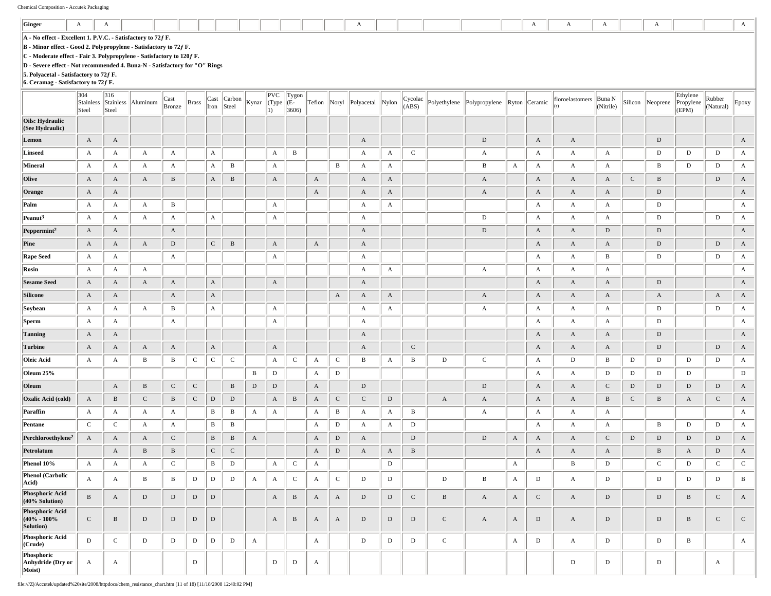| Ginger                                          | A                                                                                                                                                                                                                                                                                                                                                                         | A            |                       |                |              |              |                 |              |                             |                         |              |              | A                |              |                  |              |                             |             | $\mathbf{A}$ | A               | A                   |              | A            |                                |                     | A                     |
|-------------------------------------------------|---------------------------------------------------------------------------------------------------------------------------------------------------------------------------------------------------------------------------------------------------------------------------------------------------------------------------------------------------------------------------|--------------|-----------------------|----------------|--------------|--------------|-----------------|--------------|-----------------------------|-------------------------|--------------|--------------|------------------|--------------|------------------|--------------|-----------------------------|-------------|--------------|-----------------|---------------------|--------------|--------------|--------------------------------|---------------------|-----------------------|
|                                                 | A - No effect - Excellent 1. P.V.C. - Satisfactory to 72f F.<br>B - Minor effect - Good 2. Polypropylene - Satisfactory to 72f F.<br>C - Moderate effect - Fair 3. Polypropylene - Satisfactory to 120f F.<br>D - Severe effect - Not recommended 4. Buna-N - Satisfactory for "O" Rings<br>5. Polyacetal - Satisfactory to 72f F.<br>6. Ceramag - Satisfactory to 72f F. |              |                       |                |              |              |                 |              |                             |                         |              |              |                  |              |                  |              |                             |             |              |                 |                     |              |              |                                |                     |                       |
|                                                 | 304<br>Stainless<br>Steel                                                                                                                                                                                                                                                                                                                                                 | 316<br>Steel | Stainless Aluminum    | Cast<br>Bronze | <b>Brass</b> | Cast<br>Iron | Carbon<br>Steel | Kynar        | PVC<br>(Type<br>$ 1\rangle$ | Tygon<br>$(E -$<br>3606 | Teflon Noryl |              | Polyacetal Nylon |              | Cycolac<br>(ABS) | Polyethylene | Polypropylene Ryton Ceramic |             |              | floroelastomers | Buna N<br>(Nitrile) | Silicon      | Neoprene     | Ethylene<br>Propylene<br>(EPM) | Rubber<br>(Natural) | Epoxy                 |
| Oils: Hydraulic<br>(See Hydraulic)              |                                                                                                                                                                                                                                                                                                                                                                           |              |                       |                |              |              |                 |              |                             |                         |              |              |                  |              |                  |              |                             |             |              |                 |                     |              |              |                                |                     |                       |
| Lemon                                           | $\mathbf{A}$                                                                                                                                                                                                                                                                                                                                                              | A            |                       |                |              |              |                 |              |                             |                         |              |              | A                |              |                  |              | $\mathbf D$                 |             | $\mathbf{A}$ | A               |                     |              | $\mathbf D$  |                                |                     | A                     |
| Linseed                                         | $\mathbf{A}$                                                                                                                                                                                                                                                                                                                                                              | A            | $\mathbf{A}$          | $\mathbf{A}$   |              | $\mathbf{A}$ |                 |              | A                           | $\mathbf{B}$            |              |              | A                | $\mathbf{A}$ | $\mathbf C$      |              | A                           |             | $\mathbf{A}$ | $\mathbf{A}$    | $\mathbf{A}$        |              | $\mathbf D$  | D                              | D                   | A                     |
| Mineral                                         | A                                                                                                                                                                                                                                                                                                                                                                         | A            | A                     | $\mathbf{A}$   |              | $\mathbf{A}$ | B               |              | A                           |                         |              | $\, {\bf B}$ | A                | $\mathbf{A}$ |                  |              | В                           | A           | $\mathbf{A}$ | A               | $\mathbf{A}$        |              | B            | D                              | D                   | $\mathbf{A}$          |
| Olive                                           | $\mathbf{A}$                                                                                                                                                                                                                                                                                                                                                              | $\rm A$      | $\boldsymbol{\rm{A}}$ | $\, {\bf B}$   |              | $\mathbf A$  | $\, {\bf B}$    |              | $\mathbf{A}$                |                         | A            |              | $\mathbf{A}$     | $\mathbf{A}$ |                  |              | $\mathbf{A}$                |             | $\mathbf{A}$ | $\mathbf{A}$    | $\boldsymbol{A}$    | $\mathbf C$  | $\, {\bf B}$ |                                | $\,$ D              | $\boldsymbol{\rm{A}}$ |
| Orange                                          | $\mathbf{A}$                                                                                                                                                                                                                                                                                                                                                              | A            |                       |                |              |              |                 |              |                             |                         | $\mathbf{A}$ |              | $\mathbf{A}$     | $\mathbf{A}$ |                  |              | A                           |             | $\mathbf{A}$ | A               | $\mathbf{A}$        |              | $\mathbf D$  |                                |                     | $\boldsymbol{\rm{A}}$ |
| Palm                                            | A                                                                                                                                                                                                                                                                                                                                                                         | A            | A                     | B              |              |              |                 |              | A                           |                         |              |              | A                | $\mathbf{A}$ |                  |              |                             |             | $\mathbf{A}$ | A               | A                   |              | D            |                                |                     | A                     |
| Peanut <sup>3</sup>                             | $\mathbf{A}$                                                                                                                                                                                                                                                                                                                                                              | A            | $\mathbf{A}$          | A              |              | $\mathbf{A}$ |                 |              | A                           |                         |              |              | A                |              |                  |              | D                           |             | $\mathbf{A}$ | A               | $\mathbf{A}$        |              | $\mathbf D$  |                                | $\mathbf D$         | A                     |
| $Peppermint^2$                                  | $\mathbf{A}$                                                                                                                                                                                                                                                                                                                                                              | A            |                       | $\mathbf{A}$   |              |              |                 |              |                             |                         |              |              | A                |              |                  |              | D                           |             | $\mathbf{A}$ | $\mathbf{A}$    | D                   |              | $\mathbf D$  |                                |                     | A                     |
| Pine                                            | $\mathbf{A}$                                                                                                                                                                                                                                                                                                                                                              | $\mathbf{A}$ | $\mathbf{A}$          | $\mathbf D$    |              | ${\bf C}$    | $\, {\bf B}$    |              | $\mathbf{A}$                |                         | $\mathbf{A}$ |              | A                |              |                  |              |                             |             | $\mathbf{A}$ | $\mathbf{A}$    | $\mathbf{A}$        |              | $\mathbf D$  |                                | $\,$ D              | A                     |
| <b>Rape Seed</b>                                | $\mathbf{A}$                                                                                                                                                                                                                                                                                                                                                              | A            |                       | A              |              |              |                 |              | A                           |                         |              |              | A                |              |                  |              |                             |             | $\mathbf{A}$ | A               | B                   |              | $\mathbf D$  |                                | D                   | $\mathbf{A}$          |
| Rosin                                           | $\mathbf{A}$                                                                                                                                                                                                                                                                                                                                                              | A            | $\mathbf{A}$          |                |              |              |                 |              |                             |                         |              |              | A                | $\mathbf{A}$ |                  |              | A                           |             | $\mathbf{A}$ | $\mathbf{A}$    | $\mathbf{A}$        |              |              |                                |                     | A                     |
| <b>Sesame Seed</b>                              | $\mathbf{A}$                                                                                                                                                                                                                                                                                                                                                              | A            | A                     | $\mathbf{A}$   |              | $\mathbf{A}$ |                 |              | $\mathbf{A}$                |                         |              |              | A                |              |                  |              |                             |             | $\mathbf{A}$ | $\mathbf{A}$    | $\mathbf{A}$        |              | $\mathbf D$  |                                |                     | $\mathbf{A}$          |
| Silicone                                        | $\mathbf{A}$                                                                                                                                                                                                                                                                                                                                                              | A            |                       | $\mathbf{A}$   |              | $\mathbf{A}$ |                 |              |                             |                         |              | $\mathbf{A}$ | A                | $\mathbf{A}$ |                  |              | A                           |             | $\mathbf{A}$ | $\mathbf{A}$    | $\mathbf{A}$        |              | $\mathbf{A}$ |                                | A                   | A                     |
| Soybean                                         | A                                                                                                                                                                                                                                                                                                                                                                         | A            | $\mathbf{A}$          | B              |              | $\mathbf{A}$ |                 |              | A                           |                         |              |              | A                | $\mathbf{A}$ |                  |              | $\mathbf{A}$                |             | $\mathbf{A}$ | A               | A                   |              | D            |                                | D                   | A                     |
| <b>Sperm</b>                                    | $\mathbf{A}$                                                                                                                                                                                                                                                                                                                                                              | A            |                       | $\mathbf{A}$   |              |              |                 |              | A                           |                         |              |              | A                |              |                  |              |                             |             | $\mathbf{A}$ | A               | $\mathbf{A}$        |              | $\mathbf D$  |                                |                     | A                     |
| <b>Tanning</b>                                  | $\mathbf{A}$                                                                                                                                                                                                                                                                                                                                                              | A            |                       |                |              |              |                 |              |                             |                         |              |              | A                |              |                  |              |                             |             | $\mathbf{A}$ | $\mathbf{A}$    | $\mathbf{A}$        |              | $\mathbf D$  |                                |                     | $\boldsymbol{\rm{A}}$ |
| <b>Turbine</b>                                  | $\mathbf{A}$                                                                                                                                                                                                                                                                                                                                                              | A            | A                     | A              |              | $\mathbf{A}$ |                 |              | A                           |                         |              |              | A                |              | $\mathsf C$      |              |                             |             | $\mathbf{A}$ | A               | A                   |              | ${\rm D}$    |                                | D                   | A                     |
| Oleic Acid                                      | $\mathbf{A}$                                                                                                                                                                                                                                                                                                                                                              | A            | B                     | B              | $\mathsf{C}$ | ${\bf C}$    | $\mathbf C$     |              | A                           | $\mathbf C$             | A            | $\,c\,$      | B                | $\mathbf{A}$ | B                | D            | $\mathbf C$                 |             | $\mathbf{A}$ | D               | B                   | D            | D            | D                              | D                   | $\mathbf{A}$          |
| Oleum 25%                                       |                                                                                                                                                                                                                                                                                                                                                                           |              |                       |                |              |              |                 | B            | $\mathbf D$                 |                         | A            | $\mathbf D$  |                  |              |                  |              |                             |             | $\mathbf{A}$ | A               | D                   | D            | $\mathbf D$  | D                              |                     | D                     |
| Oleum                                           |                                                                                                                                                                                                                                                                                                                                                                           | $\mathbf A$  | $\, {\bf B}$          | ${\bf C}$      | ${\bf C}$    |              | $\, {\bf B}$    | $\mathbf D$  | $\mathbf D$                 |                         | $\mathbf A$  |              | $\mathbf D$      |              |                  |              | D                           |             | $\mathbf{A}$ | $\mathbf{A}$    | $\mathbf C$         | D            | ${\rm D}$    | $\mathbf D$                    | D                   | $\boldsymbol{\rm{A}}$ |
| Oxalic Acid (cold)                              | $\mathbf{A}$                                                                                                                                                                                                                                                                                                                                                              | B            | $\mathbf C$           | $\, {\bf B}$   | $\mathbf C$  | $\mathbf D$  | $\mathbf D$     |              | $\mathbf{A}$                | $\, {\bf B}$            | A            | $\mathbf C$  | $\mathbf{C}$     | D            |                  | $\mathbf{A}$ | A                           |             | $\mathbf{A}$ | $\mathbf{A}$    | $\, {\bf B}$        | $\mathbf{C}$ | $\, {\bf B}$ | A                              | ${\bf C}$           | $\mathbf{A}$          |
| Paraffin                                        | A                                                                                                                                                                                                                                                                                                                                                                         | A            | A                     | A              |              | B            | B               | A            | A                           |                         | A            | $\bf{B}$     | A                | A            | $\, {\bf B}$     |              | A                           |             | $\mathbf{A}$ | A               | A                   |              |              |                                |                     | A                     |
| Pentane                                         | $\mathbf C$                                                                                                                                                                                                                                                                                                                                                               | $\mathbf C$  | A                     | $\mathbf{A}$   |              | $\, {\bf B}$ | $\, {\bf B}$    |              |                             |                         | A            | $\,$ D       | A                | $\mathbf{A}$ | $\mathbf D$      |              |                             |             | $\mathbf{A}$ | A               | A                   |              | B            | D                              | D                   | A                     |
| Perchloroethylene <sup>2</sup>                  | $\mathbf{A}$                                                                                                                                                                                                                                                                                                                                                              | A            | A                     | $\mathbf C$    |              | $\, {\bf B}$ | B               | A            |                             |                         | A            | $\mathbf{D}$ | A                |              | $\mathbf D$      |              | D                           | A           | $\mathbf{A}$ | A               | $\mathbf C$         | $\mathbf D$  | ${\rm D}$    | $\mathbf D$                    | D                   | $\boldsymbol{\rm{A}}$ |
| Petrolatum                                      |                                                                                                                                                                                                                                                                                                                                                                           | $\mathbf{A}$ | $\, {\bf B}$          | $\, {\bf B}$   |              | $\,$ C       | $\mathbf C$     |              |                             |                         | A            | $\,$ D       | A                | $\mathbf{A}$ | $\, {\bf B}$     |              |                             |             | $\mathbf{A}$ | $\mathbf{A}$    | $\mathbf{A}$        |              | $\, {\bf B}$ | $\boldsymbol{\rm{A}}$          | $\,$ D              | $\boldsymbol{\rm{A}}$ |
| Phenol 10%                                      | $\mathbf{A}$                                                                                                                                                                                                                                                                                                                                                              | $\mathbf{A}$ | $\boldsymbol{A}$      | $\mathbf C$    |              | $\, {\bf B}$ | ${\rm D}$       |              | A                           | $\mathbf{C}$            | $\mathbf{A}$ |              |                  | $\mathbf D$  |                  |              |                             | A           |              | $\, {\bf B}$    | $\mathbf D$         |              | $\mathbf C$  | $\mathbf D$                    | $\mathbf C$         | $\mathbf C$           |
| <b>Phenol</b> (Carbolic<br>Acid)                | $\mathbf{A}$                                                                                                                                                                                                                                                                                                                                                              | A            | $\, {\bf B}$          | $\mathbf{B}$   | $\mathbf D$  | ${\rm D}$    | $\mathbf D$     | $\mathbf{A}$ | A                           | $\mathbf C$             | $\mathbf{A}$ | $\mathbf C$  | $\mathbf D$      | D            |                  | D            | B                           | A           | D            | A               | D                   |              | $\mathbf D$  | $\mathbf D$                    | D                   | $\, {\bf B}$          |
| <b>Phosphoric Acid</b><br>(40% Solution)        | $\, {\bf B}$                                                                                                                                                                                                                                                                                                                                                              | $\mathbf{A}$ | D                     | D              | $\mathbf D$  | $\mathbf D$  |                 |              | $\mathbf{A}$                | $\mathbf{B}$            | $\mathbf{A}$ | $\mathbf{A}$ | $\mathbf D$      | D            | $\mathbf C$      | B            | A                           | $\mathbf A$ | $\mathbf C$  | $\mathbf{A}$    | D                   |              | $\mathbf D$  | $\, {\bf B}$                   | $\mathbf C$         | A                     |
| Phosphoric Acid<br>$(40\% - 100\%$<br>Solution) | $\mathbf{C}$                                                                                                                                                                                                                                                                                                                                                              | $\, {\bf B}$ | $\mathbf D$           | D              | D            | $\mathbf D$  |                 |              | $\mathbf{A}$                | $\, {\bf B} \,$         | A            | $\mathbf{A}$ | $\mathbf D$      | D            | $\mathbf D$      | $\mathbf C$  | $\mathbf{A}$                | A           | D            | $\mathbf{A}$    | D                   |              | $\mathbf D$  | $\, {\bf B}$                   | $\mathbf C$         | $\mathbf C$           |
| Phosphoric Acid<br>(Crude)                      | $\mathbf{D}$                                                                                                                                                                                                                                                                                                                                                              | $\mathbf C$  | $\mathbf D$           | $\,$ D         | $\mathbf D$  | $\mathbf D$  | D               | $\mathbf{A}$ |                             |                         | $\mathbf A$  |              | $\mathbf D$      | D            | $\mathbf D$      | $\mathbf C$  |                             | A           | $\,$ D       | $\mathbf{A}$    | D                   |              | $\mathbf D$  | $\, {\bf B}$                   |                     | $\mathbf{A}$          |
| Phosphoric<br>Anhydride (Dry or<br>Moist)       | $\mathbf{A}$                                                                                                                                                                                                                                                                                                                                                              | A            |                       |                | D            |              |                 |              | D                           | D                       | $\mathbf{A}$ |              |                  |              |                  |              |                             |             |              | D               | D                   |              | D            |                                | $\mathbf{A}$        |                       |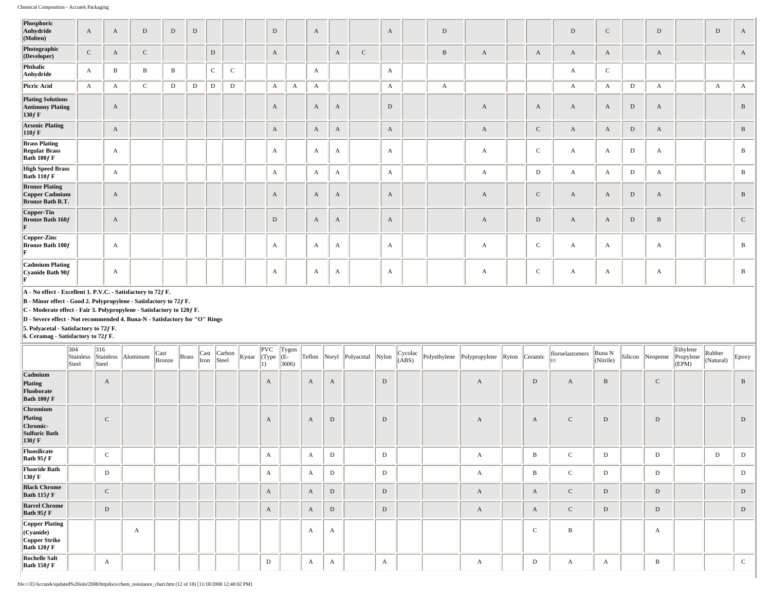| Phosphoric<br>Anhydride<br>(Molten)                                | $\mathbf{A}$ | $\mathbf{A}$ | $\,$ D       | $\,$ D       | D |              |             | $\mathbf D$  |              | $\mathbf{A}$ |   |              | $\mathbf{A}$ | D |   |             | $\mathbf D$      | $\mathbf C$  |             | D            | D            | $\mathbf{A}$ |
|--------------------------------------------------------------------|--------------|--------------|--------------|--------------|---|--------------|-------------|--------------|--------------|--------------|---|--------------|--------------|---|---|-------------|------------------|--------------|-------------|--------------|--------------|--------------|
| Photographic<br>(Developer)                                        | $\mathbf C$  | A            | $\mathbf C$  |              |   | $\mathbf{D}$ |             | A            |              |              | A | $\mathsf{C}$ |              | B | A | A           | $\mathbf{A}$     | A            |             | A            |              | A            |
| Phthalic<br>Anhydride                                              | $\mathbf{A}$ | $\bf{B}$     | $\, {\bf B}$ | $\, {\bf B}$ |   | $\mathbf C$  | $\mathbf C$ |              |              | $\mathbf{A}$ |   |              | $\mathbf{A}$ |   |   |             | $\mathbf{A}$     | $\mathbf C$  |             |              |              |              |
| Picric Acid                                                        | $\mathbf{A}$ | $\mathbf{A}$ | $\mathbf C$  | $\mathbf D$  | D | D            | D           | $\mathbf{A}$ | $\mathbf{A}$ | $\mathbf{A}$ |   |              | $\mathbf{A}$ | A |   |             | $\boldsymbol{A}$ | $\mathbf{A}$ | $\mathbf D$ | $\mathbf{A}$ | $\mathbf{A}$ | $\mathbf{A}$ |
| <b>Plating Solutions</b><br><b>Antimony Plating</b><br>$130f$ F    |              | $\mathbf{A}$ |              |              |   |              |             | $\mathbf{A}$ |              | $\mathbf{A}$ | A |              | D            |   | A | A           | $\mathbf{A}$     | $\mathbf{A}$ | D           | A            |              | $\, {\bf B}$ |
| <b>Arsenic Plating</b><br>110f F                                   |              | $\mathbf{A}$ |              |              |   |              |             | $\mathbf{A}$ |              | $\mathbf{A}$ | A |              | $\mathbf{A}$ |   | A | ${\bf C}$   | $\mathbf{A}$     | $\mathbf{A}$ | $\,$ D      | A            |              | $\, {\bf B}$ |
| <b>Brass Plating</b><br><b>Regular Brass</b><br>Bath $100f$ F      |              | $\mathbf{A}$ |              |              |   |              |             | $\mathbf{A}$ |              | $\mathbf{A}$ | A |              | $\mathbf{A}$ |   | A | $\mathbf C$ | $\mathbf{A}$     | $\mathbf{A}$ | D           | $\mathbf{A}$ |              | $\, {\bf B}$ |
| <b>High Speed Brass</b><br>Bath $110f$ F                           |              | $\mathbf{A}$ |              |              |   |              |             | $\mathbf{A}$ |              | $\mathbf{A}$ | A |              | $\mathbf{A}$ |   | A | D           | $\mathbf{A}$     | $\mathbf{A}$ | D           | $\mathbf{A}$ |              | B            |
| <b>Bronze Plating</b><br>Copper Cadmium<br><b>Bronze Bath R.T.</b> |              | $\mathbf{A}$ |              |              |   |              |             | $\mathbf{A}$ |              | $\mathbf{A}$ | A |              | $\mathbf{A}$ |   | A | $\mathbf C$ | $\mathbf{A}$     | $\mathbf{A}$ | D           | $\mathbf{A}$ |              | $\mathbf{B}$ |
| Copper-Tin<br><b>Bronze Bath 160f</b><br>$\mathbf{F}$              |              | $\mathbf{A}$ |              |              |   |              |             | $\mathbf D$  |              | A            | A |              | $\mathbf{A}$ |   | A | $\mathbf D$ | $\mathbf{A}$     | $\mathbf{A}$ | $\mathbf D$ | $\, {\bf B}$ |              | $\,$ C       |
| Copper-Zinc<br>Bronze Bath 100f                                    |              | $\mathbf{A}$ |              |              |   |              |             | $\mathbf{A}$ |              | A            | A |              | $\mathbf{A}$ |   | А | $\mathbf C$ | A                | A            |             | $\mathbf{A}$ |              | $\, {\bf B}$ |
| <b>Cadmium Plating</b><br>$Cyanide$ Bath $90f$<br>Б.               |              | $\mathbf{A}$ |              |              |   |              |             | A            |              | A            | A |              | $\mathbf{A}$ |   | A | $\mathbf C$ | A                | $\mathbf{A}$ |             | $\mathbf{A}$ |              | $\, {\bf B}$ |
| A - No effect - Excellent 1. P.V.C. - Satisfactory to 72f F.       |              |              |              |              |   |              |             |              |              |              |   |              |              |   |   |             |                  |              |             |              |              |              |

**B - Minor effect - Good 2. Polypropylene - Satisfactory to 72ƒ F.**

**C - Moderate effect - Fair 3. Polypropylene - Satisfactory to 120ƒ F.**

**D - Severe effect - Not recommended 4. Buna-N - Satisfactory for "O" Rings**

**5. Polyacetal - Satisfactory to 72ƒ F.**

|                                                               | 304<br>Stainless<br>Steel | 316<br>Steel | Stainless Aluminum | Cast<br>Bronze | <b>Brass</b> | Cast<br>Iron | Carbon<br>Steel | Kynar | PVC<br>(Type | Tygon<br>(E-<br>3606 |   |             | Teflon Noryl Polyacetal Nylon |   | Cycolac<br>(ABS) | Polyethylene Polypropylene Ryton Ceramic |              | floroelastomers | Buna N<br>(Nitrile) | Silicon Neoprene | Ethylene<br>Propylene<br>(EPM) | Rubber<br>(Natural) | Epoxy        |
|---------------------------------------------------------------|---------------------------|--------------|--------------------|----------------|--------------|--------------|-----------------|-------|--------------|----------------------|---|-------------|-------------------------------|---|------------------|------------------------------------------|--------------|-----------------|---------------------|------------------|--------------------------------|---------------------|--------------|
| Cadmium<br>Plating<br>Fluoborate<br>Bath $100f$ F             |                           | A            |                    |                |              |              |                 |       | $\mathbf{A}$ |                      | A | A           |                               | D |                  | A                                        | $\mathbf D$  | A               | $\, {\bf B}$        | $\mathbf{C}$     |                                |                     | B            |
| Chromium<br>Plating<br>Chromic-<br>Sulfuric Bath<br>$130f$ F  |                           | $\mathbf C$  |                    |                |              |              |                 |       | $\mathbf{A}$ |                      | A | D           |                               | D |                  | A                                        | A            | $\mathbf C$     | D                   | D                |                                |                     | $\mathbf D$  |
| Fluosilicate<br>Bath $95f$ F                                  |                           | $\mathbf{C}$ |                    |                |              |              |                 |       | A            |                      | A | D           |                               | D |                  | A                                        | B            | $\mathbf C$     | D                   | D                |                                | D                   | D            |
| <b>Fluoride Bath</b><br>130f F                                |                           | $\mathbf D$  |                    |                |              |              |                 |       | $\mathbf{A}$ |                      | A | D           |                               | D |                  | $\mathbf{A}$                             | B            | $\mathbf{C}$    | D                   | D                |                                |                     | D            |
| <b>Black Chrome</b><br>Bath $115f$ F                          |                           | $\mathbf C$  |                    |                |              |              |                 |       | $\mathbf{A}$ |                      | A | $\mathbf D$ |                               | D |                  | A                                        | $\mathbf{A}$ | $\mathbf{C}$    | $\mathbf D$         | $\mathbf D$      |                                |                     | $\mathbf D$  |
| <b>Barrel Chrome</b><br>Bath $95f$ F                          |                           | D            |                    |                |              |              |                 |       | $\mathbf{A}$ |                      | A | D           |                               | D |                  | A                                        | $\mathbf{A}$ | $\mathbf{C}$    | $\mathbf D$         | $\mathbf D$      |                                |                     | $\mathbf D$  |
| Copper Plating<br>(Cyanide)<br>Copper Strike<br>Bath $120f$ F |                           |              | A                  |                |              |              |                 |       |              |                      | A | A           |                               |   |                  |                                          | $\mathsf C$  | B               |                     | A                |                                |                     |              |
| <b>Rochelle Salt</b><br>Bath $150f$ F                         |                           | $\mathbf{A}$ |                    |                |              |              |                 |       | D            |                      | A | A           |                               | A |                  | A                                        | D            | A               | A                   | B                |                                |                     | $\mathbf{C}$ |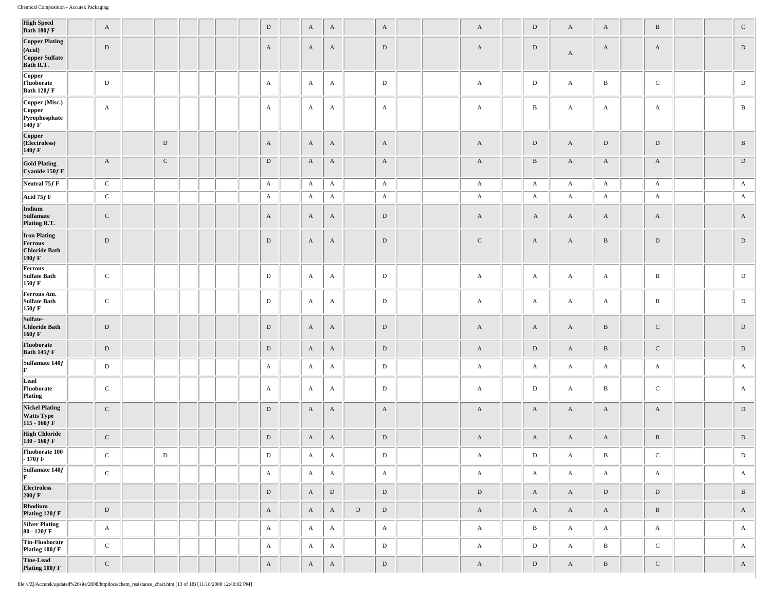| <b>High Speed</b><br>Bath 180f F                                   | $\mathbf{A}$ |             |  |  | D            | $\mathbf{A}$ | $\mathbf{A}$ |             | $\mathbf{A}$ |  | A            | $\mathbf D$  | $\mathbf{A}$ | $\mathbf{A}$ | $\, {\bf B}$ |  | ${\bf C}$    |
|--------------------------------------------------------------------|--------------|-------------|--|--|--------------|--------------|--------------|-------------|--------------|--|--------------|--------------|--------------|--------------|--------------|--|--------------|
| <b>Copper Plating</b><br>(Acid)<br>Copper Sulfate<br>Bath R.T.     | D            |             |  |  | $\mathbf{A}$ | $\mathbf{A}$ | $\mathbf{A}$ |             | $\mathbf D$  |  | A            | D            | $\mathbf{A}$ | $\mathbf{A}$ | A            |  | ${\rm D}$    |
| Copper<br>Fluoborate<br>Bath 120f F                                | $\mathbf D$  |             |  |  | A            | $\mathbf{A}$ | $\mathbf{A}$ |             | $\mathbf D$  |  | A            | $\mathbf D$  | $\mathbf{A}$ | B            | $\mathbf C$  |  | $\mathbf D$  |
| Copper (Misc.)<br>Copper<br>Pyrophosphate<br>$140f$ F              | $\mathbf{A}$ |             |  |  | A            | A            | A            |             | A            |  | $\mathbf{A}$ | $\mathbf{B}$ | $\mathbf{A}$ | A            | A            |  | B            |
| Copper<br>(Electroless)<br>$140f$ F                                |              | $\mathbf D$ |  |  | $\mathbf{A}$ | $\mathbf{A}$ | $\mathbf{A}$ |             | $\mathbf{A}$ |  | $\mathbf{A}$ | ${\bf D}$    | $\mathbf{A}$ | ${\rm D}$    | $\mathbf D$  |  | $\, {\bf B}$ |
| <b>Gold Plating</b><br>Cyanide 150f F                              | $\mathbf{A}$ | $\mathbf C$ |  |  | $\mathbf{D}$ | $\mathbf{A}$ | $\mathbf{A}$ |             | $\mathbf{A}$ |  | $\mathbf{A}$ | B            | $\mathbf{A}$ | $\mathbf{A}$ | $\mathbf{A}$ |  | ${\rm D}$    |
| Neutral 75 $f$ F                                                   | $\mathbf{C}$ |             |  |  | $\mathbf{A}$ | $\mathbf A$  | $\mathbf{A}$ |             | $\mathbf{A}$ |  | $\mathbf{A}$ | $\mathbf{A}$ | $\mathbf{A}$ | $\mathbf A$  | $\mathbf{A}$ |  | $\mathbf{A}$ |
| Acid 75 $f$ F                                                      | $\mathbf{C}$ |             |  |  | A            | $\mathbf{A}$ | $\mathbf{A}$ |             | $\mathbf{A}$ |  | A            | A            | $\mathbf{A}$ | A            | A            |  | $\mathbf{A}$ |
| Indium<br>Sulfamate<br>Plating R.T.                                | $\mathbf C$  |             |  |  | $\mathbf{A}$ | $\mathbf{A}$ | $\mathbf{A}$ |             | $\mathbf D$  |  | A            | $\mathbf{A}$ | $\mathbf{A}$ | A            | $\mathbf{A}$ |  | $\mathbf{A}$ |
| <b>Iron Plating</b><br>Ferrous<br><b>Chloride Bath</b><br>$190f$ F | $\,$ D       |             |  |  | $\mathbf D$  | $\mathbf{A}$ | $\mathbf{A}$ |             | $\,$ D       |  | $\mathbf C$  | $\mathbf{A}$ | $\mathbf{A}$ | $\, {\bf B}$ | $\mathbf D$  |  | ${\rm D}$    |
| Ferrous<br>Sulfate Bath<br>$150f$ F                                | ${\bf C}$    |             |  |  | $\mathbf D$  | $\mathbf{A}$ | A            |             | $\mathbf D$  |  | A            | $\mathbf{A}$ | $\mathbf{A}$ | A            | $\, {\bf B}$ |  | $\mathbf D$  |
| Ferrous Am.<br><b>Sulfate Bath</b><br>$150f$ F                     | $\mathbf C$  |             |  |  | D            | A            | $\mathbf{A}$ |             | $\,$ D       |  | A            | A            | $\mathbf{A}$ | A            | $\, {\bf B}$ |  | D            |
| Sulfate-<br><b>Chloride Bath</b><br>$160f$ F                       | $\,$ D       |             |  |  | $\mathbf D$  | $\mathbf{A}$ | $\mathbf{A}$ |             | $\mathbf D$  |  | A            | $\mathbf{A}$ | $\mathbf{A}$ | $\, {\bf B}$ | $\mathbf C$  |  | ${\rm D}$    |
| Fluoborate<br>Bath $145f$ F                                        | $\,$ D       |             |  |  | $\,$ D       | $\mathbf{A}$ | $\mathbf A$  |             | $\,$ D       |  | $\mathbf{A}$ | $\mathbf D$  | $\mathbf{A}$ | $\, {\bf B}$ | $\mathbf C$  |  | ${\rm D}$    |
| Sulfamate 140f<br>F                                                | $\mathbf D$  |             |  |  | A            | A            | $\mathbf{A}$ |             | ${\bf D}$    |  | A            | A            | $\mathbf{A}$ | A            | A            |  | A            |
| Lead<br>Fluoborate<br>Plating                                      | $\mathbf C$  |             |  |  | A            | A            | $\mathbf{A}$ |             | $\,$ D       |  | $\mathbf{A}$ | $\mathbf{D}$ | $\mathbf{A}$ | B            | $\mathbf C$  |  | A            |
| <b>Nickel Plating</b><br><b>Watts Type</b><br>$115 - 160f$ F       | $\mathbf C$  |             |  |  | D            | $\mathbf{A}$ | $\mathbf{A}$ |             | $\mathbf{A}$ |  | $\mathbf{A}$ | $\mathbf{A}$ | $\mathbf{A}$ | $\mathbf{A}$ | $\mathbf{A}$ |  | ${\rm D}$    |
| <b>High Chloride</b><br>$130 - 160 f F$                            | ${\bf C}$    |             |  |  | D            | $\mathbf{A}$ | $\mathbf{A}$ |             | ${\rm D}$    |  | A            | $\mathbf{A}$ | $\mathbf{A}$ | $\mathbf{A}$ | $\, {\bf B}$ |  | $\mathbf D$  |
| Fluoborate 100<br>$-170f$ F                                        | $\mathbf C$  | D           |  |  | D            | A            | A            |             | $\mathbf D$  |  | A            | ${\rm D}$    | A            | B            | C            |  | D            |
| Sulfamate 140f<br>F                                                | $\,c\,$      |             |  |  | $\mathbf{A}$ | $\mathbf{A}$ | $\mathbf{A}$ |             | $\mathbf{A}$ |  | $\mathbf{A}$ | $\mathbf{A}$ | $\mathbf{A}$ | $\mathbf{A}$ | $\mathbf{A}$ |  | $\mathbf{A}$ |
| <b>Electroless</b><br>$200f$ F                                     |              |             |  |  | $\mathbf D$  | $\rm A$      | $\,$ D       |             | $\mathbf D$  |  | $\mathbf D$  | $\mathbf{A}$ | $\mathbf{A}$ | $\mathbf D$  | $\mathbf D$  |  | $\, {\bf B}$ |
| Rhodium<br>Plating 120f F                                          | ${\rm D}$    |             |  |  | $\mathbf{A}$ | $\mathbf{A}$ | $\mathbf{A}$ | $\mathbf D$ | ${\rm D}$    |  | $\mathbf{A}$ | $\mathbf{A}$ | $\mathbf{A}$ | $\mathbf{A}$ | $\, {\bf B}$ |  | $\mathbf A$  |
| <b>Silver Plating</b><br>$\bm{80}$ - 120 $\bm{f}$ F                | $\mathbf{A}$ |             |  |  | $\mathbf{A}$ | $\mathbf{A}$ | $\mathbf{A}$ |             | $\mathbf{A}$ |  | $\mathbf{A}$ | $\, {\bf B}$ | $\mathbf{A}$ | $\mathbf{A}$ | $\mathbf{A}$ |  | $\mathbf{A}$ |
| Tin-Fluoborate<br>Plating 100f F                                   | $\,c\,$      |             |  |  | $\mathbf{A}$ | $\mathbf{A}$ | $\mathbf{A}$ |             | ${\bf D}$    |  | $\mathbf{A}$ | $\mathbf D$  | $\mathbf{A}$ | $\, {\bf B}$ | $\mathbf C$  |  | $\mathbf{A}$ |
| Tine-Lead<br>Plating $100fF$                                       | $\mathbf C$  |             |  |  | $\mathbf A$  | $\mathbf{A}$ | $\mathbf A$  |             | $\mathbf D$  |  | $\mathbf{A}$ | $\mathbf D$  | $\mathbf{A}$ | $\, {\bf B}$ | $\mathbf C$  |  | $\mathbf{A}$ |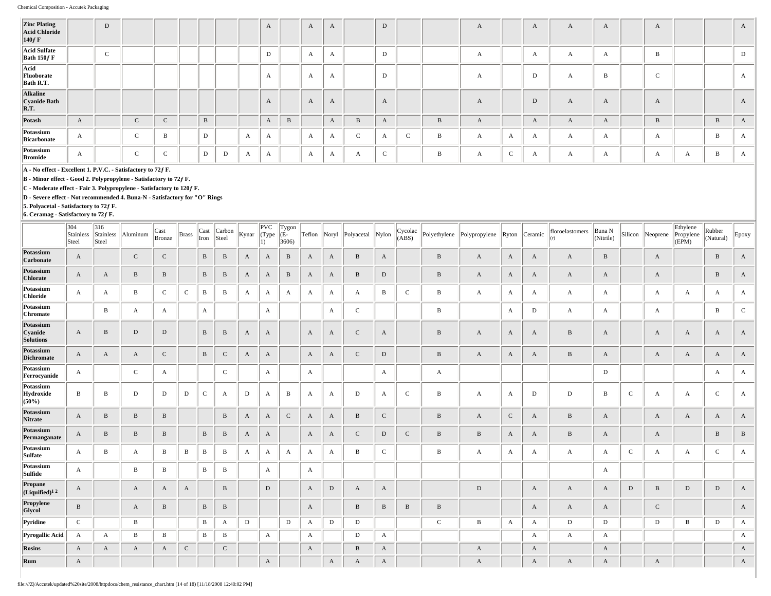| <b>Zinc Plating<br/>Acid Chloride</b><br>$140f$ F |              | D           |            |              |   |   |              | $\Lambda$    |   | $\mathbf{A}$ | $\mathbf{A}$ |              | D            |   |   | $\mathbf{A}$ |        | A            | A            | $\mathbf{A}$ | $\mathbf{A}$    |              |   | A            |
|---------------------------------------------------|--------------|-------------|------------|--------------|---|---|--------------|--------------|---|--------------|--------------|--------------|--------------|---|---|--------------|--------|--------------|--------------|--------------|-----------------|--------------|---|--------------|
| Acid Sulfate<br>Bath $150f$ F                     |              | $\mathbf C$ |            |              |   |   |              | D            |   | A            | $\mathbf{A}$ |              | D            |   |   | А            |        | A            | $\mathbf{A}$ | A            | B               |              |   | D            |
| Acid<br>Fluoborate<br>Bath R.T.                   |              |             |            |              |   |   |              | $\mathbf{A}$ |   | A            | $\mathbf{A}$ |              | D            |   |   | $\mathbf{A}$ |        | D            | A            | B            | $\sqrt{2}$<br>v |              |   | $\mathbf{A}$ |
| Alkaline<br>Cyanide Bath<br>R.T.                  |              |             |            |              |   |   |              | $\mathbf{A}$ |   | $\mathbf{A}$ | A            |              | $\mathbf{A}$ |   |   | A            |        | D            | A            | A            | $\mathbf{A}$    |              |   | A            |
| Potash                                            | $\mathbf{A}$ |             | $\sim$     | $\mathbf{C}$ | B |   |              | $\mathbf{A}$ | B |              | $\mathbf{A}$ | B            | $\mathbf{A}$ |   | B | A            |        | A            | A            | $\mathbf{A}$ | B               |              | B | A            |
| Potassium<br>Bicarbonate                          | A            |             | $\sim$     | B            | D |   | $\mathbf{A}$ | $\mathbf{A}$ |   | $\mathbf{A}$ | $\mathbf{A}$ | $\mathbf{C}$ | $\mathbf{A}$ | C | B | А            | A      | $\mathbf{A}$ | A            | A            | $\mathbf{A}$    |              | B | A            |
| Potassium<br><b>Bromide</b>                       | $\mathbf{A}$ |             | $\sqrt{2}$ | $\sim$<br>◟  | D | D | А            | $\mathbf{A}$ |   | A            | $\mathbf{r}$ | А            | $\sim$<br>◡  |   | B | $\mathbf{A}$ | $\sim$ | A            | $\mathbf{A}$ | A            | $\mathbf A$     | $\mathbf{A}$ | ь | $\mathbf{A}$ |

**B - Minor effect - Good 2. Polypropylene - Satisfactory to 72ƒ F.**

**C - Moderate effect - Fair 3. Polypropylene - Satisfactory to 120ƒ F.**

**D - Severe effect - Not recommended 4. Buna-N - Satisfactory for "O" Rings**

**5. Polyacetal - Satisfactory to 72ƒ F.**

|                                          | 304<br>Stainless<br>Steel | 316<br>Stainless<br>Steel | Aluminum     | Cast<br>Bronze | <b>Brass</b> | Cast<br>Iron | Carbon<br>Steel | Kynar        | PVC<br>(Type<br>$ 1\rangle$ | Tygon<br>(E-<br>3606 | Teflon       | Noryl       | Polyacetal   | $\sqrt{\frac{Ny}{n}}$ | Cycolac<br>(ABS) | Polyethylene | Polypropylene |              | Ryton Ceramic | floroelastomers | Buna N<br>(Nitrile) | Silicon      | Neoprene     | Ethylene<br>Propylene<br>(EPM) | Rubber<br>(Natural) | Epoxy        |
|------------------------------------------|---------------------------|---------------------------|--------------|----------------|--------------|--------------|-----------------|--------------|-----------------------------|----------------------|--------------|-------------|--------------|-----------------------|------------------|--------------|---------------|--------------|---------------|-----------------|---------------------|--------------|--------------|--------------------------------|---------------------|--------------|
| Potassium<br>Carbonate                   | A                         |                           | ${\bf C}$    | $\mathbf C$    |              | $\, {\bf B}$ | B               | A            | A                           | $\, {\bf B}$         | A            | A           | $\, {\bf B}$ | A                     |                  | $\, {\bf B}$ | A             | $\mathbf{A}$ | A             | A               | B                   |              | A            |                                | $\, {\bf B}$        | A            |
| Potassium<br>Chlorate                    | A                         | $\mathbf{A}$              | B            | $\, {\bf B}$   |              | $\, {\bf B}$ | B               | A            | A                           | $\, {\bf B}$         | A            | A           | B            | D                     |                  | B            | $\mathbf{A}$  | $\mathbf{A}$ | A             | A               | A                   |              | A            |                                | B                   | A            |
| Potassium<br><b>Chloride</b>             | А                         | $\mathbf{A}$              | B            | $\mathbf C$    | $\mathsf{C}$ | B            | B               | A            | A                           | A                    | A            | A           | $\mathbf{A}$ | $\mathbf{B}$          | $\mathsf{C}$     | B            | $\mathbf A$   | $\mathbf{A}$ | A             | A               | A                   |              | A            | A                              | А                   | A            |
| Potassium<br>Chromate                    |                           | B                         | A            | $\mathbf{A}$   |              | A            |                 |              | A                           |                      |              | A           | $\mathbf C$  |                       |                  | B            |               | A            | $\mathbf D$   | A               | А                   |              | A            |                                | B                   | $\mathbf{C}$ |
| Potassium<br>Cyanide<br><b>Solutions</b> | $\mathbf{A}$              | $\, {\bf B}$              | D            | $\mathbf D$    |              | $\, {\bf B}$ | $\, {\bf B}$    | $\mathbf{A}$ | A                           |                      | $\mathbf{A}$ | A           | $\mathbf C$  | $\mathbf{A}$          |                  | B            | $\mathbf{A}$  | $\mathbf{A}$ | $\mathbf{A}$  | B               | A                   |              | A            | A                              | A                   | A            |
| Potassium<br><b>Dichromate</b>           | A                         | $\mathbf{A}$              | A            | $\mathbf{C}$   |              | $\, {\bf B}$ | $\mathbf C$     | A            | A                           |                      | A            | A           | $\mathbf C$  | D                     |                  | B            | $\mathbf{A}$  | $\mathbf{A}$ | A             | B               | A                   |              | A            | A                              | A                   | A            |
| Potassium<br>Ferrocyanide                | А                         |                           | $\mathbf C$  | $\mathbf{A}$   |              |              | $\mathbf C$     |              | А                           |                      | A            |             |              | A                     |                  | A            |               |              |               |                 | D                   |              |              |                                | А                   | A            |
| Potassium<br>Hydroxide<br>$(50\%)$       | B                         | B                         | D            | D              | D            | $\mathsf{C}$ | A               | D            | A                           | B                    | A            | A           | D            | A                     | $\mathbf C$      | $\, {\bf B}$ | $\mathbf{A}$  | A            | D             | D               | B                   | $\mathbf{C}$ | A            | A                              | $\mathbf C$         | A            |
| Potassium<br>Nitrate                     | A                         | $\mathbf{B}$              | $\, {\bf B}$ | $\, {\bf B}$   |              |              | $\, {\bf B}$    | $\mathbf{A}$ | A                           | $\,c\,$              | A            | A           | $\, {\bf B}$ | $\mathbf C$           |                  | $\, {\bf B}$ | $\mathbf{A}$  | $\mathbf{C}$ | A             | B               | A                   |              | A            | A                              | A                   | A            |
| Potassium<br>Permanganate                | A                         | $\mathbf{B}$              | B            | $\, {\bf B}$   |              | $\, {\bf B}$ | $\, {\bf B}$    | A            | A                           |                      | A            | A           | $\mathbf{C}$ | D                     | ${\bf C}$        | $\, {\bf B}$ | $\mathbf{B}$  | $\mathbf{A}$ | A             | B               | A                   |              | A            |                                | $\, {\bf B}$        | $\, {\bf B}$ |
| Potassium<br>Sulfate                     | A                         | B                         | A            | $\mathbf{B}$   | В            | B            | B               | A            | A                           | A                    | A            | А           | B            | $\mathbf{C}$          |                  | B            | $\mathbf{A}$  | $\mathbf{A}$ | A             | A               | А                   | $\mathbf{C}$ | A            | $\mathbf{A}$                   | $\mathsf{C}$        | A            |
| Potassium<br>Sulfide                     | А                         |                           | B            | $\, {\bf B}$   |              | $\, {\bf B}$ | B               |              | A                           |                      | A            |             |              |                       |                  |              |               |              |               |                 | А                   |              |              |                                |                     |              |
| Propane<br>(Liquified) <sup>12</sup>     | $\mathbf{A}$              |                           | A            | $\mathbf{A}$   | A            |              | $\, {\bf B}$    |              | D                           |                      | $\mathbf{A}$ | ${\rm D}$   | $\mathbf{A}$ | A                     |                  |              | D             |              | A             | A               | A                   | $\mathbf D$  | B            | D                              | $\mathbf D$         | $\mathbf{A}$ |
| Propylene<br>Glycol                      | B                         |                           | A            | $\mathbf{B}$   |              | $\, {\bf B}$ | $\, {\bf B}$    |              |                             |                      | $\mathbf{A}$ |             | $\, {\bf B}$ | B                     | $\, {\bf B}$     | B            |               |              | A             | A               | A                   |              | $\mathsf{C}$ |                                |                     | $\mathbf{A}$ |
| Pyridine                                 | $\mathcal{C}$             |                           | $\, {\bf B}$ |                |              | $\, {\bf B}$ | A               | D            |                             | $\mathbf D$          | A            | $\mathbf D$ | $\mathbf D$  |                       |                  | $\mathbf C$  | $\, {\bf B}$  | A            | A             | $\mathbf D$     | $\mathbf D$         |              | D            | B                              | $\mathbf D$         | $\mathbf{A}$ |
| Pyrogallic Acid                          | A                         | $\mathbf{A}$              | B            | B              |              | $\, {\bf B}$ | B               |              | A                           |                      | A            |             | D            | A                     |                  |              |               |              | A             | $\mathbf{A}$    | A                   |              |              |                                |                     | $\mathbf{A}$ |
| <b>Rosins</b>                            | A                         | $\mathbf{A}$              | A            | $\mathbf{A}$   | $\mathbf C$  |              | $\mathbf C$     |              |                             |                      | $\mathbf{A}$ |             | $\, {\bf B}$ | A                     |                  |              | $\mathbf{A}$  |              | A             |                 | A                   |              |              |                                |                     | $\mathbf{A}$ |
| Rum                                      | $\mathbf{A}$              |                           |              |                |              |              |                 |              | A                           |                      |              | A           | $\mathbf{A}$ | A                     |                  |              | A             |              | A             | A               | A                   |              | A            |                                |                     | $\mathbf{A}$ |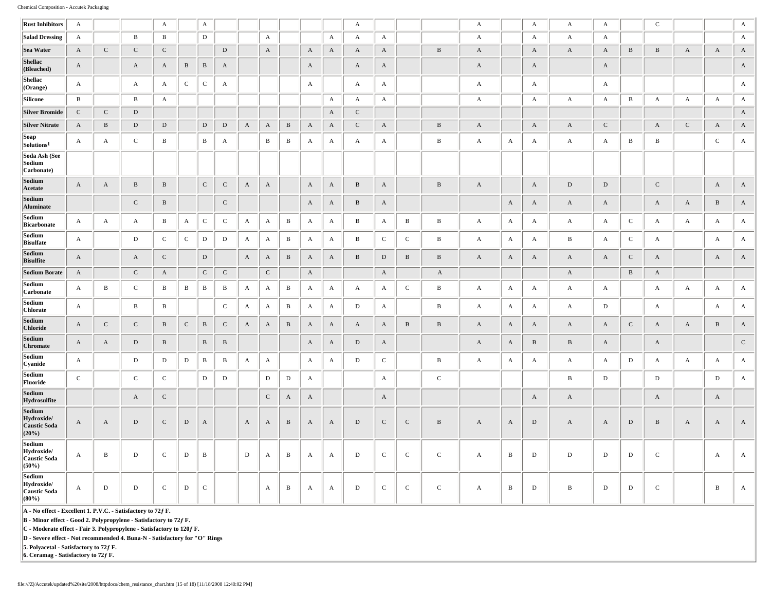| <b>Rust Inhibitors</b>                               | $\mathbf{A}$     |              |                       | $\mathbf{A}$ |              | A            |              |                  |              |                       |                  |              | A            |              |              |              | $\mathbf{A}$ |                           | $\mathbf{A}$ | $\mathbf{A}$     | $\mathbf{A}$ |              | $\mathbf C$           |              |                  | $\mathbf{A}$ |
|------------------------------------------------------|------------------|--------------|-----------------------|--------------|--------------|--------------|--------------|------------------|--------------|-----------------------|------------------|--------------|--------------|--------------|--------------|--------------|--------------|---------------------------|--------------|------------------|--------------|--------------|-----------------------|--------------|------------------|--------------|
| Salad Dressing                                       | $\mathbf{A}$     |              | $\, {\bf B}$          | $\mathbf{B}$ |              | $\mathbf D$  |              |                  | A            |                       |                  | $\mathbf{A}$ | $\mathbf{A}$ | $\mathbf{A}$ |              |              | $\mathbf{A}$ |                           | $\mathbf{A}$ | $\mathbf{A}$     | $\mathbf{A}$ |              |                       |              |                  | A            |
| Sea Water                                            | $\mathbf{A}$     | ${\bf C}$    | $\mathbf C$           | ${\bf C}$    |              |              | ${\rm D}$    |                  | $\mathbf{A}$ |                       | $\mathbf A$      | $\mathbf{A}$ | $\mathbf{A}$ | $\mathbf{A}$ |              | $\, {\bf B}$ | $\mathbf{A}$ |                           | $\mathbf{A}$ | $\mathbf{A}$     | $\mathbf{A}$ | $\, {\bf B}$ | $\, {\bf B}$          | $\mathbf{A}$ | $\boldsymbol{A}$ | $\mathbf{A}$ |
| <b>Shellac</b><br>(Bleached)                         | A                |              | A                     | A            | $\, {\bf B}$ | $\, {\bf B}$ | A            |                  |              |                       | $\boldsymbol{A}$ |              | $\mathbf{A}$ | A            |              |              | $\mathbf{A}$ |                           | A            |                  | $\mathbf{A}$ |              |                       |              |                  | $\mathbf{A}$ |
| Shellac<br>(Orange)                                  | $\mathbf{A}$     |              | A                     | $\mathbf{A}$ | $\mathbf C$  | ${\bf C}$    | A            |                  |              |                       | A                |              | $\mathbf{A}$ | A            |              |              | $\mathbf{A}$ |                           | A            |                  | $\mathbf{A}$ |              |                       |              |                  | $\mathbf{A}$ |
| Silicone                                             | $\mathbf{B}$     |              | $\, {\bf B}$          | $\mathbf{A}$ |              |              |              |                  |              |                       |                  | $\mathbf{A}$ | $\mathbf{A}$ | $\mathbf{A}$ |              |              | $\mathbf{A}$ |                           | $\mathbf{A}$ | $\mathbf{A}$     | $\mathbf{A}$ | $\, {\bf B}$ | $\mathbf{A}$          | $\mathbf{A}$ | $\mathbf A$      | $\mathbf{A}$ |
| <b>Silver Bromide</b>                                | $\mathbf C$      | ${\bf C}$    | $\mathbf D$           |              |              |              |              |                  |              |                       |                  | $\mathbf{A}$ | $\mathbf C$  |              |              |              |              |                           |              |                  |              |              |                       |              |                  | $\mathbf{A}$ |
| <b>Silver Nitrate</b>                                | $\mathbf{A}$     | $\, {\bf B}$ | $\mathbf D$           | $\,$ D       |              | $\mathbf D$  | ${\rm D}$    | $\mathbf{A}$     | $\mathbf{A}$ | $\, {\bf B}$          | $\mathbf{A}$     | $\mathbf{A}$ | $\mathbf C$  | $\mathbf{A}$ |              | $\, {\bf B}$ | $\mathbf{A}$ |                           | $\mathbf A$  | $\mathbf{A}$     | ${\bf C}$    |              | $\mathbf{A}$          | ${\bf C}$    | $\mathbf{A}$     | $\mathbf{A}$ |
| Soap<br>Solutions <sup>1</sup>                       | $\mathbf{A}$     | $\mathbf A$  | $\mathbf C$           | $\, {\bf B}$ |              | $\, {\bf B}$ | A            |                  | $\, {\bf B}$ | $\, {\bf B}$          | $\mathbf{A}$     | $\mathbf{A}$ | $\mathbf{A}$ | A            |              | $\, {\bf B}$ | $\mathbf{A}$ | A                         | $\mathbf{A}$ | A                | $\mathbf{A}$ | $\, {\bf B}$ | $\, {\bf B}$          |              | $\mathbf C$      | $\mathbf{A}$ |
| Soda Ash (See<br>Sodium<br>Carbonate)                |                  |              |                       |              |              |              |              |                  |              |                       |                  |              |              |              |              |              |              |                           |              |                  |              |              |                       |              |                  |              |
| Sodium<br>Acetate                                    | $\mathbf{A}$     | $\mathbf{A}$ | $\, {\bf B}$          | $\, {\bf B}$ |              | ${\bf C}$    | ${\bf C}$    | $\mathbf{A}$     | $\mathbf{A}$ |                       | $\mathbf{A}$     | $\rm A$      | $\, {\bf B}$ | $\mathbf{A}$ |              | $\, {\bf B}$ | $\mathbf{A}$ |                           | $\mathbf{A}$ | ${\rm D}$        | $\,$ D       |              | ${\bf C}$             |              | $\mathbf{A}$     | $\mathbf A$  |
| Sodium<br>Aluminate                                  |                  |              | $\mathsf C$           | $\, {\bf B}$ |              |              | ${\bf C}$    |                  |              |                       | $\boldsymbol{A}$ | A            | $\, {\bf B}$ | A            |              |              |              | $\boldsymbol{\mathrm{A}}$ | $\mathbf A$  | $\boldsymbol{A}$ | A            |              | $\mathbf{A}$          | $\mathbf A$  | $\, {\bf B}$     | $\mathbf A$  |
| Sodium<br>Bicarbonate                                | $\mathbf A$      | $\mathbf{A}$ | A                     | $\, {\bf B}$ | $\mathbf{A}$ | ${\bf C}$    | $\mathbf C$  | A                | A            | B                     | $\mathbf{A}$     | $\mathbf{A}$ | $\, {\bf B}$ | A            | $\, {\bf B}$ | $\, {\bf B}$ | $\mathbf{A}$ | A                         | $\mathbf{A}$ | $\mathbf{A}$     | $\mathbf{A}$ | $\mathbf C$  | A                     | A            | A                | $\mathbf{A}$ |
| Sodium<br><b>Bisulfate</b>                           | A                |              | $\mathbf D$           | $\mathbf C$  | $\mathsf{C}$ | $\mathbf D$  | $\mathbf D$  | $\mathbf{A}$     | A            | $\, {\bf B}$          | $\mathbf{A}$     | $\mathbf{A}$ | $\mathbf{B}$ | $\mathsf{C}$ | $\mathsf{C}$ | $\, {\bf B}$ | $\mathbf{A}$ | A                         | $\mathbf{A}$ | $\, {\bf B}$     | $\mathbf{A}$ | $\mathsf{C}$ | A                     |              | A                | $\mathbf{A}$ |
| Sodium<br><b>Bisulfite</b>                           | $\mathbf{A}$     |              | $\boldsymbol{\rm{A}}$ | ${\bf C}$    |              | $\mathbf D$  |              | $\mathbf{A}$     | $\mathbf{A}$ | $\, {\bf B}$          | $\mathbf{A}$     | $\rm A$      | $\, {\bf B}$ | $\mathbf D$  | $\, {\bf B}$ | $\, {\bf B}$ | $\mathbf A$  | $\mathbf{A}$              | $\mathbf{A}$ | $\boldsymbol{A}$ | $\mathbf A$  | $\mathbf C$  | $\boldsymbol{\rm{A}}$ |              | $\boldsymbol{A}$ | $\mathbf A$  |
| <b>Sodium Borate</b>                                 | $\mathbf{A}$     |              | $\mathsf{C}$          | $\mathbf{A}$ |              | ${\bf C}$    | ${\bf C}$    |                  | ${\bf C}$    |                       | $\mathbf{A}$     |              |              | $\mathbf{A}$ |              | $\mathbf{A}$ |              |                           |              | $\mathbf{A}$     |              | $\bf{B}$     | $\mathbf{A}$          |              |                  |              |
| Sodium<br>Carbonate                                  | A                | $\, {\bf B}$ | $\mathbf C$           | $\, {\bf B}$ | $\, {\bf B}$ | $\, {\bf B}$ | $\, {\bf B}$ | A                | A            | B                     | $\mathbf{A}$     | $\mathbf{A}$ | A            | A            | $\mathbf C$  | $\, {\bf B}$ | $\mathbf{A}$ | A                         | $\mathbf{A}$ | $\mathbf{A}$     | $\mathbf{A}$ |              | A                     | A            | A                | $\mathbf{A}$ |
| Sodium<br><b>Chlorate</b>                            | $\mathbf{A}$     |              | $\, {\bf B}$          | $\, {\bf B}$ |              |              | ${\bf C}$    | $\mathbf{A}$     | $\mathbf{A}$ | $\, {\bf B}$          | $\mathbf{A}$     | $\mathbf{A}$ | $\mathbb D$  | $\mathbf{A}$ |              | $\, {\bf B}$ | $\mathbf{A}$ | $\mathbf A$               | $\mathbf{A}$ | $\mathbf{A}$     | $\mathbf D$  |              | $\mathbf{A}$          |              | $\mathbf A$      | $\mathbf{A}$ |
| Sodium<br><b>Chloride</b>                            | $\mathbf{A}$     | ${\bf C}$    | $\mathsf C$           | $\, {\bf B}$ | $\mathsf C$  | $\, {\bf B}$ | ${\bf C}$    | $\mathbf{A}$     | $\mathbf{A}$ | $\, {\bf B}$          | $\mathbf{A}$     | $\mathbf{A}$ | $\mathbf{A}$ | A            | $\, {\bf B}$ | $\, {\bf B}$ | $\mathbf{A}$ | $\mathbf{A}$              | $\mathbf{A}$ | $\mathbf{A}$     | $\mathbf{A}$ | $\mathsf C$  | A                     | $\mathbf{A}$ | $\, {\bf B}$     | $\mathbf{A}$ |
| Sodium<br>Chromate                                   | A                | $\mathbf{A}$ | ${\rm D}$             | $\mathbf{B}$ |              | $\, {\bf B}$ | $\, {\bf B}$ |                  |              |                       | $\mathbf{A}$     | $\mathbf{A}$ | D            | $\mathbf{A}$ |              |              | $\mathbf{A}$ | $\mathbf{A}$              | $\, {\bf B}$ | $\, {\bf B}$     | $\mathbf{A}$ |              | $\mathbf{A}$          |              |                  | $\mathbf C$  |
| Sodium<br>Cyanide                                    | $\mathbf{A}$     |              | $\mathbf D$           | D            | D            | $\, {\bf B}$ | B            | $\boldsymbol{A}$ | $\mathbf{A}$ |                       | $\mathbf{A}$     | $\mathbf{A}$ | $\mathbf D$  | ${\bf C}$    |              | $\, {\bf B}$ | $\mathbf{A}$ | A                         | $\mathbf{A}$ | $\mathbf{A}$     | $\mathbf{A}$ | $\mathbf D$  | $\mathbf{A}$          | A            | A                | $\mathbf{A}$ |
| Sodium<br>Fluoride                                   | $\mathsf C$      |              | $\mathsf C$           | $\mathsf{C}$ |              | $\mathbf D$  | $\mathbf D$  |                  | $\mathbf D$  | $\mathbf D$           | $\mathbf{A}$     |              |              | $\mathbf{A}$ |              | $\mathbf C$  |              |                           |              | $\, {\bf B}$     | $\mathbf D$  |              | $\mathbf D$           |              | $\mathbf D$      | $\mathbf{A}$ |
| Sodium<br>Hydrosulfite                               |                  |              | A                     | $\mathbf C$  |              |              |              |                  | ${\bf C}$    | $\boldsymbol{\rm{A}}$ | $\mathbf{A}$     |              |              | $\mathbf{A}$ |              |              |              |                           | $\mathbf{A}$ | $\mathbf{A}$     |              |              | $\mathbf{A}$          |              | $\mathbf{A}$     |              |
| Sodium<br>Hydroxide/<br>Caustic Soda<br>(20%)        | $\mathbf{A}$     | $\mathbf{A}$ | $\mathbf D$           | ${\bf C}$    | D            | A            |              | $\mathbf{A}$     | A            | $\, {\bf B}$          | $\mathbf{A}$     | $\mathbf{A}$ | $\mathbf D$  | ${\bf C}$    | ${\bf C}$    | $\, {\bf B}$ | $\mathbf{A}$ | $\mathbf{A}$              | ${\rm D}$    | $\mathbf{A}$     | A            | $\mathbf D$  | $\, {\bf B}$          | $\mathbf{A}$ | $\mathbf{A}$     | $\mathbf A$  |
| Sodium<br>Hydroxide/<br><b>Caustic Soda</b><br>(50%) | $\boldsymbol{A}$ | $\, {\bf B}$ | $\mathbf D$           | $\mathbf C$  | D            | $\, {\bf B}$ |              | D                | A            | B                     | $\mathbf{A}$     | $\mathbf{A}$ | $\mathbb D$  | $\mathbf C$  | $\mathbf C$  | ${\bf C}$    | $\mathbf{A}$ | $\, {\bf B}$              | ${\bf D}$    | $\mathbf D$      | D            | $\mathbf D$  | $\mathbf C$           |              | $\mathbf A$      | $\mathbf{A}$ |
| Sodium<br>Hydroxide/<br>Caustic Soda<br>(80%)        | A                | $\mathbf D$  | $\mathbf D$           | $\mathsf{C}$ | D            | $\mathsf C$  |              |                  | A            | B                     | $\mathbf{A}$     | A            | $\mathbf D$  | $\mathsf C$  | $\mathsf{C}$ | $\mathsf C$  | $\mathbf{A}$ | B                         | $\mathbf D$  | $\, {\bf B}$     | D            | D            | $\mathbf{C}$          |              | $\, {\bf B}$     | $\mathbf{A}$ |

**B - Minor effect - Good 2. Polypropylene - Satisfactory to 72ƒ F.**

**C - Moderate effect - Fair 3. Polypropylene - Satisfactory to 120ƒ F.**

**D - Severe effect - Not recommended 4. Buna-N - Satisfactory for "O" Rings**

**5. Polyacetal - Satisfactory to 72ƒ F.**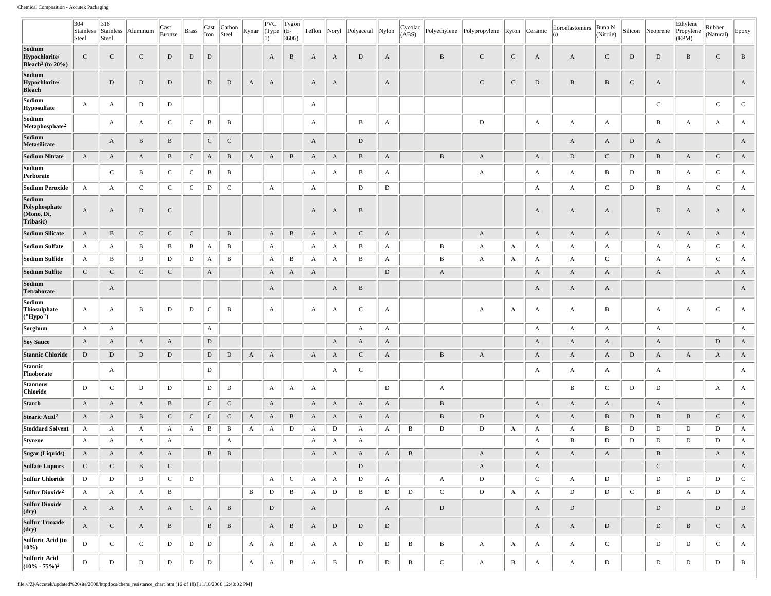|                                                             | 304<br>Stainless<br>Steel    | 316<br>Stainless<br>Steel    | Aluminum     | Cast<br>Bronze                | Brass        | Cast<br>Iron | Carbon<br>Steel | Kynar        | PVC<br>(Type<br>$ 1\rangle$ | Tygon<br>(E-<br>3606 | Teflon       | Noryl        | Polyacetal          | Nylon        | Cycolac<br>(ABS) | Polyethylene | Polypropylene | Ryton        | Ceramic           | floroelastomers | Buna N<br>(Nitrile) | Silicon      | Neoprene          | Ethylene<br>Propylene<br>(EPM) | Rubber<br>(Natural) | Epoxy                                 |
|-------------------------------------------------------------|------------------------------|------------------------------|--------------|-------------------------------|--------------|--------------|-----------------|--------------|-----------------------------|----------------------|--------------|--------------|---------------------|--------------|------------------|--------------|---------------|--------------|-------------------|-----------------|---------------------|--------------|-------------------|--------------------------------|---------------------|---------------------------------------|
| Sodium<br>Hypochlorite/<br>Bleach <sup>3</sup> (to $20\%$ ) | $\mathbf C$                  | $\mathbf C$                  | $\mathbf C$  | $\mathbf D$                   | $\mathbf D$  | $\mathbf D$  |                 |              | A                           | $\, {\bf B}$         | $\mathbf{A}$ | A            | D                   | $\mathbf{A}$ |                  | $\, {\bf B}$ | $\mathbf C$   | $\mathbf C$  | A                 | A               | $\mathbf C$         | $\mathbf D$  | ${\rm D}$         | $\, {\bf B}$                   | $\mathbf C$         | $\, {\bf B}$                          |
| Sodium<br>Hypochlorite/<br><b>Bleach</b>                    |                              | $\mathbf D$                  | $\mathbf D$  | $\mathbf D$                   |              | $\mathbf D$  | ${\rm D}$       | A            | $\mathbf{A}$                |                      | A            | A            |                     | A            |                  |              | $\mathbf C$   | $\mathbf C$  | $\,$ D            | $\bf{B}$        | $\, {\bf B}$        | $\mathbf C$  | A                 |                                |                     | A                                     |
| Sodium<br>Hyposulfate                                       | A                            | A                            | D            | $\mathbf D$                   |              |              |                 |              |                             |                      | A            |              |                     |              |                  |              |               |              |                   |                 |                     |              | $\mathbf C$       |                                | $\mathbf C$         | $\mathbf C$                           |
| Sodium<br>Metaphosphate <sup>2</sup>                        |                              | A                            | A            | $\mathbf C$                   | $\mathbf C$  | B            | B               |              |                             |                      | $\mathbf{A}$ |              | В                   | A            |                  |              | $\mathbf D$   |              | $\mathbf{A}$      | A               | $\mathbf{A}$        |              | B                 | A                              | A                   | A                                     |
| Sodium<br>Metasilicate                                      |                              | $\mathbf{A}$                 | $\mathbf B$  | B                             |              | $\mathbf C$  | $\mathsf{C}$    |              |                             |                      | A            |              | D                   |              |                  |              |               |              |                   | A               | A                   | D            | A                 |                                |                     | A                                     |
| <b>Sodium Nitrate</b>                                       | $\mathbf{A}$                 | A                            | A            | B                             | ${\bf C}$    | A            | B               | A            | $\mathbf{A}$                | $\, {\bf B}$         | A            | A            | B                   | A            |                  | $\, {\bf B}$ | A             |              | A                 | D               | $\mathsf{C}$        | $\mathbf D$  | B                 | $\mathbf{A}$                   | $\mathbf C$         | A                                     |
| Sodium<br>Perborate                                         |                              | $\mathbf C$                  | $\mathbf{B}$ | $\mathbf C$                   | ${\bf C}$    | B            | $\, {\bf B}$    |              |                             |                      | A            | A            | B                   | A            |                  |              | A             |              | A                 | А               | B                   | D            | $\, {\bf B}$      | A                              | $\mathbf C$         | A                                     |
| <b>Sodium Peroxide</b>                                      | $\mathbf{A}$                 | A                            | $\mathbf{C}$ | $\mathbf C$                   | $\mathbf{C}$ | D            | $\mathsf{C}$    |              | $\boldsymbol{A}$            |                      | $\mathbf{A}$ |              | D                   | D            |                  |              |               |              | A                 | $\mathbf{A}$    | $\mathbf C$         | D            | B                 | $\mathbf{A}$                   | $\mathbf C$         | A                                     |
| Sodium<br>Polyphosphate<br>(Mono, Di,<br>Tribasic)          | $\mathbf{A}$                 | $\mathbf{A}$                 | $\mathbf D$  | $\mathbf C$                   |              |              |                 |              |                             |                      | A            | A            | $\, {\bf B}$        |              |                  |              |               |              | $\mathbf{A}$      | A               | A                   |              | $\mathbf D$       | $\mathbf{A}$                   | $\mathbf{A}$        | A                                     |
| <b>Sodium Silicate</b>                                      | $\mathbf{A}$                 | $\, {\bf B}$                 | $\mathbf C$  | $\mathsf{C}$                  | ${\bf C}$    |              | $\, {\bf B}$    |              | $\mathbf{A}$                | $\, {\bf B}$         | $\mathbf{A}$ | A            | $\mathbf C$         | $\mathbf{A}$ |                  |              | $\mathbf{A}$  |              | $\mathbf{A}$      | $\mathbf{A}$    | $\mathbf{A}$        |              | $\mathbf{A}$      | A                              | $\mathbf{A}$        | A                                     |
| Sodium Sulfate                                              | $\mathbf{A}$                 | $\mathbf{A}$                 | B            | B                             | B            | A            | B               |              | $\mathbf{A}$                |                      | $\mathbf{A}$ | А            | B                   | A            |                  | $\, {\bf B}$ | $\mathbf{A}$  | $\mathbf{A}$ | $\mathbf{A}$      | A               | $\mathbf{A}$        |              | $\mathbf{A}$      | A                              | $\mathbf C$         | $\mathbf{A}$                          |
| Sodium Sulfide                                              | $\mathbf{A}$                 | B                            | D            | D                             | D            | A            | B               |              | $\mathbf{A}$                | $\bf{B}$             | A            | А            | $\mathbf B$         | A            |                  | B            | A             | A            | A                 | A               | $\mathsf{C}$        |              | $\mathbf{A}$      | A                              | $\mathbf C$         | $\mathbf{A}$                          |
| Sodium Sulfite                                              | $\mathbf C$                  | $\mathbf C$                  | $\mathbf{C}$ | $\mathbf C$                   |              | A            |                 |              | $\boldsymbol{A}$            | $\mathbf{A}$         | $\mathbf{A}$ |              |                     | $\mathbf D$  |                  | $\mathbf{A}$ |               |              | $\mathbf{A}$      | A               | $\mathbf{A}$        |              | $\mathbf{A}$      |                                | $\mathbf{A}$        | A                                     |
| Sodium<br>Tetraborate                                       |                              | $\mathbf{A}$                 |              |                               |              |              |                 |              | $\mathbf{A}$                |                      |              | A            | $\, {\bf B}$        |              |                  |              |               |              | $\mathbf{A}$      | $\mathbf{A}$    | $\mathbf{A}$        |              |                   |                                |                     | A                                     |
| Sodium<br>Thiosulphate<br>("Hypo")                          | $\mathbf{A}$                 | A                            | В            | D                             | D            | $\mathbf C$  | B               |              | $\mathbf{A}$                |                      | A            | A            | $\mathbf C$         | A            |                  |              | A             | A            | $\mathbf{A}$      | A               | B                   |              | $\mathbf{A}$      | A                              | $\mathbf C$         | A                                     |
| Sorghum                                                     | A                            | A                            |              |                               |              | A            |                 |              |                             |                      |              |              | $\mathbf{A}$        | A            |                  |              |               |              | A                 | A               | A                   |              | $\mathbf{A}$      |                                |                     | $\mathbf{A}$                          |
| <b>Soy Sauce</b>                                            | $\mathbf{A}$                 | A                            | $\mathbf{A}$ | A                             |              | $\mathbf D$  |                 |              |                             |                      |              | A            | $\mathbf{A}$        | A            |                  |              |               |              | A                 | A               | $\mathbf{A}$        |              | $\mathbf{A}$      |                                | ${\rm D}$           | A                                     |
| <b>Stannic Chloride</b>                                     | $\mathbf D$                  | $\mathbf D$                  | D            | $\mathbf D$                   |              | $\mathbf D$  | $\mathbf D$     | $\mathbf{A}$ | $\boldsymbol{A}$            |                      | $\mathbf{A}$ | A            | $\mathbf{C}$        | A            |                  | $\, {\bf B}$ | $\mathbf{A}$  |              | $\mathbf{A}$      | A               | $\mathbf{A}$        | D            | $\mathbf{A}$      | $\mathbf{A}$                   | $\mathbf{A}$        | A                                     |
| Stannic<br>Fluoborate                                       |                              | $\mathbf{A}$                 |              |                               |              | $\mathbf D$  |                 |              |                             |                      |              | А            | $\mathbf C$         |              |                  |              |               |              | A                 | A               | $\mathbf{A}$        |              | $\mathbf{A}$      |                                |                     | $\mathbf{A}$                          |
| Stannous<br>Chloride                                        | $\mathbf D$                  | $\mathbf C$                  | D            | $\mathbf D$                   |              | D            | D               |              | $\mathbf{A}$                | $\mathbf{A}$         | $\mathbf{A}$ |              |                     | $\mathbf D$  |                  | $\mathbf{A}$ |               |              |                   | B               | $\mathsf C$         | D            | $\mathbf D$       |                                | $\mathbf{A}$        | $\mathbf{A}$                          |
| <b>Starch</b>                                               | $\mathbf{A}$                 | $\mathbf{A}$                 | A            | $\, {\bf B}$                  |              | $\mathbf{C}$ | ${\bf C}$       |              | $\boldsymbol{A}$            |                      | $\mathbf{A}$ | A            | $\mathbf{A}$        | $\mathbf{A}$ |                  | $\mathbf{B}$ |               |              | A                 | $\mathbf{A}$    | $\mathbf{A}$        |              | $\mathbf{A}$      |                                |                     | A                                     |
| Stearic Acid <sup>2</sup>                                   | $\mathbf{A}$                 | A                            | B            | $\mathsf{C}$                  | $\mathbf C$  | $\mathbf C$  | C               | A            | A                           | $\, {\bf B}$         | A            | A            | $\mathbf{A}$        | A            |                  | $\, {\bf B}$ | D             |              | $\mathbf{A}$      | A               | B                   | D            | $\mathbf{B}$      | $\, {\bf B}$                   | $\mathbf C$         | A                                     |
| <b>Stoddard Solvent</b>                                     | A                            | $\mathbf{A}$                 | $\mathbf{A}$ | $\mathbf{A}$                  | $\mathbf{A}$ | B            | B               | $\mathbf{A}$ | $\mathbf{A}$                | D                    | $\mathbf{A}$ | $\mathbf D$  | $\mathbf{A}$        | A            | B                | D            | D             | $\mathbf{A}$ | $\mathbf{A}$      | $\mathbf{A}$    | B                   | D            | D                 | D                              | D                   | $\mathbf{A}$                          |
| Styrene                                                     | $\mathbf{A}$                 | A                            | A            | А                             |              |              | A               |              |                             |                      | A            | А            | $\mathbf{A}$        |              |                  |              |               |              | A                 | B               | D                   | D            | D                 | D                              | D                   | A                                     |
| Sugar (Liquids)<br><b>Sulfate Liquors</b>                   | $\mathbf{A}$<br>$\mathbf{C}$ | $\mathbf{A}$<br>$\mathbf{C}$ | A<br>B       | $\overline{A}$<br>$\mathbf C$ |              | $\, {\bf B}$ | $\, {\bf B}$    |              |                             |                      | $\mathbf{A}$ | A            | $\overline{A}$<br>D | $\mathbf{A}$ | $\, {\bf B}$     |              | A<br>A        |              | $\mathbf{A}$<br>A | $\mathbf{A}$    | $\overline{A}$      |              | B<br>$\mathbf{C}$ |                                | A                   | $\boldsymbol{\rm{A}}$<br>$\mathbf{A}$ |
| Sulfur Chloride                                             | D                            | D                            | D            | $\mathbf C$                   | ${\rm D}$    |              |                 |              | $\mathbf{A}$                | $\mathbf{C}$         | $\mathbf{A}$ | $\mathbf{A}$ | D                   | A            |                  | $\mathbf{A}$ | D             |              | $\mathbf C$       | $\mathbf{A}$    | D                   |              | $\,$ D            | D                              | D                   | ${\bf C}$                             |
| Sulfur Dioxide <sup>2</sup>                                 | A                            | $\mathbf{A}$                 | $\mathbf{A}$ | В                             |              |              |                 | B            | $\mathbf D$                 | $\bf{B}$             | $\mathbf{A}$ | D            | $\bf{B}$            | D            | D                | $\mathbf{C}$ | D             | $\mathbf{A}$ | A                 | D               | D                   | $\mathbf{C}$ | В                 | $\mathbf{A}$                   | D                   | A                                     |
| <b>Sulfur Dioxide</b><br>$ $ (dry)                          | $\mathbf{A}$                 | $\mathbf{A}$                 | A            | $\mathbf{A}$                  | ${\bf C}$    | $\mathbf{A}$ | $\, {\bf B}$    |              | ${\rm D}$                   |                      | $\mathbf{A}$ |              |                     | $\mathbf{A}$ |                  | ${\rm D}$    |               |              | $\mathbf{A}$      | $\mathbf D$     |                     |              | ${\rm D}$         |                                | ${\rm D}$           | ${\rm D}$                             |
| <b>Sulfur Trioxide</b><br>(dry)                             | $\mathbf{A}$                 | $\mathbf C$                  | $\mathbf{A}$ | $\, {\bf B} \,$               |              | $\, {\bf B}$ | $\mathbf{B}$    |              | $\mathbf{A}$                | $\, {\bf B}$         | $\mathbf{A}$ | $\mathbf D$  | D                   | D            |                  |              |               |              | $\mathbf{A}$      | A               | $\mathbf D$         |              | $\mathbf{D}$      | $\, {\bf B}$                   | $\mathbf C$         | $\mathbf{A}$                          |
| Sulfuric Acid (to<br>$ 10\% \rangle$                        | $\mathbf{D}$                 | $\mathbf C$                  | $\mathbf C$  | D                             | D            | $\mathbf D$  |                 | A            | $\mathbf{A}$                | $\mathbf{B}$         | $\mathbf{A}$ | A            | D                   | D            | $\mathbf{B}$     | $\bf{B}$     | $\mathbf{A}$  | $\mathbf{A}$ | A                 | $\mathbf{A}$    | $\mathbf{C}$        |              | $\mathbf D$       | D                              | $\mathbf{C}$        | A                                     |
| Sulfuric Acid<br>$(10\% - 75\%)^2$                          | D                            | D                            | D            | D                             | D            | D            |                 | $\mathbf{A}$ | $\mathbf{A}$                | $\bf{B}$             | $\mathbf{A}$ | $\, {\bf B}$ | D                   | D            | $\bf{B}$         | $\mathbf C$  | $\mathbf{A}$  | $\bf{B}$     | A                 | $\mathbf{A}$    | $\,$ D              |              | D                 | D                              | D                   | $\, {\bf B}$                          |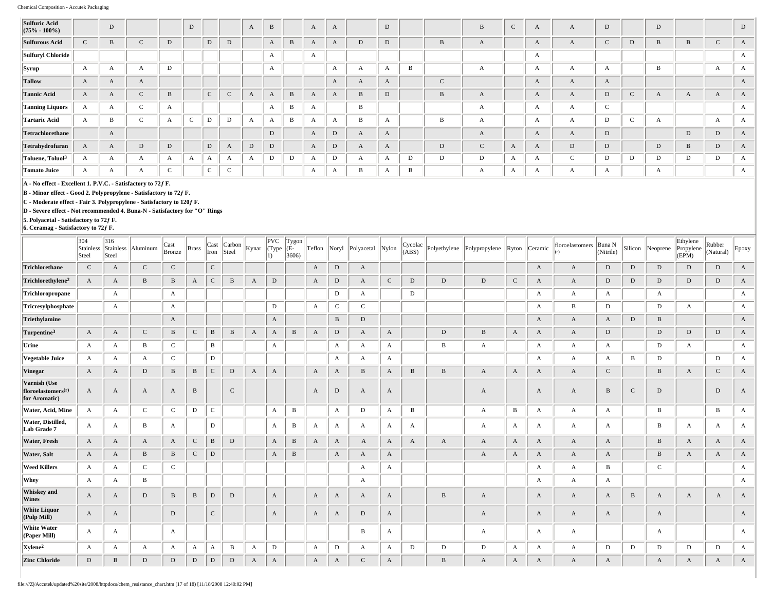| <b>Sulfuric Acid</b><br>$(75\% - 100\%)$ |              | D            |              |                            | D         |             |        | A | $\, {\bf B}$ |              | $\mathbf{A}$ | $\mathbf{A}$ |                        | $\mathbf D$  |   |        | B            | $\mathbf C$  | $\mathbf{A}$ | A            | D             |             | D |   |                  | D            |
|------------------------------------------|--------------|--------------|--------------|----------------------------|-----------|-------------|--------|---|--------------|--------------|--------------|--------------|------------------------|--------------|---|--------|--------------|--------------|--------------|--------------|---------------|-------------|---|---|------------------|--------------|
| <b>Sulfurous Acid</b>                    | $\sim$<br>J  | B            | $\sim$<br>◡  |                            |           | D           | D      |   | A            | $\, {\bf B}$ |              |              | $\mathbf D$            | $\mathbf D$  |   | B      | $\Lambda$    |              | $\mathbf{A}$ | A            | $\mathcal{C}$ | D           | B |   |                  | A            |
| Sulfuryl Chloride                        |              |              |              |                            |           |             |        |   | А            |              | A            |              |                        |              |   |        |              |              | А            |              |               |             |   |   |                  | A            |
| <b>Syrup</b>                             | $\mathbf{A}$ | А            | A            | D                          |           |             |        |   | л            |              |              | A            | $\boldsymbol{\Lambda}$ | $\mathbf{A}$ | B |        |              |              | $\mathbf{A}$ | A            | $\Delta$      |             | B |   | $\boldsymbol{A}$ | А            |
| <b>Tallow</b>                            | A            | A            | A            |                            |           |             |        |   |              |              |              | $\mathbf{A}$ | $\bm{A}$               | $\mathbf{A}$ |   | $\sim$ |              |              | A            | A            | A             |             |   |   |                  | A            |
| <b>Tannic Acid</b>                       | $\mathbf{A}$ | A            | $\sim$<br>J  | <sub>R</sub>               |           | $\sim$      | $\sim$ |   | A            | $\, {\bf B}$ | A            | A            | B                      | $\mathbf D$  |   |        | $\Lambda$    |              | A            | A            | ${\rm D}$     | $\mathbf C$ |   |   |                  | A            |
| <b>Tanning Liquors</b>                   | A            | A            | $\sim$<br>-C | $\Lambda$                  |           |             |        |   | A            | B            | $\Delta$     |              | B                      |              |   |        | $\Lambda$    |              | $\mathbf{A}$ | А            | $\mathsf C$   |             |   |   |                  | A            |
| Tartaric Acid                            | $\mathbf{A}$ | B            | $\sim$<br>◡  | $\boldsymbol{\mathcal{A}}$ | $\sim$    | $\mathbf D$ | D      | Ð |              | B            | $\Delta$     | $\Delta$     | B                      | $\mathbf{A}$ |   | B      |              |              | А            | А            | D             | $\sim$<br>╰ |   |   | $\mathbf{A}$     | А            |
| Tetrachlorethane                         |              | A            |              |                            |           |             |        |   | $\mathbf D$  |              | A            | D            | $\bm{A}$               | $\mathbf{A}$ |   |        | $\mathbf{A}$ |              | $\mathbf{A}$ | A            | D             |             |   | D | D                | $\mathbf{A}$ |
| Tetrahydrofuran                          | A            | $\mathbf{A}$ | D            | D                          |           | $\mathbf D$ | A      | D | $\mathbf D$  |              | $\mathbf{A}$ | $\mathbf D$  | $\bm{A}$               | $\mathbf{A}$ |   | D      | $\sim$<br>U  | $\mathbf{A}$ | $\mathbf{A}$ | D            | ${\rm D}$     |             | D |   | D                | A            |
| $\vert$ Toluene, Toluol $^3$             | A            | А            | А            |                            | $\Lambda$ | А           |        |   | D            | D            |              | D            | A                      | A            | D | D      | D            | $\Delta$     | $\mathbf{A}$ | $\mathsf{C}$ | D             | D           | D | D | D                | $\Gamma$     |
| Tomato Juice                             | A            | A            | A            |                            |           | $\sim$      | $\sim$ |   |              |              | A            | A            | B                      | A            | B |        | A            | $\mathbf{A}$ | $\mathbf{A}$ | А            | A             |             | A |   |                  | A            |

**A - No effect - Excellent 1. P.V.C. - Satisfactory to 72ƒ F.**

**B - Minor effect - Good 2. Polypropylene - Satisfactory to 72ƒ F.**

**C - Moderate effect - Fair 3. Polypropylene - Satisfactory to 120ƒ F.**

**D - Severe effect - Not recommended 4. Buna-N - Satisfactory for "O" Rings**

**5. Polyacetal - Satisfactory to 72ƒ F. 6. Ceramag - Satisfactory to 72ƒ F.**

|                                                        | 304<br>Stainless<br>Steel | 316<br>Stainless<br>Steel | Aluminum     | Cast<br>Bronze | <b>Brass</b> | Cast<br>Iron | Carbon<br>Steel | $\vert$ Kynar $\vert$ (Type | PVC<br>$ 1\rangle$ | Tygon<br>(E-<br>3606 | Teflon | Noryl        | Polyacetal Nylon |              | Cycolac<br>(ABS) | Polyethylene | Polypropylene | Ryton        | Ceramic          | floroelastomers | Buna N<br>(Nitrile) | Silicon      | Neoprene     | Ethylene<br>Propylene<br>(EPM) | Rubber<br>(Natural) | Epoxy        |
|--------------------------------------------------------|---------------------------|---------------------------|--------------|----------------|--------------|--------------|-----------------|-----------------------------|--------------------|----------------------|--------|--------------|------------------|--------------|------------------|--------------|---------------|--------------|------------------|-----------------|---------------------|--------------|--------------|--------------------------------|---------------------|--------------|
| Trichlorethane                                         | $\mathsf{C}$              | A                         | ${\bf C}$    | $\mathbf C$    |              | ${\bf C}$    |                 |                             |                    |                      | A      | ${\rm D}$    | $\mathbf{A}$     |              |                  |              |               |              | $\mathbf{A}$     | $\mathbf{A}$    | D                   | $\mathbf D$  | D            | D                              | D                   | A            |
| Trichlorethylene <sup>2</sup>                          | $\mathbf{A}$              | A                         | $\, {\bf B}$ | B              | A            | $\mathsf{C}$ | $\, {\bf B}$    | A                           | D                  |                      | A      | ${\rm D}$    | $\mathbf{A}$     | ${\bf C}$    | D                | D            | D             | $\mathsf{C}$ | A                | $\mathbf{A}$    | $\mathbf D$         | $\,$ D       | D            | D                              | D                   | A            |
| Trichloropropane                                       |                           | $\mathbf{A}$              |              | A              |              |              |                 |                             |                    |                      |        | D            | $\mathbf{A}$     |              | D                |              |               |              | A                | $\mathbf{A}$    | A                   |              | $\mathbf{A}$ |                                |                     | $\mathbf{A}$ |
| Tricresylphosphate                                     |                           | $\mathbf{A}$              |              | A              |              |              |                 |                             | D                  |                      | A      | $\mathbf C$  | $\mathbf{C}$     |              |                  |              |               |              | $\boldsymbol{A}$ | B               | D                   |              | D            | A                              |                     | $\mathbf{A}$ |
| Triethylamine                                          |                           |                           |              | $\mathbf{A}$   |              |              |                 |                             | A                  |                      |        | $\, {\bf B}$ | D                |              |                  |              |               |              | $\mathbf{A}$     | $\mathbf{A}$    | $\mathbf{A}$        | $\,$ D       | B            |                                |                     | $\mathbf{A}$ |
| Turpentine <sup>3</sup>                                | $\mathbf{A}$              | A                         | $\mathbf C$  | B              | $\mathsf{C}$ | B            | B               | A                           | A                  | B                    | A      | $\mathbf D$  | A                | A            |                  | D            | B             | A            | A                | $\mathbf{A}$    | D                   |              | D            | D                              | D                   | $\mathbf{A}$ |
| Urine                                                  | $\mathbf{A}$              | A                         | B            | $\mathsf C$    |              | В            |                 |                             | A                  |                      |        | A            | A                | A            |                  | B            | A             |              | A                | $\mathbf{A}$    | A                   |              | D            | A                              |                     | A            |
| Vegetable Juice                                        | A                         | A                         | $\mathbf{A}$ | $\mathbf C$    |              | D            |                 |                             |                    |                      |        | A            | A                | A            |                  |              |               |              | $\boldsymbol{A}$ | $\mathbf{A}$    | A                   | B            | D            |                                | D                   | A            |
| Vinegar                                                | $\mathbf{A}$              | A                         | $\mathbf D$  | B              | $\, {\bf B}$ | $\mathbf C$  | D               | A                           | A                  |                      | A      | A            | B                | $\mathbf{A}$ | $\, {\bf B}$     | B            | A             | $\mathbf{A}$ | A                | $\mathbf{A}$    | ${\bf C}$           |              | B            | A                              | $\mathbf{C}$        | A            |
| Varnish (Use<br>floroelastomers $(r)$<br>for Aromatic) | A                         | A                         | $\mathbf{A}$ | A              | $\, {\bf B}$ |              | $\mathbf C$     |                             |                    |                      | A      | $\mathbf D$  | $\mathbf{A}$     | $\mathbf{A}$ |                  |              | A             |              | $\mathbf{A}$     | $\mathbf{A}$    | B                   | $\mathbf C$  | D            |                                | $\mathbf D$         | A            |
| Water, Acid, Mine                                      | A                         | A                         | $\mathsf{C}$ | $\mathsf{C}$   | D            | $\mathbf C$  |                 |                             | $\boldsymbol{A}$   | B                    |        | А            | D                | A            | B                |              | A             | B            | A                | $\mathbf{A}$    | $\mathbf{A}$        |              | B            |                                | B                   | A            |
| Water, Distilled,<br>Lab Grade 7                       | A                         | A                         | B            | A              |              | D            |                 |                             | A                  | B                    | A      | A            | A                | A            | A                |              | A             | $\mathbf{A}$ | A                | $\mathbf{A}$    | $\mathbf{A}$        |              | B            | A                              | A                   | A            |
| <b>Water, Fresh</b>                                    | A                         | $\mathbf{A}$              | $\mathbf{A}$ | A              | $\mathbf C$  | $\, {\bf B}$ | $\mathbf D$     |                             | $\boldsymbol{A}$   | $\bf{B}$             | A      | A            | A                | $\mathbf{A}$ | A                | A            | A             | $\mathbf{A}$ | $\mathbf{A}$     | $\mathbf{A}$    | A                   |              | B            | A                              | A                   | A            |
| Water, Salt                                            | A                         | A                         | B            | B              | ${\bf C}$    | D            |                 |                             | A                  | B                    |        | A            | A                | $\mathbf{A}$ |                  |              | A             | $\mathbf{A}$ | A                | $\mathbf{A}$    | A                   |              | B            | A                              | A                   | $\mathbf{A}$ |
| <b>Weed Killers</b>                                    | A                         | A                         | $\mathbf C$  | $\mathsf C$    |              |              |                 |                             |                    |                      |        |              | A                | A            |                  |              |               |              | A                | $\mathbf{A}$    | B                   |              | $\mathbf C$  |                                |                     | A            |
| Whey                                                   | $\mathbf{A}$              | $\mathbf{A}$              | $\, {\bf B}$ |                |              |              |                 |                             |                    |                      |        |              | $\mathbf{A}$     |              |                  |              |               |              | A                | $\mathbf{A}$    | $\mathbf{A}$        |              |              |                                |                     | $\mathbf{A}$ |
| <b>Whiskey</b> and<br>Wines                            | A                         | $\mathbf{A}$              | $\mathbf D$  | B              | B            | D            | $\mathbf D$     |                             | A                  |                      | A      | A            | A                | A            |                  | B            | A             |              | $\mathbf{A}$     | $\mathbf{A}$    | $\mathbf{A}$        | $\, {\bf B}$ | A            | A                              | $\mathbf{A}$        | A            |
| <b>White Liquor</b><br>(Pulp Mill)                     | $\mathbf{A}$              | $\mathbf{A}$              |              | ${\rm D}$      |              | $\mathbf{C}$ |                 |                             | A                  |                      | A      | A            | D                | A            |                  |              | A             |              | A                | $\mathbf{A}$    | A                   |              | $\mathbf{A}$ |                                |                     | $\mathbf{A}$ |
| <b>White Water</b><br>(Paper Mill)                     | A                         | A                         |              | A              |              |              |                 |                             |                    |                      |        |              | B                | A            |                  |              | A             |              | A                | $\mathbf{A}$    |                     |              | A            |                                |                     | $\mathbf{A}$ |
| Xylene <sup>2</sup>                                    | A                         | A                         | A            | A              | А            | A            | B               | A                           | D                  |                      | A      | D            | A                | A            | D                | D            | D             | $\mathbf{A}$ | А                | $\mathbf{A}$    | D                   | D            | D            | D                              | D                   | A            |
| <b>Zinc Chloride</b>                                   | D                         | B                         | D            | $\mathbf D$    | $\mathbf D$  | D            | D               | A                           | $\mathbf{A}$       |                      | A      | $\mathbf{A}$ | $\mathsf{C}$     | $\mathbf{A}$ |                  | B            | A             | $\mathbf{A}$ | $\mathbf{A}$     | $\mathbf{A}$    | A                   |              | A            | A                              | A                   | A            |